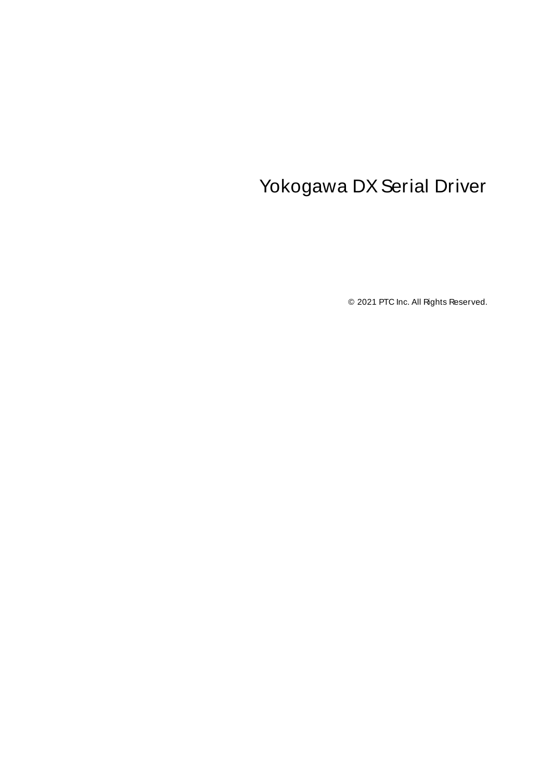# <span id="page-0-0"></span>Yokogawa DX Serial Driver

© 2021 PTC Inc. All Rights Reserved.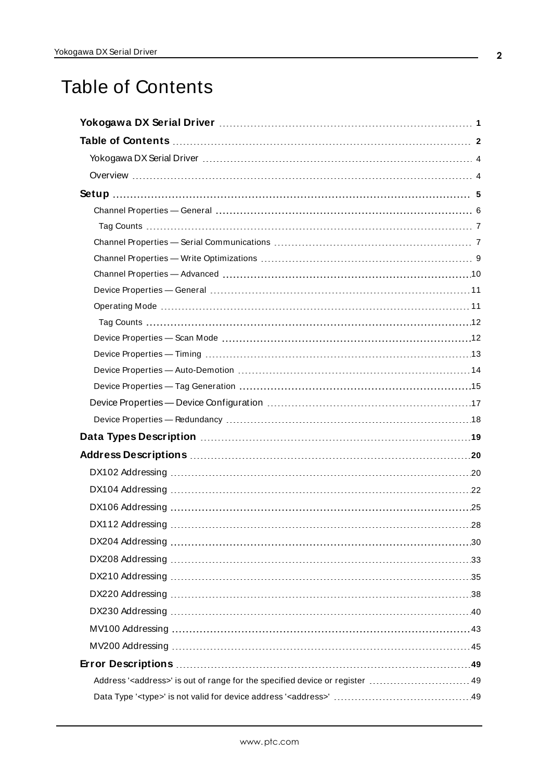# <span id="page-1-0"></span>Table of Contents

| Address' <address>' is out of range for the specified device or register  49</address> |
|----------------------------------------------------------------------------------------|
|                                                                                        |
|                                                                                        |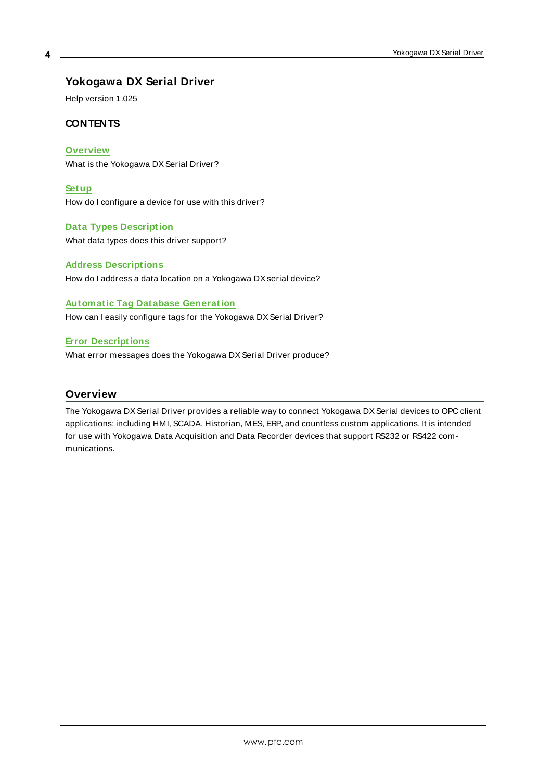# <span id="page-3-0"></span>**Yokogawa DX Serial Driver**

Help version 1.025

### **CONTENTS**

**[Overview](#page-3-1)**

What is the Yokogawa DX Serial Driver?

**[Setup](#page-4-0)**

How do I configure a device for use with this driver?

### **Data Types [Description](#page-18-0)**

What data types does this driver support?

#### **Address [Descriptions](#page-19-0)**

How do I address a data location on a Yokogawa DX serial device?

### **Automatic Tag Database Generation**

How can I easily configure tags for the Yokogawa DX Serial Driver?

### **Error [Descriptions](#page-48-0)**

What error messages does the Yokogawa DX Serial Driver produce?

# <span id="page-3-1"></span>**Overview**

The Yokogawa DX Serial Driver provides a reliable way to connect Yokogawa DX Serial devices to OPC client applications; including HMI, SCADA, Historian, MES, ERP, and countless custom applications. It is intended for use with Yokogawa Data Acquisition and Data Recorder devices that support RS232 or RS422 communications.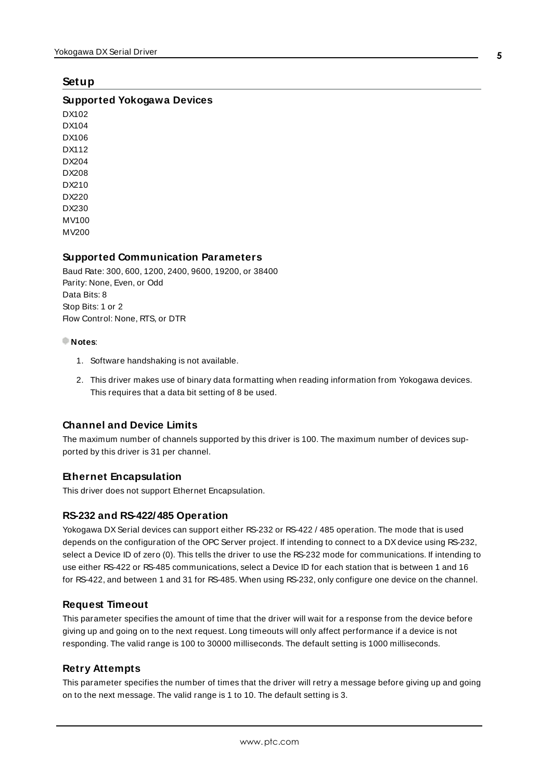### <span id="page-4-0"></span>**Setup**

### **Supported Yokogawa Devices**

DX102 DX104 DX106 DX112 DX204 DX208 DX210 DX220 DX230 MV100 MV200

### **Supported Communication Parameters**

Baud Rate: 300, 600, 1200, 2400, 9600, 19200, or 38400 Parity: None, Even, or Odd Data Bits: 8 Stop Bits: 1 or 2 Flow Control: None, RTS, or DTR

#### **Notes**:

- 1. Software handshaking is not available.
- 2. This driver makes use of binary data formatting when reading information from Yokogawa devices. This requires that a data bit setting of 8 be used.

### **Channel and Device Limits**

The maximum number of channels supported by this driver is 100. The maximum number of devices supported by this driver is 31 per channel.

### **Ethernet Encapsulation**

This driver does not support Ethernet Encapsulation.

### <span id="page-4-1"></span>**RS-232 and RS-422/485 Operation**

Yokogawa DX Serial devices can support either RS-232 or RS-422 / 485 operation. The mode that is used depends on the configuration of the OPC Server project. If intending to connect to a DXdevice using RS-232, select a Device ID of zero (0). This tells the driver to use the RS-232 mode for communications. If intending to use either RS-422 or RS-485 communications, select a Device ID for each station that is between 1 and 16 for RS-422, and between 1 and 31 for RS-485. When using RS-232, only configure one device on the channel.

### **Request Timeout**

This parameter specifies the amount of time that the driver will wait for a response from the device before giving up and going on to the next request. Long timeouts will only affect performance if a device is not responding. The valid range is 100 to 30000 milliseconds. The default setting is 1000 milliseconds.

#### **Retry Attempts**

This parameter specifies the number of times that the driver will retry a message before giving up and going on to the next message. The valid range is 1 to 10. The default setting is 3.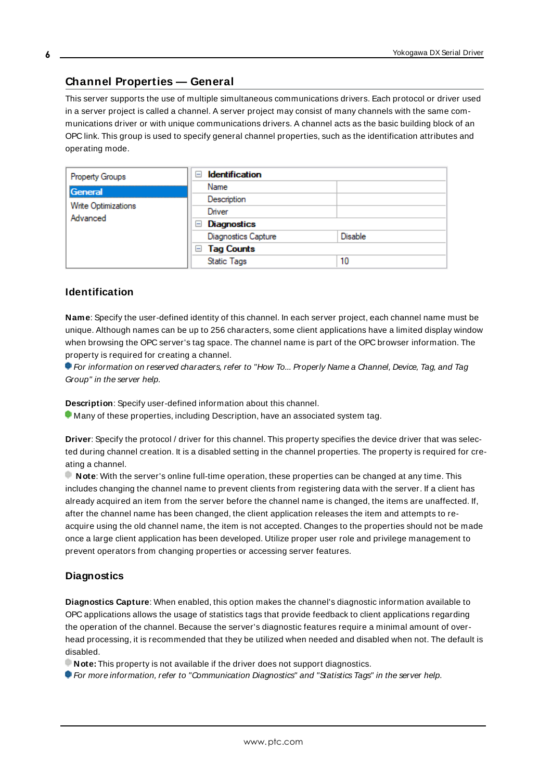# <span id="page-5-0"></span>**Channel Properties — General**

This server supports the use of multiple simultaneous communications drivers. Each protocol or driver used in a server project is called a channel. A server project may consist of many channels with the same communications driver or with unique communications drivers. A channel acts as the basic building block of an OPC link. This group is used to specify general channel properties, such as the identification attributes and operating mode.

| Property Groups                        | <b>Identification</b><br>$=$ |                |
|----------------------------------------|------------------------------|----------------|
| <b>General</b>                         | Name                         |                |
| <b>Write Optimizations</b><br>Advanced | Description                  |                |
|                                        | Driver                       |                |
|                                        | Diagnostics<br>$=$           |                |
|                                        | <b>Diagnostics Capture</b>   | <b>Disable</b> |
|                                        | $\Box$ Tag Counts            |                |
|                                        | <b>Static Tags</b>           | 10             |
|                                        |                              |                |

### <span id="page-5-2"></span>**Identification**

**Name**: Specify the user-defined identity of this channel. In each server project, each channel name must be unique. Although names can be up to 256 characters, some client applications have a limited display window when browsing the OPC server's tag space. The channel name is part of the OPC browser information. The property is required for creating a channel.

For information on reserved characters, refer to "How To... Properly Name a Channel, Device, Tag, and Tag Group" in the server help.

**Description**: Specify user-defined information about this channel.

Many of these properties, including Description, have an associated system tag.

**Driver**: Specify the protocol / driver for this channel. This property specifies the device driver that was selected during channel creation. It is a disabled setting in the channel properties. The property is required for creating a channel.

**Note**: With the server's online full-time operation, these properties can be changed at any time. This includes changing the channel name to prevent clients from registering data with the server. If a client has already acquired an item from the server before the channel name is changed, the items are unaffected. If, after the channel name has been changed, the client application releases the item and attempts to reacquire using the old channel name, the item is not accepted. Changes to the properties should not be made once a large client application has been developed. Utilize proper user role and privilege management to prevent operators from changing properties or accessing server features.

# <span id="page-5-1"></span>**Diagnostics**

**Diagnostics Capture**: When enabled, this option makes the channel's diagnostic information available to OPC applications allows the usage of statistics tags that provide feedback to client applications regarding the operation of the channel. Because the server's diagnostic features require a minimal amount of overhead processing, it is recommended that they be utilized when needed and disabled when not. The default is disabled.

**Note:** This property is not available if the driver does not support diagnostics.

**• For more information, refer to "Communication Diagnostics" and "Statistics Tags" in the server help.**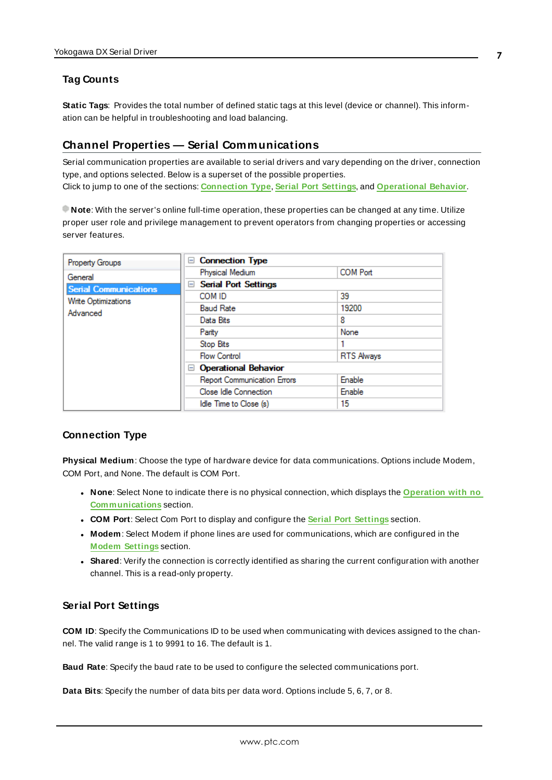# <span id="page-6-0"></span>**Tag Counts**

**Static Tags**: Provides the total number of defined static tags at this level (device or channel). This information can be helpful in troubleshooting and load balancing.

### <span id="page-6-1"></span>**Channel Properties — Serial Communications**

Serial communication properties are available to serial drivers and vary depending on the driver, connection type, and options selected. Below is a superset of the possible properties. Click to jump to one of the sections: **[Connection](#page-6-2) Type**, **Serial Port [Settings](#page-6-3)**, and **[Operational](#page-7-0) Behavior**.

**Note**: With the server's online full-time operation, these properties can be changed at any time. Utilize proper user role and privilege management to prevent operators from changing properties or accessing server features.

| Property Groups              | <b>Connection Type</b><br>н        |                   |
|------------------------------|------------------------------------|-------------------|
| General                      | Physical Medium                    | <b>COM Port</b>   |
| <b>Serial Communications</b> | <b>Serial Port Settings</b><br>$=$ |                   |
| <b>Write Optimizations</b>   | COM ID                             | 39                |
| Advanced                     | <b>Baud Rate</b>                   | 19200             |
|                              | Data Bits                          | 8                 |
|                              | Parity                             | None              |
|                              | <b>Stop Bits</b>                   |                   |
|                              | <b>Flow Control</b>                | <b>RTS Always</b> |
|                              | <b>Operational Behavior</b><br>$-$ |                   |
|                              | <b>Report Communication Errors</b> | Enable            |
|                              | Close Idle Connection              | Enable            |
|                              | Idle Time to Close (s)             | 15                |

### <span id="page-6-10"></span><span id="page-6-2"></span>**Connection Type**

**Physical Medium**: Choose the type of hardware device for data communications. Options include Modem, COM Port, and None. The default is COM Port.

- <span id="page-6-9"></span><span id="page-6-6"></span><sup>l</sup> **None**: Select None to indicate there is no physical connection, which displays the **[Operation](#page-8-1) with no [Communications](#page-8-1)** section.
- <span id="page-6-8"></span><sup>l</sup> **COM Port**: Select Com Port to display and configure the **Serial Port [Settings](#page-6-3)** section.
- **Modem**: Select Modem if phone lines are used for communications, which are configured in the **Modem [Settings](#page-7-1)** section.
- <span id="page-6-11"></span>**Shared**: Verify the connection is correctly identified as sharing the current configuration with another channel. This is a read-only property.

### <span id="page-6-5"></span><span id="page-6-3"></span>**Serial Port Settings**

**COM ID**: Specify the Communications ID to be used when communicating with devices assigned to the channel. The valid range is 1 to 9991 to 16. The default is 1.

<span id="page-6-7"></span><span id="page-6-4"></span>**Baud Rate**: Specify the baud rate to be used to configure the selected communications port.

**Data Bits**: Specify the number of data bits per data word. Options include 5, 6, 7, or 8.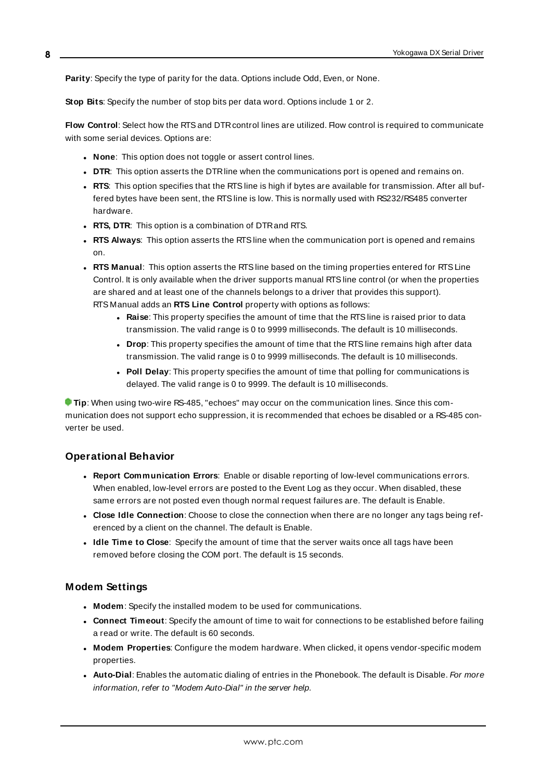<span id="page-7-15"></span><span id="page-7-9"></span>**Parity**: Specify the type of parity for the data. Options include Odd, Even, or None.

<span id="page-7-7"></span>**Stop Bits**: Specify the number of stop bits per data word. Options include 1 or 2.

**Flow Control**: Select how the RTSand DTRcontrol lines are utilized. Flow control is required to communicate with some serial devices. Options are:

- <span id="page-7-6"></span>**None**: This option does not toggle or assert control lines.
- <span id="page-7-14"></span>**DTR:** This option asserts the DTR line when the communications port is opened and remains on.
- **RTS:** This option specifies that the RTS line is high if bytes are available for transmission. After all buffered bytes have been sent, the RTSline is low. This is normally used with RS232/RS485 converter hardware.
- <sup>l</sup> **RTS, DTR**: This option is a combination of DTRand RTS.
- <sup>l</sup> **RTS Always**: This option asserts the RTSline when the communication port is opened and remains on.
- <span id="page-7-11"></span><span id="page-7-5"></span><sup>l</sup> **RTS Manual**: This option asserts the RTSline based on the timing properties entered for RTSLine Control. It is only available when the driver supports manual RTSline control (or when the properties are shared and at least one of the channels belongs to a driver that provides this support). RTS Manual adds an **RTS Line Control** property with options as follows:
	- **Raise:** This property specifies the amount of time that the RTS line is raised prior to data transmission. The valid range is 0 to 9999 milliseconds. The default is 10 milliseconds.
	- **Drop**: This property specifies the amount of time that the RTS line remains high after data transmission. The valid range is 0 to 9999 milliseconds. The default is 10 milliseconds.
	- **Poll Delay**: This property specifies the amount of time that polling for communications is delayed. The valid range is 0 to 9999. The default is 10 milliseconds.

<span id="page-7-13"></span><span id="page-7-10"></span>**Tip**: When using two-wire RS-485, "echoes" may occur on the communication lines. Since this communication does not support echo suppression, it is recommended that echoes be disabled or a RS-485 converter be used.

#### <span id="page-7-0"></span>**Operational Behavior**

- <span id="page-7-12"></span><sup>l</sup> **Report Communication Errors**: Enable or disable reporting of low-level communications errors. When enabled, low-level errors are posted to the Event Log as they occur. When disabled, these same errors are not posted even though normal request failures are. The default is Enable.
- <span id="page-7-8"></span><span id="page-7-3"></span><sup>l</sup> **Close Idle Connection**: Choose to close the connection when there are no longer any tags being referenced by a client on the channel. The default is Enable.
- <sup>l</sup> **Idle Time to Close**: Specify the amount of time that the server waits once all tags have been removed before closing the COM port. The default is 15 seconds.

#### <span id="page-7-1"></span>**Modem Settings**

- <span id="page-7-4"></span>**Modem**: Specify the installed modem to be used for communications.
- **Connect Timeout**: Specify the amount of time to wait for connections to be established before failing a read or write. The default is 60 seconds.
- <sup>l</sup> **Modem Properties**: Configure the modem hardware. When clicked, it opens vendor-specific modem properties.
- <span id="page-7-2"></span>**• Auto-Dial**: Enables the automatic dialing of entries in the Phonebook. The default is Disable. For more information, refer to "Modem Auto-Dial" in the server help.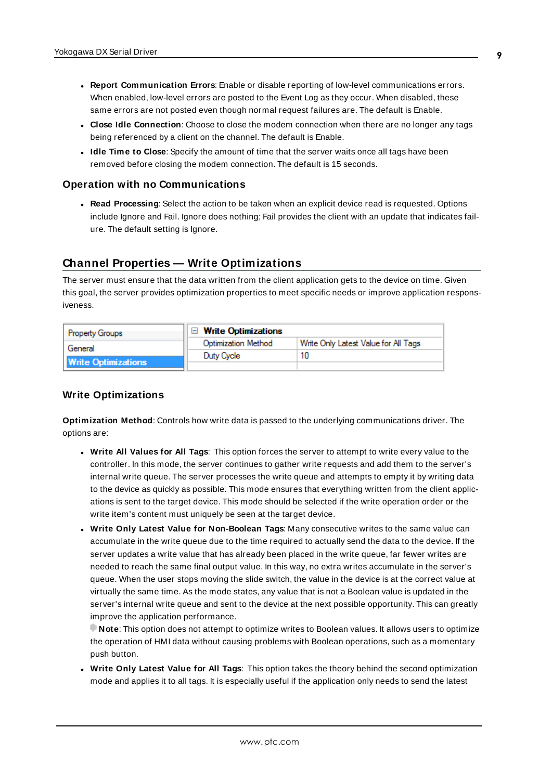- <sup>l</sup> **Report Communication Errors**: Enable or disable reporting of low-level communications errors. When enabled, low-level errors are posted to the Event Log as they occur. When disabled, these same errors are not posted even though normal request failures are. The default is Enable.
- **Close Idle Connection**: Choose to close the modem connection when there are no longer any tags being referenced by a client on the channel. The default is Enable.
- **.** Idle Time to Close: Specify the amount of time that the server waits once all tags have been removed before closing the modem connection. The default is 15 seconds.

#### <span id="page-8-1"></span>**Operation with no Communications**

<span id="page-8-4"></span><sup>l</sup> **Read Processing**: Select the action to be taken when an explicit device read is requested. Options include Ignore and Fail. Ignore does nothing; Fail provides the client with an update that indicates failure. The default setting is Ignore.

# <span id="page-8-0"></span>**Channel Properties — Write Optimizations**

The server must ensure that the data written from the client application gets to the device on time. Given this goal, the server provides optimization properties to meet specific needs or improve application responsiveness.

| <b>Property Groups</b>     | $\Box$ Write Optimizations |                                      |
|----------------------------|----------------------------|--------------------------------------|
| General                    | Optimization Method        | Write Only Latest Value for All Tags |
|                            | Duty Cycle                 |                                      |
| <b>Write Optimizations</b> |                            |                                      |

### <span id="page-8-3"></span><span id="page-8-2"></span>**Write Optimizations**

**Optimization Method**: Controls how write data is passed to the underlying communications driver. The options are:

- <span id="page-8-5"></span><sup>l</sup> **Write All Values for All Tags**: This option forces the server to attempt to write every value to the controller. In this mode, the server continues to gather write requests and add them to the server's internal write queue. The server processes the write queue and attempts to empty it by writing data to the device as quickly as possible. This mode ensures that everything written from the client applications is sent to the target device. This mode should be selected if the write operation order or the write item's content must uniquely be seen at the target device.
- <span id="page-8-6"></span><sup>l</sup> **Write Only Latest Value for Non-Boolean Tags**: Many consecutive writes to the same value can accumulate in the write queue due to the time required to actually send the data to the device. If the server updates a write value that has already been placed in the write queue, far fewer writes are needed to reach the same final output value. In this way, no extra writes accumulate in the server's queue. When the user stops moving the slide switch, the value in the device is at the correct value at virtually the same time. As the mode states, any value that is not a Boolean value is updated in the server's internal write queue and sent to the device at the next possible opportunity. This can greatly improve the application performance.

**Note**: This option does not attempt to optimize writes to Boolean values. It allows users to optimize the operation of HMI data without causing problems with Boolean operations, such as a momentary push button.

<sup>l</sup> **Write Only Latest Value for All Tags**: This option takes the theory behind the second optimization mode and applies it to all tags. It is especially useful if the application only needs to send the latest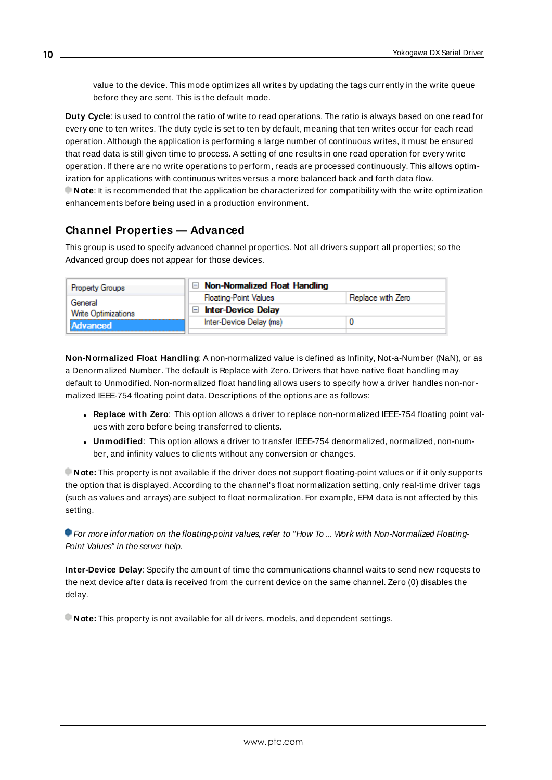<span id="page-9-6"></span>value to the device. This mode optimizes all writes by updating the tags currently in the write queue before they are sent. This is the default mode.

<span id="page-9-1"></span>**Duty Cycle**: is used to control the ratio of write to read operations. The ratio is always based on one read for every one to ten writes. The duty cycle is set to ten by default, meaning that ten writes occur for each read operation. Although the application is performing a large number of continuous writes, it must be ensured that read data is still given time to process. A setting of one results in one read operation for every write operation. If there are no write operations to perform, reads are processed continuously. This allows optimization for applications with continuous writes versus a more balanced back and forth data flow. **Note**: It is recommended that the application be characterized for compatibility with the write optimization enhancements before being used in a production environment.

# <span id="page-9-0"></span>**Channel Properties — Advanced**

This group is used to specify advanced channel properties. Not all drivers support all properties; so the Advanced group does not appear for those devices.

| <b>Property Groups</b> | $\Box$ Non-Normalized Float Handling |                   |
|------------------------|--------------------------------------|-------------------|
| General                | <b>Floating-Point Values</b>         | Replace with Zero |
| Write Optimizations    | <b>Inter-Device Delay</b><br>$-1$    |                   |
| Advanced               | Inter-Device Delay (ms)              |                   |
|                        |                                      |                   |

<span id="page-9-3"></span>**Non-Normalized Float Handling**: A non-normalized value is defined as Infinity, Not-a-Number (NaN), or as a Denormalized Number. The default is Replace with Zero. Drivers that have native float handling may default to Unmodified. Non-normalized float handling allows users to specify how a driver handles non-normalized IEEE-754 floating point data. Descriptions of the options are as follows:

- <span id="page-9-4"></span><sup>l</sup> **Replace with Zero**: This option allows a driver to replace non-normalized IEEE-754 floating point values with zero before being transferred to clients.
- <span id="page-9-5"></span><sup>l</sup> **Unmodified**: This option allows a driver to transfer IEEE-754 denormalized, normalized, non-number, and infinity values to clients without any conversion or changes.

**Note:** This property is not available if the driver does not support floating-point values or if it only supports the option that is displayed. According to the channel's float normalization setting, only real-time driver tags (such as values and arrays) are subject to float normalization. For example, EFM data is not affected by this setting.

For more information on the floating-point values, refer to "How To ... Work with Non-Normalized Floating-Point Values" in the server help.

<span id="page-9-2"></span>**Inter-Device Delay**: Specify the amount of time the communications channel waits to send new requests to the next device after data is received from the current device on the same channel. Zero (0) disables the delay.

**Note:** This property is not available for all drivers, models, and dependent settings.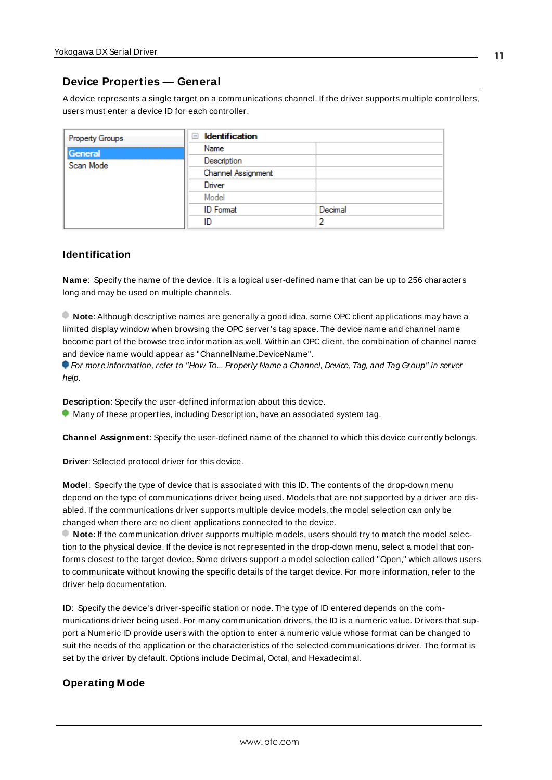# <span id="page-10-0"></span>**Device Properties — General**

A device represents a single target on a communications channel. If the driver supports multiple controllers, users must enter a device ID for each controller.

| <b>Property Groups</b> | $\Box$ Identification |         |
|------------------------|-----------------------|---------|
| General                | Name                  |         |
| Scan Mode              | Description           |         |
|                        | Channel Assignment    |         |
|                        | Driver                |         |
|                        | Model                 |         |
|                        | <b>ID</b> Format      | Decimal |
|                        | ID                    | э       |

### <span id="page-10-7"></span><span id="page-10-5"></span>**Identification**

**Name**: Specify the name of the device. It is a logical user-defined name that can be up to 256 characters long and may be used on multiple channels.

**Note**: Although descriptive names are generally a good idea, some OPC client applications may have a limited display window when browsing the OPC server's tag space. The device name and channel name become part of the browse tree information as well. Within an OPC client, the combination of channel name and device name would appear as "ChannelName.DeviceName".

For more information, refer to "How To... Properly Name a Channel, Device, Tag, and Tag Group" in server help.

**Description**: Specify the user-defined information about this device.

<span id="page-10-2"></span>**Many of these properties, including Description, have an associated system tag.** 

<span id="page-10-3"></span>**Channel Assignment**: Specify the user-defined name of the channel to which this device currently belongs.

<span id="page-10-6"></span>**Driver**: Selected protocol driver for this device.

**Model**: Specify the type of device that is associated with this ID. The contents of the drop-down menu depend on the type of communications driver being used. Models that are not supported by a driver are disabled. If the communications driver supports multiple device models, the model selection can only be changed when there are no client applications connected to the device.

**Note:** If the communication driver supports multiple models, users should try to match the model selection to the physical device. If the device is not represented in the drop-down menu, select a model that conforms closest to the target device. Some drivers support a model selection called "Open," which allows users to communicate without knowing the specific details of the target device. For more information, refer to the driver help documentation.

<span id="page-10-4"></span>**ID**: Specify the device's driver-specific station or node. The type of ID entered depends on the communications driver being used. For many communication drivers, the ID is a numeric value. Drivers that support a Numeric ID provide users with the option to enter a numeric value whose format can be changed to suit the needs of the application or the characteristics of the selected communications driver. The format is set by the driver by default. Options include Decimal, Octal, and Hexadecimal.

# <span id="page-10-1"></span>**Operating Mode**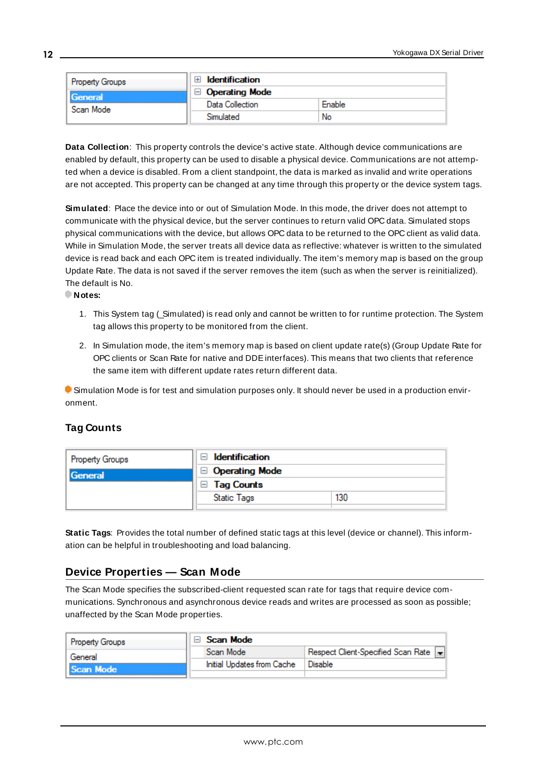| <b>Property Groups</b>      | Identification        |        |
|-----------------------------|-----------------------|--------|
| <b>Seneral</b><br>Scan Mode | <b>Operating Mode</b> |        |
|                             | Data Collection       | Enable |
|                             | Simulated             | No     |

<span id="page-11-2"></span>**Data Collection**: This property controls the device's active state. Although device communications are enabled by default, this property can be used to disable a physical device. Communications are not attempted when a device is disabled. From a client standpoint, the data is marked as invalid and write operations are not accepted. This property can be changed at any time through this property or the device system tags.

<span id="page-11-3"></span>**Simulated**: Place the device into or out of Simulation Mode. In this mode, the driver does not attempt to communicate with the physical device, but the server continues to return valid OPC data. Simulated stops physical communications with the device, but allows OPC data to be returned to the OPC client as valid data. While in Simulation Mode, the server treats all device data as reflective: whatever is written to the simulated device is read back and each OPC item is treated individually. The item's memory map is based on the group Update Rate. The data is not saved if the server removes the item (such as when the server is reinitialized). The default is No.

**Notes:**

- 1. This System tag (\_Simulated) is read only and cannot be written to for runtime protection. The System tag allows this property to be monitored from the client.
- 2. In Simulation mode, the item's memory map is based on client update rate(s) (Group Update Rate for OPC clients or Scan Rate for native and DDEinterfaces). This means that two clients that reference the same item with different update rates return different data.

 Simulation Mode is for test and simulation purposes only. It should never be used in a production environment.

# <span id="page-11-0"></span>**Tag Counts**

| Property Groups | Identification<br>$\overline{}$ |     |
|-----------------|---------------------------------|-----|
| General         | $\Box$ Operating Mode           |     |
|                 | $\Box$ Tag Counts               |     |
|                 | <b>Static Tags</b>              | 130 |
|                 |                                 |     |

**Static Tags**: Provides the total number of defined static tags at this level (device or channel). This information can be helpful in troubleshooting and load balancing.

# <span id="page-11-1"></span>**Device Properties — Scan Mode**

The Scan Mode specifies the subscribed-client requested scan rate for tags that require device communications. Synchronous and asynchronous device reads and writes are processed as soon as possible; unaffected by the Scan Mode properties.

| <b>Property Groups</b> | Scan Mode                  |                                    |
|------------------------|----------------------------|------------------------------------|
| General                | Scan Mode                  | Respect Client-Specified Scan Rate |
| Il Scan Mode           | Initial Updates from Cache | Disable                            |
|                        |                            |                                    |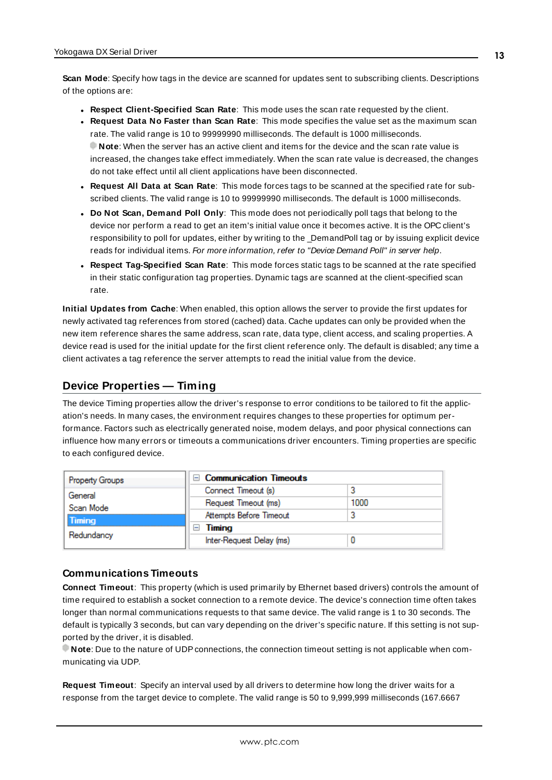<span id="page-12-6"></span>**Scan Mode**: Specify how tags in the device are scanned for updates sent to subscribing clients. Descriptions of the options are:

- <sup>l</sup> **Respect Client-Specified Scan Rate**: This mode uses the scan rate requested by the client.
- <sup>l</sup> **Request Data No Faster than Scan Rate**: This mode specifies the value set as the maximum scan rate. The valid range is 10 to 99999990 milliseconds. The default is 1000 milliseconds. **Note**: When the server has an active client and items for the device and the scan rate value is increased, the changes take effect immediately. When the scan rate value is decreased, the changes do not take effect until all client applications have been disconnected.
- <sup>l</sup> **Request All Data at Scan Rate**: This mode forces tags to be scanned at the specified rate for subscribed clients. The valid range is 10 to 99999990 milliseconds. The default is 1000 milliseconds.
- <span id="page-12-3"></span><sup>l</sup> **Do Not Scan, Demand Poll Only**: This mode does not periodically poll tags that belong to the device nor perform a read to get an item's initial value once it becomes active. It is the OPC client's responsibility to poll for updates, either by writing to the \_DemandPoll tag or by issuing explicit device reads for individual items. For more information, refer to "Device Demand Poll" in server help.
- <span id="page-12-5"></span><sup>l</sup> **Respect Tag-Specified Scan Rate**: This mode forces static tags to be scanned at the rate specified in their static configuration tag properties. Dynamic tags are scanned at the client-specified scan rate.

<span id="page-12-4"></span>**Initial Updates from Cache**: When enabled, this option allows the server to provide the first updates for newly activated tag references from stored (cached) data. Cache updates can only be provided when the new item reference shares the same address, scan rate, data type, client access, and scaling properties. A device read is used for the initial update for the first client reference only. The default is disabled; any time a client activates a tag reference the server attempts to read the initial value from the device.

# <span id="page-12-1"></span><span id="page-12-0"></span>**Device Properties — Timing**

The device Timing properties allow the driver's response to error conditions to be tailored to fit the application's needs. In many cases, the environment requires changes to these properties for optimum performance. Factors such as electrically generated noise, modem delays, and poor physical connections can influence how many errors or timeouts a communications driver encounters. Timing properties are specific to each configured device.

| <b>Property Groups</b>                              | <b>Communication Timeouts</b> |      |
|-----------------------------------------------------|-------------------------------|------|
| General<br>Scan Mode<br><b>Timing</b><br>Redundancy | Connect Timeout (s)           |      |
|                                                     | Request Timeout (ms)          | 1000 |
|                                                     | Attempts Before Timeout       |      |
|                                                     | Timing                        |      |
|                                                     | Inter-Request Delay (ms)      |      |

### <span id="page-12-2"></span>**Communications Timeouts**

**Connect Timeout**: This property (which is used primarily by Ethernet based drivers) controls the amount of time required to establish a socket connection to a remote device. The device's connection time often takes longer than normal communications requests to that same device. The valid range is 1 to 30 seconds. The default is typically 3 seconds, but can vary depending on the driver's specific nature. If this setting is not supported by the driver, it is disabled.

**Note**: Due to the nature of UDPconnections, the connection timeout setting is not applicable when communicating via UDP.

**Request Timeout**: Specify an interval used by all drivers to determine how long the driver waits for a response from the target device to complete. The valid range is 50 to 9,999,999 milliseconds (167.6667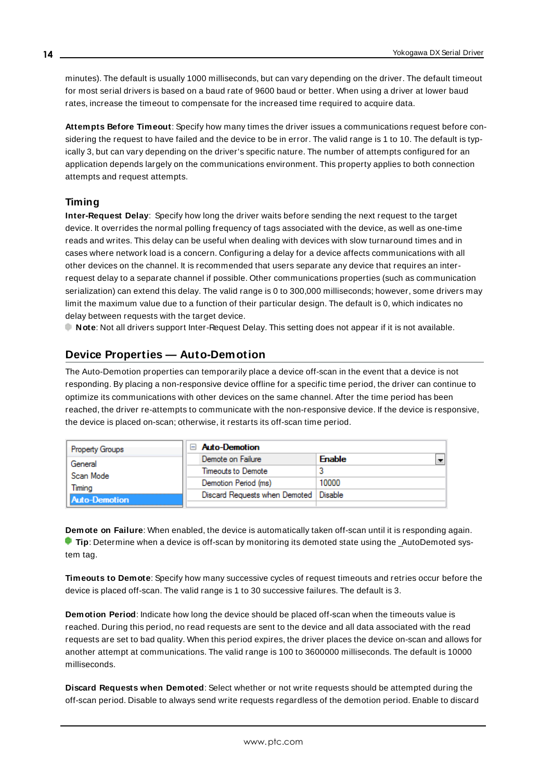<span id="page-13-5"></span>minutes). The default is usually 1000 milliseconds, but can vary depending on the driver. The default timeout for most serial drivers is based on a baud rate of 9600 baud or better. When using a driver at lower baud rates, increase the timeout to compensate for the increased time required to acquire data.

<span id="page-13-1"></span>**Attempts Before Timeout**: Specify how many times the driver issues a communications request before considering the request to have failed and the device to be in error. The valid range is 1 to 10. The default is typically 3, but can vary depending on the driver's specific nature. The number of attempts configured for an application depends largely on the communications environment. This property applies to both connection attempts and request attempts.

# <span id="page-13-4"></span>**Timing**

**Inter-Request Delay**: Specify how long the driver waits before sending the next request to the target device. It overrides the normal polling frequency of tags associated with the device, as well as one-time reads and writes. This delay can be useful when dealing with devices with slow turnaround times and in cases where network load is a concern. Configuring a delay for a device affects communications with all other devices on the channel. It is recommended that users separate any device that requires an interrequest delay to a separate channel if possible. Other communications properties (such as communication serialization) can extend this delay. The valid range is 0 to 300,000 milliseconds; however, some drivers may limit the maximum value due to a function of their particular design. The default is 0, which indicates no delay between requests with the target device.

<span id="page-13-0"></span>**Note**: Not all drivers support Inter-Request Delay. This setting does not appear if it is not available.

# **Device Properties — Auto-Demotion**

The Auto-Demotion properties can temporarily place a device off-scan in the event that a device is not responding. By placing a non-responsive device offline for a specific time period, the driver can continue to optimize its communications with other devices on the same channel. After the time period has been reached, the driver re-attempts to communicate with the non-responsive device. If the device is responsive, the device is placed on-scan; otherwise, it restarts its off-scan time period.

| <b>Property Groups</b> | <b>Auto-Demotion</b>                    |               |
|------------------------|-----------------------------------------|---------------|
| General                | Demote on Failure                       | <b>Enable</b> |
| Scan Mode              | Timeouts to Demote                      |               |
| Timina                 | Demotion Period (ms)                    | 10000         |
| Auto-Demotion          | Discard Requests when Demoted   Disable |               |
|                        |                                         |               |

<span id="page-13-2"></span>**Demote on Failure**: When enabled, the device is automatically taken off-scan until it is responding again. **Tip:** Determine when a device is off-scan by monitoring its demoted state using the \_AutoDemoted system tag.

<span id="page-13-6"></span>**Timeouts to Demote**: Specify how many successive cycles of request timeouts and retries occur before the device is placed off-scan. The valid range is 1 to 30 successive failures. The default is 3.

<span id="page-13-3"></span>**Demotion Period**: Indicate how long the device should be placed off-scan when the timeouts value is reached. During this period, no read requests are sent to the device and all data associated with the read requests are set to bad quality. When this period expires, the driver places the device on-scan and allows for another attempt at communications. The valid range is 100 to 3600000 milliseconds. The default is 10000 milliseconds.

**Discard Requests when Demoted**: Select whether or not write requests should be attempted during the off-scan period. Disable to always send write requests regardless of the demotion period. Enable to discard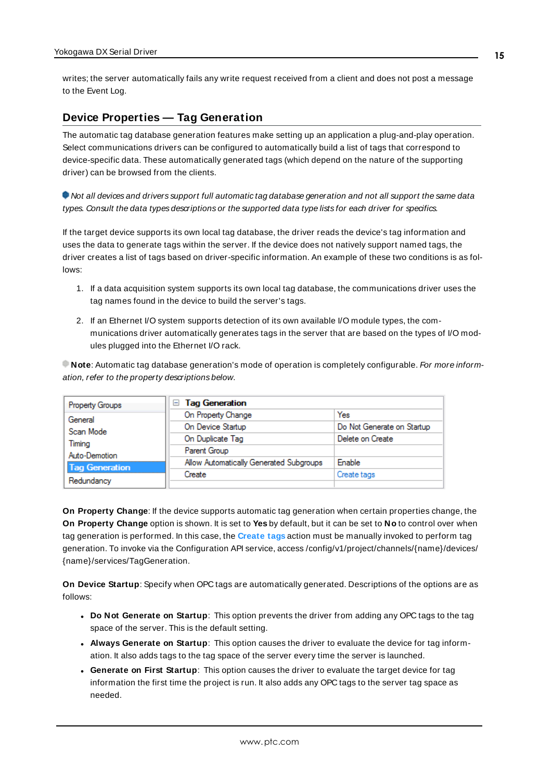<span id="page-14-1"></span>writes; the server automatically fails any write request received from a client and does not post a message to the Event Log.

# <span id="page-14-0"></span>**Device Properties — Tag Generation**

The automatic tag database generation features make setting up an application a plug-and-play operation. Select communications drivers can be configured to automatically build a list of tags that correspond to device-specific data. These automatically generated tags (which depend on the nature of the supporting driver) can be browsed from the clients.

Not all devices and drivers support full automatic tag database generation and not all support the same data types. Consult the data types descriptions or the supported data type lists for each driver for specifics.

If the target device supports its own local tag database, the driver reads the device's tag information and uses the data to generate tags within the server. If the device does not natively support named tags, the driver creates a list of tags based on driver-specific information. An example of these two conditions is as follows:

- 1. If a data acquisition system supports its own local tag database, the communications driver uses the tag names found in the device to build the server's tags.
- 2. If an Ethernet I/O system supports detection of its own available I/O module types, the communications driver automatically generates tags in the server that are based on the types of I/O modules plugged into the Ethernet I/O rack.

**Note**: Automatic tag database generation's mode of operation is completely configurable. For more information, refer to the property descriptions below.

| Property Groups       | <b>Tag Generation</b><br>$=$            |                            |
|-----------------------|-----------------------------------------|----------------------------|
| General               | On Property Change                      | Yes                        |
| Scan Mode             | On Device Startup                       | Do Not Generate on Startup |
| Timina                | On Duplicate Tag                        | Delete on Create           |
| Auto-Demotion         | Parent Group                            |                            |
|                       | Allow Automatically Generated Subgroups | Enable                     |
| <b>Tag Generation</b> | Create                                  | Create tags                |
| Redundancy            |                                         |                            |

<span id="page-14-4"></span>**On Property Change**: If the device supports automatic tag generation when certain properties change, the **On Property Change** option is shown. It is set to **Yes** by default, but it can be set to **No** to control over when tag generation is performed. In this case, the **Create tags** action must be manually invoked to perform tag generation. To invoke via the Configuration API service, access /config/v1/project/channels/{name}/devices/ {name}/services/TagGeneration.

<span id="page-14-3"></span>**On Device Startup**: Specify when OPC tags are automatically generated. Descriptions of the options are as follows:

- <span id="page-14-2"></span><sup>l</sup> **Do Not Generate on Startup**: This option prevents the driver from adding any OPC tags to the tag space of the server. This is the default setting.
- <sup>l</sup> **Always Generate on Startup**: This option causes the driver to evaluate the device for tag information. It also adds tags to the tag space of the server every time the server is launched.
- <sup>l</sup> **Generate on First Startup**: This option causes the driver to evaluate the target device for tag information the first time the project is run. It also adds any OPC tags to the server tag space as needed.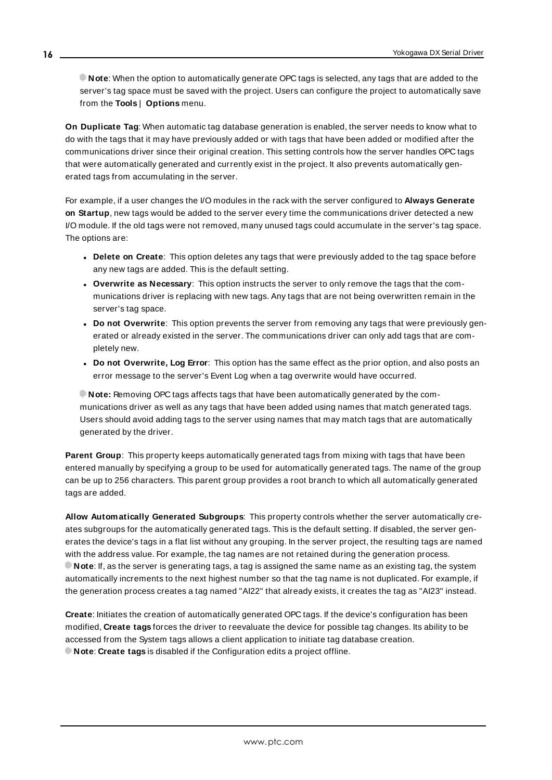**Note**: When the option to automatically generate OPC tags is selected, any tags that are added to the server's tag space must be saved with the project. Users can configure the project to automatically save from the **Tools** | **Options** menu.

<span id="page-15-3"></span>**On Duplicate Tag**: When automatic tag database generation is enabled, the server needs to know what to do with the tags that it may have previously added or with tags that have been added or modified after the communications driver since their original creation. This setting controls how the server handles OPC tags that were automatically generated and currently exist in the project. It also prevents automatically generated tags from accumulating in the server.

For example, if a user changes the I/O modules in the rack with the server configured to **Always Generate on Startup**, new tags would be added to the server every time the communications driver detected a new I/O module. If the old tags were not removed, many unused tags could accumulate in the server's tag space. The options are:

- <span id="page-15-2"></span>**• Delete on Create**: This option deletes any tags that were previously added to the tag space before any new tags are added. This is the default setting.
- <span id="page-15-4"></span><sup>l</sup> **Overwrite as Necessary**: This option instructs the server to only remove the tags that the communications driver is replacing with new tags. Any tags that are not being overwritten remain in the server's tag space.
- **.** Do not Overwrite: This option prevents the server from removing any tags that were previously generated or already existed in the server. The communications driver can only add tags that are completely new.
- <sup>l</sup> **Do not Overwrite, Log Error**: This option has the same effect as the prior option, and also posts an error message to the server's Event Log when a tag overwrite would have occurred.

**Note:** Removing OPC tags affects tags that have been automatically generated by the communications driver as well as any tags that have been added using names that match generated tags. Users should avoid adding tags to the server using names that may match tags that are automatically generated by the driver.

<span id="page-15-5"></span>**Parent Group**: This property keeps automatically generated tags from mixing with tags that have been entered manually by specifying a group to be used for automatically generated tags. The name of the group can be up to 256 characters. This parent group provides a root branch to which all automatically generated tags are added.

<span id="page-15-0"></span>**Allow Automatically Generated Subgroups**: This property controls whether the server automatically creates subgroups for the automatically generated tags. This is the default setting. If disabled, the server generates the device's tags in a flat list without any grouping. In the server project, the resulting tags are named with the address value. For example, the tag names are not retained during the generation process. **Note**: If, as the server is generating tags, a tag is assigned the same name as an existing tag, the system automatically increments to the next highest number so that the tag name is not duplicated. For example, if the generation process creates a tag named "AI22" that already exists, it creates the tag as "AI23" instead.

<span id="page-15-1"></span>**Create**: Initiates the creation of automatically generated OPC tags. If the device's configuration has been modified, **Create tags** forces the driver to reevaluate the device for possible tag changes. Its ability to be accessed from the System tags allows a client application to initiate tag database creation. **Note**: **Create tags** is disabled if the Configuration edits a project offline.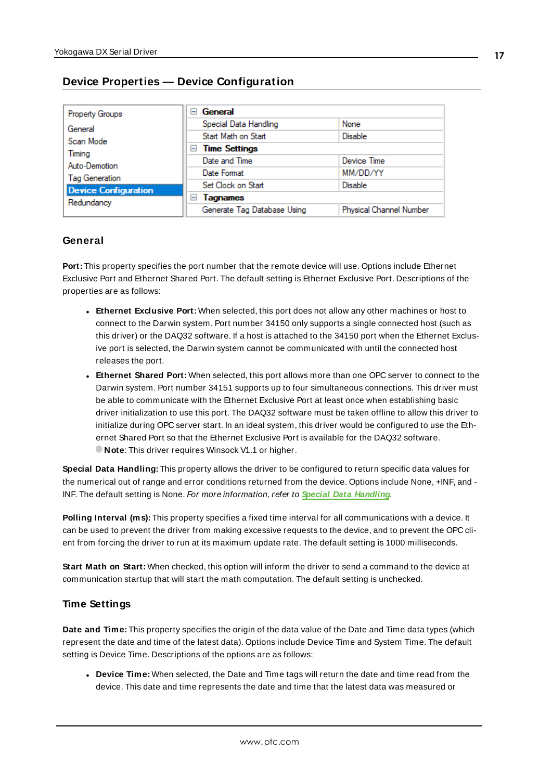<span id="page-16-0"></span>

| Property Groups             | General<br>$\equiv$         |                         |  |
|-----------------------------|-----------------------------|-------------------------|--|
| General                     | Special Data Handling       | None                    |  |
| Scan Mode                   | Start Math on Start         | <b>Disable</b>          |  |
| Timing                      | $\Box$ Time Settings        |                         |  |
| Auto-Demotion               | Date and Time               | Device Time             |  |
| <b>Tag Generation</b>       | Date Format                 | MM/DD/YY                |  |
| <b>Device Configuration</b> | Set Clock on Start          | <b>Disable</b>          |  |
| Redundancy                  | <b>Tagnames</b><br>$\equiv$ |                         |  |
|                             | Generate Tag Database Using | Physical Channel Number |  |

# **General**

**Port:** This property specifies the port number that the remote device will use. Options include Ethernet Exclusive Port and Ethernet Shared Port. The default setting is Ethernet Exclusive Port. Descriptions of the properties are as follows:

- **Ethernet Exclusive Port:** When selected, this port does not allow any other machines or host to connect to the Darwin system. Port number 34150 only supports a single connected host (such as this driver) or the DAQ32 software. If a host is attached to the 34150 port when the Ethernet Exclusive port is selected, the Darwin system cannot be communicated with until the connected host releases the port.
- **Ethernet Shared Port:** When selected, this port allows more than one OPC server to connect to the Darwin system. Port number 34151 supports up to four simultaneous connections. This driver must be able to communicate with the Ethernet Exclusive Port at least once when establishing basic driver initialization to use this port. The DAQ32 software must be taken offline to allow this driver to initialize during OPC server start. In an ideal system, this driver would be configured to use the Ethernet Shared Port so that the Ethernet Exclusive Port is available for the DAQ32 software. **Note:** This driver requires Winsock V1.1 or higher.

<span id="page-16-1"></span>**Special Data Handling:** This property allows the driver to be configured to return specific data values for the numerical out of range and error conditions returned from the device. Options include None, +INF, and - INF. The default setting is None. For more information, refer to **Special Data [Handling](#page-16-1)**.

**Polling Interval (ms):** This property specifies a fixed time interval for all communications with a device. It can be used to prevent the driver from making excessive requests to the device, and to prevent the OPC client from forcing the driver to run at its maximum update rate. The default setting is 1000 milliseconds.

**Start Math on Start:** When checked, this option will inform the driver to send a command to the device at communication startup that will start the math computation. The default setting is unchecked.

# **Time Settings**

**Date and Time:** This property specifies the origin of the data value of the Date and Time data types (which represent the date and time of the latest data). Options include Device Time and System Time. The default setting is Device Time. Descriptions of the options are as follows:

<sup>l</sup> **Device Time:** When selected, the Date and Time tags will return the date and time read from the device. This date and time represents the date and time that the latest data was measured or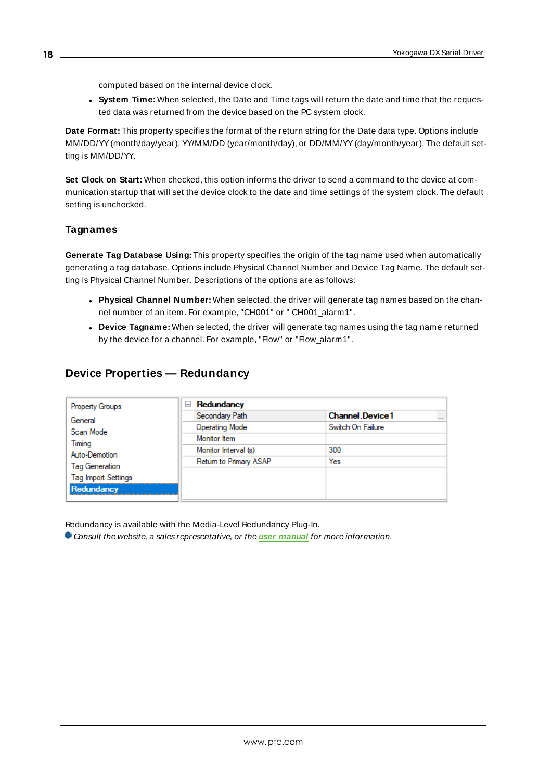computed based on the internal device clock.

<sup>l</sup> **System Time:** When selected, the Date and Time tags will return the date and time that the requested data was returned from the device based on the PC system clock.

**Date Format:** This property specifies the format of the return string for the Date data type. Options include MM/DD/YY(month/day/year), YY/MM/DD (year/month/day), or DD/MM/YY(day/month/year). The default setting is MM/DD/YY.

**Set Clock on Start:** When checked, this option informs the driver to send a command to the device at communication startup that will set the device clock to the date and time settings of the system clock. The default setting is unchecked.

### **Tagnames**

**Generate Tag Database Using:** This property specifies the origin of the tag name used when automatically generating a tag database. Options include Physical Channel Number and Device Tag Name. The default setting is Physical Channel Number. Descriptions of the options are as follows:

- <sup>l</sup> **Physical Channel Number:** When selected, the driver will generate tag names based on the channel number of an item. For example, "CH001" or " CH001\_alarm1".
- <sup>l</sup> **Device Tagname:** When selected, the driver will generate tag names using the tag name returned by the device for a channel. For example, "Flow" or "Flow\_alarm1".

# <span id="page-17-0"></span>**Device Properties — Redundancy**

| Property Groups            | Redundancy<br>$=$      |                                    |
|----------------------------|------------------------|------------------------------------|
| General                    | Secondary Path         | <b>Channel Device1</b><br>$\cdots$ |
| Scan Mode                  | <b>Operating Mode</b>  | Switch On Failure                  |
| Timing                     | Monitor Item           |                                    |
| Auto-Demotion              | Monitor Interval (s)   | 300                                |
| Tag Generation             | Return to Primary ASAP | Yes                                |
| <b>Tag Import Settings</b> |                        |                                    |
| Redundancy                 |                        |                                    |

Redundancy is available with the Media-Level Redundancy Plug-In.

Consult the website, a sales representative, or the **user [manual](https://www.kepware.com/getattachment/35461efd-b53a-4219-a109-a89fad20b230/media-level-redundancy-manual.pdf)** for more information.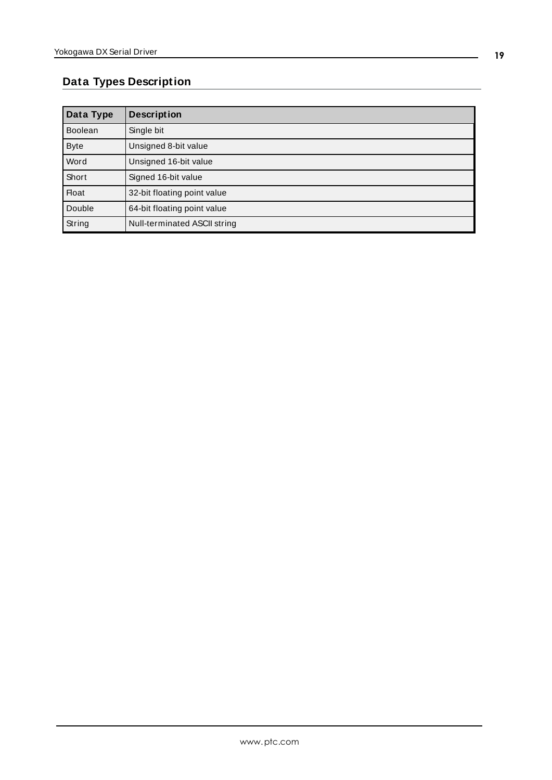# <span id="page-18-0"></span>**Data Types Description**

<span id="page-18-4"></span><span id="page-18-3"></span><span id="page-18-2"></span><span id="page-18-1"></span>

| Data Type      | <b>Description</b>           |
|----------------|------------------------------|
| <b>Boolean</b> | Single bit                   |
| <b>Byte</b>    | Unsigned 8-bit value         |
| Word           | Unsigned 16-bit value        |
| Short          | Signed 16-bit value          |
| <b>Float</b>   | 32-bit floating point value  |
| Double         | 64-bit floating point value  |
| String         | Null-terminated ASCII string |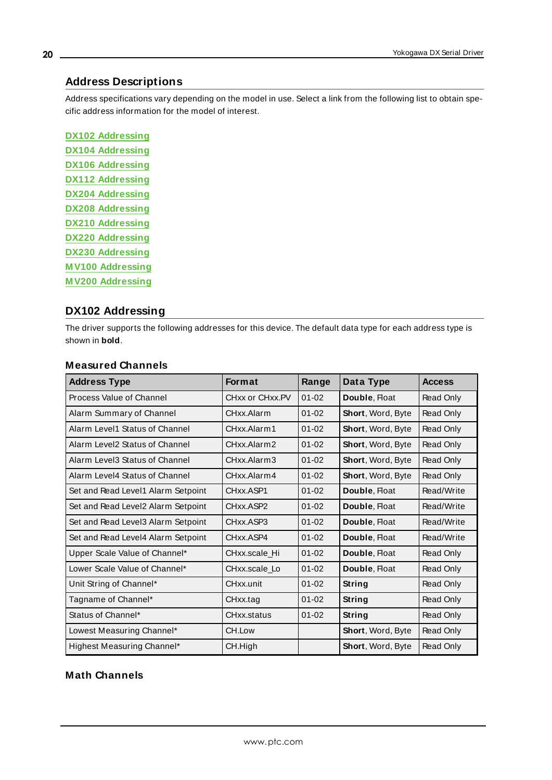# <span id="page-19-0"></span>**Address Descriptions**

Address specifications vary depending on the model in use. Select a link from the following list to obtain specific address information for the model of interest.

**DX102 [Addressing](#page-19-1) DX104 [Addressing](#page-21-0) DX106 [Addressing](#page-24-0) DX112 [Addressing](#page-27-0) DX204 [Addressing](#page-29-0) DX208 [Addressing](#page-32-0) DX210 [Addressing](#page-34-0) DX220 [Addressing](#page-37-0) DX230 [Addressing](#page-39-0) M V100 [Addressing](#page-42-0) M V200 [Addressing](#page-44-0)**

# <span id="page-19-1"></span>**DX102 Addressing**

The driver supports the following addresses for this device. The default data type for each address type is shown in **bold**.

| <b>Address Type</b>                | <b>Format</b>   | Range     | Data Type                | <b>Access</b> |
|------------------------------------|-----------------|-----------|--------------------------|---------------|
| Process Value of Channel           | CHxx or CHxx.PV | $01 - 02$ | Double, Float            | Read Only     |
| Alarm Summary of Channel           | CHxx.Alarm      | $01 - 02$ | Short, Word, Byte        | Read Only     |
| Alarm Level1 Status of Channel     | CHxx Alarm1     | $01 - 02$ | Short, Word, Byte        | Read Only     |
| Alarm Level2 Status of Channel     | CHxx.Alarm2     | $01 - 02$ | Short, Word, Byte        | Read Only     |
| Alarm Level3 Status of Channel     | CHxx.Alarm3     | $01 - 02$ | Short, Word, Byte        | Read Only     |
| Alarm Level4 Status of Channel     | CHxx.Alarm4     | $01 - 02$ | Short, Word, Byte        | Read Only     |
| Set and Read Level1 Alarm Setpoint | CHxx.ASP1       | $01 - 02$ | Double, Float            | Read/Write    |
| Set and Read Level2 Alarm Setpoint | CHxx.ASP2       | $01 - 02$ | Double, Float            | Read/Write    |
| Set and Read Level3 Alarm Setpoint | CHxx.ASP3       | $01 - 02$ | Double, Float            | Read/Write    |
| Set and Read Level4 Alarm Setpoint | CHxx.ASP4       | $01 - 02$ | Double, Float            | Read/Write    |
| Upper Scale Value of Channel*      | CHxx.scale Hi   | $01 - 02$ | Double, Float            | Read Only     |
| Lower Scale Value of Channel*      | CHxx.scale_Lo   | $01 - 02$ | Double, Float            | Read Only     |
| Unit String of Channel*            | CHxx.unit       | $01 - 02$ | <b>String</b>            | Read Only     |
| Tagname of Channel*                | CHxx.tag        | $01 - 02$ | String                   | Read Only     |
| Status of Channel*                 | CHxx.status     | $01 - 02$ | String                   | Read Only     |
| Lowest Measuring Channel*          | CH.Low          |           | <b>Short, Word, Byte</b> | Read Only     |
| Highest Measuring Channel*         | CH.High         |           | <b>Short, Word, Byte</b> | Read Only     |

# **Measured Channels**

# **Math Channels**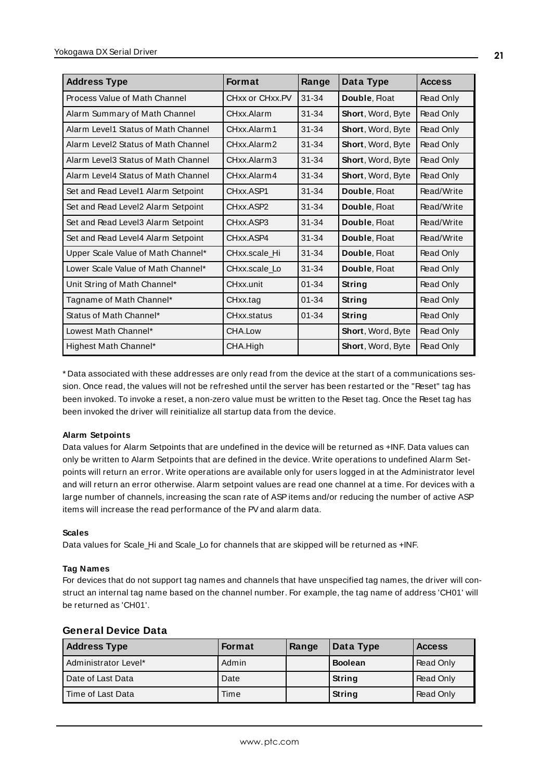| <b>Address Type</b>                 | <b>Format</b>   | Range     | Data Type                | <b>Access</b> |
|-------------------------------------|-----------------|-----------|--------------------------|---------------|
| Process Value of Math Channel       | CHxx or CHxx.PV | $31 - 34$ | Double, Float            | Read Only     |
| Alarm Summary of Math Channel       | CHxx.Alarm      | $31 - 34$ | Short, Word, Byte        | Read Only     |
| Alarm Level1 Status of Math Channel | CHxx.Alarm1     | $31 - 34$ | Short, Word, Byte        | Read Only     |
| Alarm Level2 Status of Math Channel | CHxx.Alarm2     | $31 - 34$ | <b>Short, Word, Byte</b> | Read Only     |
| Alarm Level3 Status of Math Channel | CHxx.Alarm3     | $31 - 34$ | Short, Word, Byte        | Read Only     |
| Alarm Level4 Status of Math Channel | CHxx.Alarm4     | $31 - 34$ | Short, Word, Byte        | Read Only     |
| Set and Read Level1 Alarm Setpoint  | CHxx.ASP1       | $31 - 34$ | Double, Float            | Read/Write    |
| Set and Read Level2 Alarm Setpoint  | CHxx ASP2       | $31 - 34$ | Double, Float            | Read/Write    |
| Set and Read Level3 Alarm Setpoint  | CHxx.ASP3       | $31 - 34$ | Double, Float            | Read/Write    |
| Set and Read Level4 Alarm Setpoint  | CHxx ASP4       | $31 - 34$ | Double, Float            | Read/Write    |
| Upper Scale Value of Math Channel*  | CHxx.scale Hi   | $31 - 34$ | Double, Float            | Read Only     |
| Lower Scale Value of Math Channel*  | CHxx.scale Lo   | $31 - 34$ | Double, Float            | Read Only     |
| Unit String of Math Channel*        | CHxx.unit       | $01 - 34$ | String                   | Read Only     |
| Tagname of Math Channel*            | CHxx.tag        | $01 - 34$ | String                   | Read Only     |
| Status of Math Channel*             | CHxx.status     | $01 - 34$ | <b>String</b>            | Read Only     |
| Lowest Math Channel*                | CHA.Low         |           | Short, Word, Byte        | Read Only     |
| Highest Math Channel*               | CHA.High        |           | Short, Word, Byte        | Read Only     |

<span id="page-20-0"></span>\* Data associated with these addresses are only read from the device at the start of a communications session. Once read, the values will not be refreshed until the server has been restarted or the "Reset" tag has been invoked. To invoke a reset, a non-zero value must be written to the Reset tag. Once the Reset tag has been invoked the driver will reinitialize all startup data from the device.

### **Alarm Setpoints**

Data values for Alarm Setpoints that are undefined in the device will be returned as +INF. Data values can only be written to Alarm Setpoints that are defined in the device. Write operations to undefined Alarm Setpoints will return an error. Write operations are available only for users logged in at the Administrator level and will return an error otherwise. Alarm setpoint values are read one channel at a time. For devices with a large number of channels, increasing the scan rate of ASPitems and/or reducing the number of active ASP items will increase the read performance of the PVand alarm data.

#### **Scales**

Data values for Scale\_Hi and Scale\_Lo for channels that are skipped will be returned as +INF.

#### **Tag Names**

For devices that do not support tag names and channels that have unspecified tag names, the driver will construct an internal tag name based on the channel number. For example, the tag name of address 'CH01' will be returned as 'CH01'.

| <b>Address Type</b>  | <b>Format</b> | Range | Data Type      | <b>Access</b> |
|----------------------|---------------|-------|----------------|---------------|
| Administrator Level* | Admin         |       | <b>Boolean</b> | Read Only     |
| Date of Last Data    | Date          |       | String         | Read Only     |
| Time of Last Data    | Time          |       | String         | Read Only     |

### **General Device Data**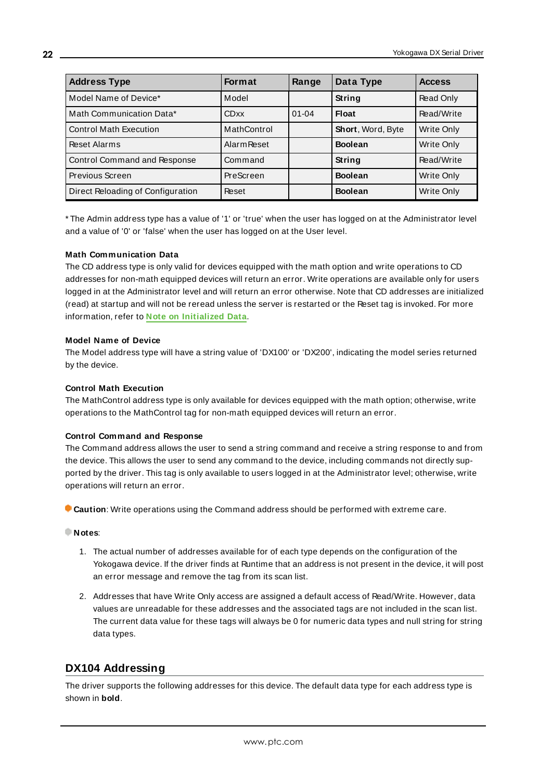| <b>Address Type</b>               | <b>Format</b>      | Range     | Data Type         | <b>Access</b>     |
|-----------------------------------|--------------------|-----------|-------------------|-------------------|
| Model Name of Device*             | Model              |           | String            | Read Only         |
| Math Communication Data*          | <b>CDxx</b>        | $01 - 04$ | <b>Float</b>      | Read/Write        |
| <b>Control Math Execution</b>     | MathControl        |           | Short, Word, Byte | Write Only        |
| Reset Alarms                      | <b>Alarm Reset</b> |           | <b>Boolean</b>    | Write Only        |
| Control Command and Response      | Command            |           | String            | Read/Write        |
| Previous Screen                   | PreScreen          |           | <b>Boolean</b>    | Write Only        |
| Direct Reloading of Configuration | Reset              |           | <b>Boolean</b>    | <b>Write Only</b> |

\* The Admin address type has a value of '1' or 'true' when the user has logged on at the Administrator level and a value of '0' or 'false' when the user has logged on at the User level.

#### **Math Communication Data**

The CD address type is only valid for devices equipped with the math option and write operations to CD addresses for non-math equipped devices will return an error. Write operations are available only for users logged in at the Administrator level and will return an error otherwise. Note that CD addresses are initialized (read) at startup and will not be reread unless the server is restarted or the Reset tag is invoked. For more information, refer to **Note on [Initialized](#page-20-0) Data**.

#### **Model Name of Device**

The Model address type will have a string value of 'DX100' or 'DX200', indicating the model series returned by the device.

#### **Control Math Execution**

The MathControl address type is only available for devices equipped with the math option; otherwise, write operations to the MathControl tag for non-math equipped devices will return an error.

#### **Control Command and Response**

The Command address allows the user to send a string command and receive a string response to and from the device. This allows the user to send any command to the device, including commands not directly supported by the driver. This tag is only available to users logged in at the Administrator level; otherwise, write operations will return an error.

**Caution**: Write operations using the Command address should be performed with extreme care.

#### **Notes**:

- 1. The actual number of addresses available for of each type depends on the configuration of the Yokogawa device. If the driver finds at Runtime that an address is not present in the device, it will post an error message and remove the tag from its scan list.
- 2. Addresses that have Write Only access are assigned a default access of Read/Write. However, data values are unreadable for these addresses and the associated tags are not included in the scan list. The current data value for these tags will always be 0 for numeric data types and null string for string data types.

# <span id="page-21-0"></span>**DX104 Addressing**

The driver supports the following addresses for this device. The default data type for each address type is shown in **bold**.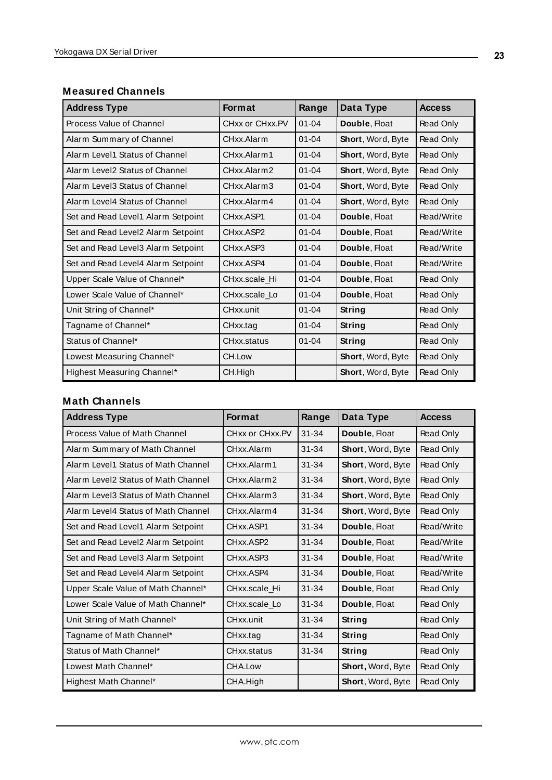# **Measured Channels**

| <b>Address Type</b>                | <b>Format</b>                      | Range     | Data Type         | <b>Access</b> |
|------------------------------------|------------------------------------|-----------|-------------------|---------------|
| Process Value of Channel           | CHxx or CHxx.PV                    | $01 - 04$ | Double, Float     | Read Only     |
| Alarm Summary of Channel           | CHxx Alarm                         | $01 - 04$ | Short, Word, Byte | Read Only     |
| Alarm Level1 Status of Channel     | CHxx.Alarm1                        | $01 - 04$ | Short, Word, Byte | Read Only     |
| Alarm Level2 Status of Channel     | CHxx.Alarm2                        | $01 - 04$ | Short, Word, Byte | Read Only     |
| Alarm Level3 Status of Channel     | CHxx.Alarm3                        | $01 - 04$ | Short, Word, Byte | Read Only     |
| Alarm Level4 Status of Channel     | CHxx.Alarm4                        | $01 - 04$ | Short, Word, Byte | Read Only     |
| Set and Read Level1 Alarm Setpoint | CHxx.ASP1                          | $01 - 04$ | Double, Float     | Read/Write    |
| Set and Read Level2 Alarm Setpoint | CH <sub>xx</sub> .ASP <sub>2</sub> | $01 - 04$ | Double, Float     | Read/Write    |
| Set and Read Level3 Alarm Setpoint | CHxx.ASP3                          | $01 - 04$ | Double, Float     | Read/Write    |
| Set and Read Level4 Alarm Setpoint | CHxx.ASP4                          | $01 - 04$ | Double, Float     | Read/Write    |
| Upper Scale Value of Channel*      | CHxx.scale Hi                      | $01 - 04$ | Double, Float     | Read Only     |
| Lower Scale Value of Channel*      | CHxx.scale Lo                      | $01 - 04$ | Double, Float     | Read Only     |
| Unit String of Channel*            | CHxx.unit                          | $01 - 04$ | String            | Read Only     |
| Tagname of Channel*                | CHxx.tag                           | $01 - 04$ | String            | Read Only     |
| Status of Channel*                 | CHxx.status                        | $01 - 04$ | String            | Read Only     |
| Lowest Measuring Channel*          | CH.Low                             |           | Short, Word, Byte | Read Only     |
| Highest Measuring Channel*         | CH.High                            |           | Short, Word, Byte | Read Only     |

# **Math Channels**

<span id="page-22-0"></span>

| <b>Address Type</b>                 | <b>Format</b>   | Range     | Data Type                 | <b>Access</b> |
|-------------------------------------|-----------------|-----------|---------------------------|---------------|
| Process Value of Math Channel       | CHxx or CHxx.PV | $31 - 34$ | Double, Float             | Read Only     |
| Alarm Summary of Math Channel       | CHxx Alarm      | $31 - 34$ | Short, Word, Byte         | Read Only     |
| Alarm Level1 Status of Math Channel | CHxx.Alarm1     | $31 - 34$ | <b>Short, Word, Byte</b>  | Read Only     |
| Alarm Level2 Status of Math Channel | CHxx.Alarm2     | $31 - 34$ | <b>Short, Word, Byte</b>  | Read Only     |
| Alarm Level3 Status of Math Channel | CHxx.Alarm3     | $31 - 34$ | <b>Short, Word, Byte</b>  | Read Only     |
| Alarm Level4 Status of Math Channel | CHxx Alarm4     | $31 - 34$ | <b>Short, Word, Byte</b>  | Read Only     |
| Set and Read Level1 Alarm Setpoint  | CHxx.ASP1       | $31 - 34$ | Double, Float             | Read/Write    |
| Set and Read Level2 Alarm Setpoint  | CHxx.ASP2       | $31 - 34$ | Double, Float             | Read/Write    |
| Set and Read Level3 Alarm Setpoint  | CHxx.ASP3       | $31 - 34$ | Double, Float             | Read/Write    |
| Set and Read Level4 Alarm Setpoint  | CHxx.ASP4       | $31 - 34$ | Double, Float             | Read/Write    |
| Upper Scale Value of Math Channel*  | CHxx.scale Hi   | $31 - 34$ | Double, Float             | Read Only     |
| Lower Scale Value of Math Channel*  | CHxx.scale Lo   | $31 - 34$ | Double, Float             | Read Only     |
| Unit String of Math Channel*        | CHxx.unit       | $31 - 34$ | String                    | Read Only     |
| Tagname of Math Channel*            | CHxx.tag        | $31 - 34$ | String                    | Read Only     |
| Status of Math Channel*             | CHxx.status     | $31 - 34$ | String                    | Read Only     |
| Lowest Math Channel*                | CHA.Low         |           | <b>Short, Word, Byte</b>  | Read Only     |
| Highest Math Channel*               | CHA.High        |           | <b>Short</b> , Word, Byte | Read Only     |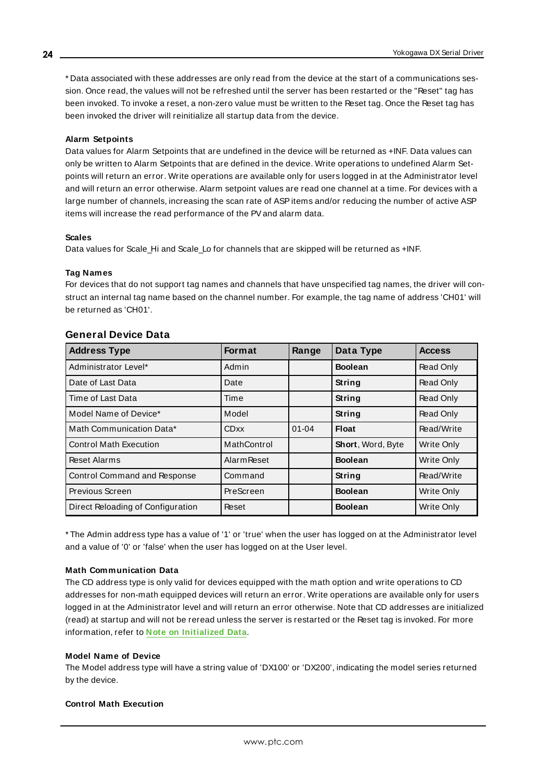\* Data associated with these addresses are only read from the device at the start of a communications session. Once read, the values will not be refreshed until the server has been restarted or the "Reset" tag has been invoked. To invoke a reset, a non-zero value must be written to the Reset tag. Once the Reset tag has been invoked the driver will reinitialize all startup data from the device.

#### **Alarm Setpoints**

Data values for Alarm Setpoints that are undefined in the device will be returned as +INF. Data values can only be written to Alarm Setpoints that are defined in the device. Write operations to undefined Alarm Setpoints will return an error. Write operations are available only for users logged in at the Administrator level and will return an error otherwise. Alarm setpoint values are read one channel at a time. For devices with a large number of channels, increasing the scan rate of ASP items and/or reducing the number of active ASP items will increase the read performance of the PVand alarm data.

#### **Scales**

Data values for Scale Hi and Scale Lo for channels that are skipped will be returned as +INF.

#### **Tag Names**

For devices that do not support tag names and channels that have unspecified tag names, the driver will construct an internal tag name based on the channel number. For example, the tag name of address 'CH01' will be returned as 'CH01'.

| <b>Address Type</b>               | <b>Format</b>      | Range     | Data Type         | <b>Access</b>     |
|-----------------------------------|--------------------|-----------|-------------------|-------------------|
| Administrator Level*              | Admin              |           | <b>Boolean</b>    | Read Only         |
| Date of Last Data                 | Date               |           | String            | Read Only         |
| Time of Last Data                 | Time               |           | <b>String</b>     | Read Only         |
| Model Name of Device*             | Model              |           | <b>String</b>     | Read Only         |
| Math Communication Data*          | <b>CDxx</b>        | $01 - 04$ | Float             | Read/Write        |
| <b>Control Math Execution</b>     | MathControl        |           | Short, Word, Byte | <b>Write Only</b> |
| Reset Alarms                      | <b>Alarm Reset</b> |           | <b>Boolean</b>    | Write Only        |
| Control Command and Response      | Command            |           | String            | Read/Write        |
| Previous Screen                   | PreScreen          |           | <b>Boolean</b>    | <b>Write Only</b> |
| Direct Reloading of Configuration | Reset              |           | <b>Boolean</b>    | Write Only        |

#### **General Device Data**

\* The Admin address type has a value of '1' or 'true' when the user has logged on at the Administrator level and a value of '0' or 'false' when the user has logged on at the User level.

### **Math Communication Data**

The CD address type is only valid for devices equipped with the math option and write operations to CD addresses for non-math equipped devices will return an error. Write operations are available only for users logged in at the Administrator level and will return an error otherwise. Note that CD addresses are initialized (read) at startup and will not be reread unless the server is restarted or the Reset tag is invoked. For more information, refer to **Note on [Initialized](#page-22-0) Data**.

#### **Model Name of Device**

The Model address type will have a string value of 'DX100' or 'DX200', indicating the model series returned by the device.

#### **Control Math Execution**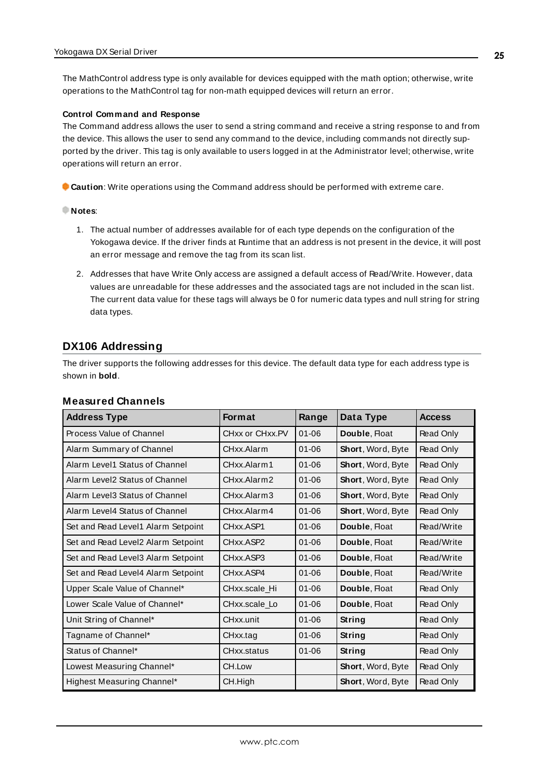The MathControl address type is only available for devices equipped with the math option; otherwise, write operations to the MathControl tag for non-math equipped devices will return an error.

#### **Control Command and Response**

The Command address allows the user to send a string command and receive a string response to and from the device. This allows the user to send any command to the device, including commands not directly supported by the driver. This tag is only available to users logged in at the Administrator level; otherwise, write operations will return an error.

**Caution**: Write operations using the Command address should be performed with extreme care.

#### **Notes**:

- 1. The actual number of addresses available for of each type depends on the configuration of the Yokogawa device. If the driver finds at Runtime that an address is not present in the device, it will post an error message and remove the tag from its scan list.
- 2. Addresses that have Write Only access are assigned a default access of Read/Write. However, data values are unreadable for these addresses and the associated tags are not included in the scan list. The current data value for these tags will always be 0 for numeric data types and null string for string data types.

### <span id="page-24-0"></span>**DX106 Addressing**

The driver supports the following addresses for this device. The default data type for each address type is shown in **bold**.

#### **Measured Channels**

| <b>Address Type</b>                | <b>Format</b>          | Range     | Data Type                | <b>Access</b> |
|------------------------------------|------------------------|-----------|--------------------------|---------------|
| Process Value of Channel           | CHxx or CHxx.PV        | $01 - 06$ | Double, Float            | Read Only     |
| Alarm Summary of Channel           | CHxx.Alarm             | $01 - 06$ | Short, Word, Byte        | Read Only     |
| Alarm Level1 Status of Channel     | CHxx Alarm1            | $01 - 06$ | Short, Word, Byte        | Read Only     |
| Alarm Level2 Status of Channel     | CHxx.Alarm2            | $01 - 06$ | Short, Word, Byte        | Read Only     |
| Alarm Level3 Status of Channel     | CHxx.Alarm3            | $01 - 06$ | Short, Word, Byte        | Read Only     |
| Alarm Level4 Status of Channel     | CHxx Alarm4            | $01 - 06$ | <b>Short, Word, Byte</b> | Read Only     |
| Set and Read Level1 Alarm Setpoint | CHxx.ASP1              | $01 - 06$ | Double, Float            | Read/Write    |
| Set and Read Level2 Alarm Setpoint | CHxx.ASP2              | $01 - 06$ | Double, Float            | Read/Write    |
| Set and Read Level3 Alarm Setpoint | CH <sub>xx</sub> .ASP3 | $01 - 06$ | Double, Float            | Read/Write    |
| Set and Read Level4 Alarm Setpoint | CHxx.ASP4              | $01 - 06$ | Double, Float            | Read/Write    |
| Upper Scale Value of Channel*      | CHxx.scale Hi          | $01 - 06$ | Double, Float            | Read Only     |
| Lower Scale Value of Channel*      | CHxx.scale Lo          | $01 - 06$ | Double, Float            | Read Only     |
| Unit String of Channel*            | CHxx.unit              | $01 - 06$ | <b>String</b>            | Read Only     |
| Tagname of Channel*                | CHxx.tag               | $01 - 06$ | String                   | Read Only     |
| Status of Channel*                 | CHxx.status            | $01 - 06$ | String                   | Read Only     |
| Lowest Measuring Channel*          | CH.Low                 |           | Short, Word, Byte        | Read Only     |
| Highest Measuring Channel*         | CH.High                |           | <b>Short, Word, Byte</b> | Read Only     |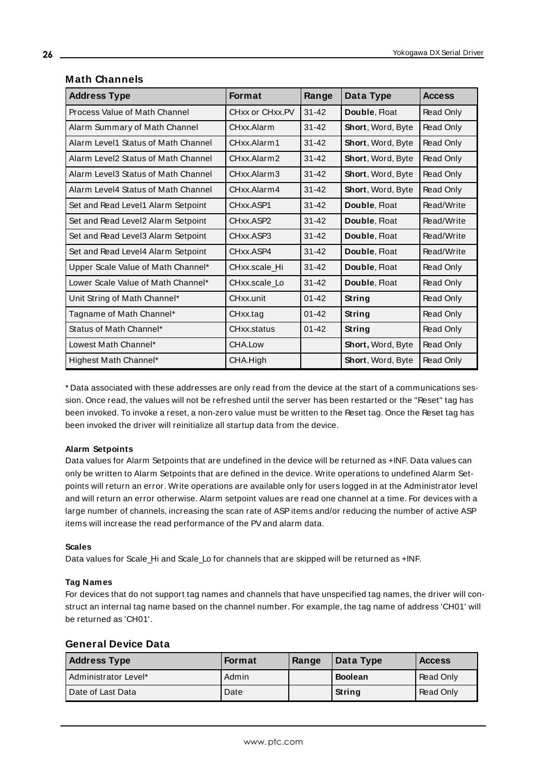| <b>Address Type</b>                 | <b>Format</b>   | Range     | Data Type                | <b>Access</b> |
|-------------------------------------|-----------------|-----------|--------------------------|---------------|
| Process Value of Math Channel       | CHxx or CHxx.PV | $31 - 42$ | Double, Float            | Read Only     |
| Alarm Summary of Math Channel       | CHxx.Alarm      | $31 - 42$ | Short, Word, Byte        | Read Only     |
| Alarm Level1 Status of Math Channel | CHxx.Alarm1     | $31 - 42$ | <b>Short, Word, Byte</b> | Read Only     |
| Alarm Level2 Status of Math Channel | CHxx.Alarm2     | $31 - 42$ | Short, Word, Byte        | Read Only     |
| Alarm Level3 Status of Math Channel | CHxx.Alarm3     | $31 - 42$ | Short, Word, Byte        | Read Only     |
| Alarm Level4 Status of Math Channel | CHxx.Alarm4     | $31 - 42$ | Short, Word, Byte        | Read Only     |
| Set and Read Level1 Alarm Setpoint  | CHxx.ASP1       | $31 - 42$ | Double, Float            | Read/Write    |
| Set and Read Level2 Alarm Setpoint  | CHxx.ASP2       | $31 - 42$ | Double, Float            | Read/Write    |
| Set and Read Level3 Alarm Setpoint  | CHxx.ASP3       | $31 - 42$ | Double, Float            | Read/Write    |
| Set and Read Level4 Alarm Setpoint  | CHxx ASP4       | $31 - 42$ | Double, Float            | Read/Write    |
| Upper Scale Value of Math Channel*  | CHxx.scale Hi   | $31 - 42$ | Double, Float            | Read Only     |
| Lower Scale Value of Math Channel*  | CHxx.scale Lo   | $31 - 42$ | Double, Float            | Read Only     |
| Unit String of Math Channel*        | CHxx.unit       | $01 - 42$ | String                   | Read Only     |
| Tagname of Math Channel*            | CHxx.tag        | $01 - 42$ | String                   | Read Only     |
| Status of Math Channel*             | CHxx.status     | $01 - 42$ | <b>String</b>            | Read Only     |
| Lowest Math Channel*                | CHA.Low         |           | Short, Word, Byte        | Read Only     |
| Highest Math Channel*               | CHA.High        |           | Short, Word, Byte        | Read Only     |

### **Math Channels**

<span id="page-25-0"></span>\* Data associated with these addresses are only read from the device at the start of a communications session. Once read, the values will not be refreshed until the server has been restarted or the "Reset" tag has been invoked. To invoke a reset, a non-zero value must be written to the Reset tag. Once the Reset tag has been invoked the driver will reinitialize all startup data from the device.

#### **Alarm Setpoints**

Data values for Alarm Setpoints that are undefined in the device will be returned as +INF. Data values can only be written to Alarm Setpoints that are defined in the device. Write operations to undefined Alarm Setpoints will return an error. Write operations are available only for users logged in at the Administrator level and will return an error otherwise. Alarm setpoint values are read one channel at a time. For devices with a large number of channels, increasing the scan rate of ASP items and/or reducing the number of active ASP items will increase the read performance of the PVand alarm data.

#### **Scales**

Data values for Scale\_Hi and Scale\_Lo for channels that are skipped will be returned as +INF.

#### **Tag Names**

For devices that do not support tag names and channels that have unspecified tag names, the driver will construct an internal tag name based on the channel number. For example, the tag name of address 'CH01' will be returned as 'CH01'.

| <b>Address Type</b>  | Format | Range | Data Type      | <b>Access</b> |
|----------------------|--------|-------|----------------|---------------|
| Administrator Level* | Admin  |       | <b>Boolean</b> | Read Only     |
| Date of Last Data    | Date   |       | <b>String</b>  | Read Only     |

#### **General Device Data**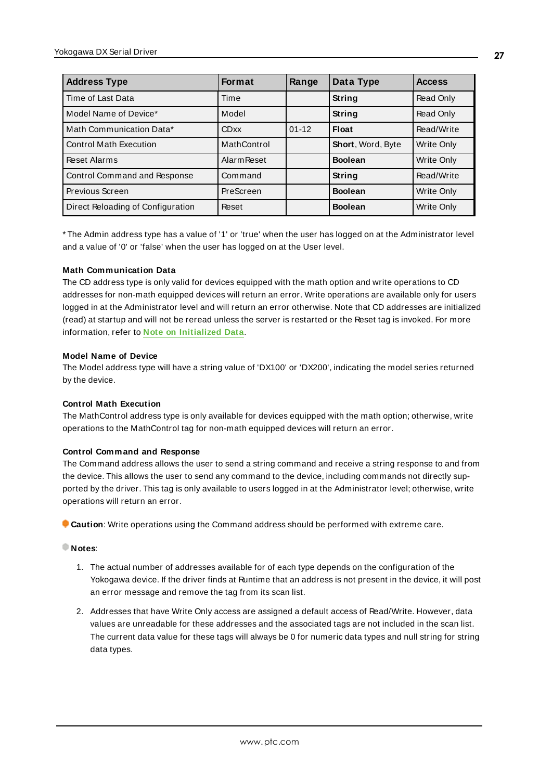| <b>Address Type</b>               | <b>Format</b>      | Range     | Data Type         | <b>Access</b>     |
|-----------------------------------|--------------------|-----------|-------------------|-------------------|
| Time of Last Data                 | Time               |           | String            | Read Only         |
| Model Name of Device*             | Model              |           | <b>String</b>     | Read Only         |
| Math Communication Data*          | <b>CDxx</b>        | $01 - 12$ | <b>Float</b>      | Read/Write        |
| <b>Control Math Execution</b>     | MathControl        |           | Short, Word, Byte | <b>Write Only</b> |
| <b>Reset Alarms</b>               | <b>Alarm Reset</b> |           | <b>Boolean</b>    | Write Only        |
| Control Command and Response      | Command            |           | String            | Read/Write        |
| Previous Screen                   | PreScreen          |           | <b>Boolean</b>    | Write Only        |
| Direct Reloading of Configuration | Reset              |           | <b>Boolean</b>    | Write Only        |

\* The Admin address type has a value of '1' or 'true' when the user has logged on at the Administrator level and a value of '0' or 'false' when the user has logged on at the User level.

#### **Math Communication Data**

The CD address type is only valid for devices equipped with the math option and write operations to CD addresses for non-math equipped devices will return an error. Write operations are available only for users logged in at the Administrator level and will return an error otherwise. Note that CD addresses are initialized (read) at startup and will not be reread unless the server is restarted or the Reset tag is invoked. For more information, refer to **Note on [Initialized](#page-25-0) Data**.

#### **Model Name of Device**

The Model address type will have a string value of 'DX100' or 'DX200', indicating the model series returned by the device.

#### **Control Math Execution**

The MathControl address type is only available for devices equipped with the math option; otherwise, write operations to the MathControl tag for non-math equipped devices will return an error.

#### **Control Command and Response**

The Command address allows the user to send a string command and receive a string response to and from the device. This allows the user to send any command to the device, including commands not directly supported by the driver. This tag is only available to users logged in at the Administrator level; otherwise, write operations will return an error.

**Caution**: Write operations using the Command address should be performed with extreme care.

#### **Notes**:

- 1. The actual number of addresses available for of each type depends on the configuration of the Yokogawa device. If the driver finds at Runtime that an address is not present in the device, it will post an error message and remove the tag from its scan list.
- 2. Addresses that have Write Only access are assigned a default access of Read/Write. However, data values are unreadable for these addresses and the associated tags are not included in the scan list. The current data value for these tags will always be 0 for numeric data types and null string for string data types.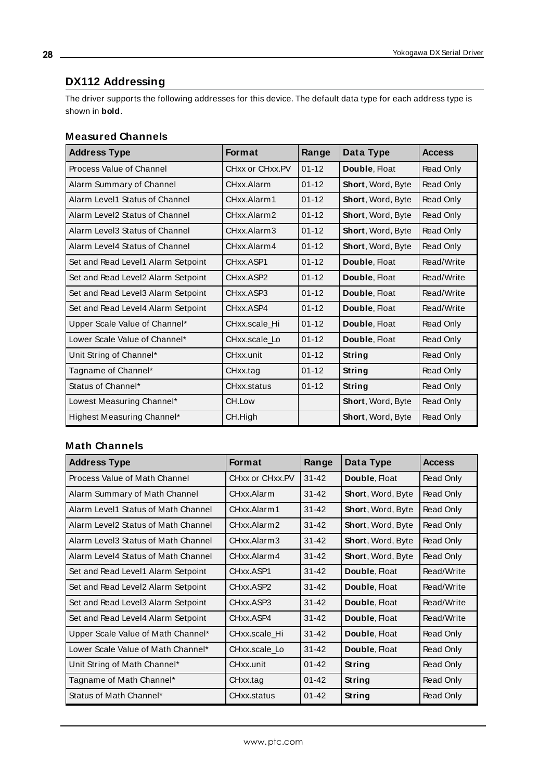# <span id="page-27-0"></span>**DX112 Addressing**

The driver supports the following addresses for this device. The default data type for each address type is shown in **bold**.

### **Measured Channels**

| <b>Address Type</b>                | <b>Format</b>   | Range     | Data Type         | <b>Access</b> |
|------------------------------------|-----------------|-----------|-------------------|---------------|
| Process Value of Channel           | CHxx or CHxx.PV | $01 - 12$ | Double, Float     | Read Only     |
| Alarm Summary of Channel           | CHxx Alarm      | $01 - 12$ | Short, Word, Byte | Read Only     |
| Alarm Level1 Status of Channel     | CHxx.Alarm1     | $01 - 12$ | Short, Word, Byte | Read Only     |
| Alarm Level2 Status of Channel     | CHxx.Alarm2     | $01 - 12$ | Short, Word, Byte | Read Only     |
| Alarm Level3 Status of Channel     | CHxx.Alarm3     | $01 - 12$ | Short, Word, Byte | Read Only     |
| Alarm Level4 Status of Channel     | CHxx Alarm4     | $01 - 12$ | Short, Word, Byte | Read Only     |
| Set and Read Level1 Alarm Setpoint | CHxx.ASP1       | $01 - 12$ | Double, Float     | Read/Write    |
| Set and Read Level2 Alarm Setpoint | CHxx.ASP2       | $01 - 12$ | Double, Float     | Read/Write    |
| Set and Read Level3 Alarm Setpoint | CHxx.ASP3       | $01 - 12$ | Double, Float     | Read/Write    |
| Set and Read Level4 Alarm Setpoint | CHxx.ASP4       | $01 - 12$ | Double, Float     | Read/Write    |
| Upper Scale Value of Channel*      | CHxx.scale Hi   | $01 - 12$ | Double, Float     | Read Only     |
| Lower Scale Value of Channel*      | CHxx.scale Lo   | $01 - 12$ | Double, Float     | Read Only     |
| Unit String of Channel*            | CHxx.unit       | $01 - 12$ | String            | Read Only     |
| Tagname of Channel*                | CHxx.tag        | $01 - 12$ | String            | Read Only     |
| Status of Channel*                 | CHxx.status     | $01 - 12$ | String            | Read Only     |
| Lowest Measuring Channel*          | CH.Low          |           | Short, Word, Byte | Read Only     |
| Highest Measuring Channel*         | CH.High         |           | Short, Word, Byte | Read Only     |

# **Math Channels**

| <b>Address Type</b>                 | <b>Format</b>   | Range     | Data Type                | <b>Access</b> |
|-------------------------------------|-----------------|-----------|--------------------------|---------------|
| Process Value of Math Channel       | CHxx or CHxx.PV | 31-42     | Double, Float            | Read Only     |
| Alarm Summary of Math Channel       | CHxx Alarm      | $31 - 42$ | Short, Word, Byte        | Read Only     |
| Alarm Level1 Status of Math Channel | CHxx.Alarm1     | $31 - 42$ | Short, Word, Byte        | Read Only     |
| Alarm Level2 Status of Math Channel | CHxx.Alarm2     | 31-42     | <b>Short, Word, Byte</b> | Read Only     |
| Alarm Level3 Status of Math Channel | CHxx Alarm3     | $31 - 42$ | Short, Word, Byte        | Read Only     |
| Alarm Level4 Status of Math Channel | CHxx.Alarm4     | $31 - 42$ | Short, Word, Byte        | Read Only     |
| Set and Read Level1 Alarm Setpoint  | CHxx.ASP1       | $31 - 42$ | Double, Float            | Read/Write    |
| Set and Read Level2 Alarm Setpoint  | CHxx.ASP2       | $31 - 42$ | Double, Float            | Read/Write    |
| Set and Read Level3 Alarm Setpoint  | CHxx.ASP3       | $31 - 42$ | Double, Float            | Read/Write    |
| Set and Read Level4 Alarm Setpoint  | CHxx ASP4       | $31 - 42$ | Double, Float            | Read/Write    |
| Upper Scale Value of Math Channel*  | CHxx.scale Hi   | $31 - 42$ | Double, Float            | Read Only     |
| Lower Scale Value of Math Channel*  | CHxx.scale_Lo   | $31 - 42$ | Double, Float            | Read Only     |
| Unit String of Math Channel*        | CHxx.unit       | $01 - 42$ | String                   | Read Only     |
| Tagname of Math Channel*            | CHxx.tag        | 01-42     | String                   | Read Only     |
| Status of Math Channel*             | CHxx.status     | $01 - 42$ | String                   | Read Only     |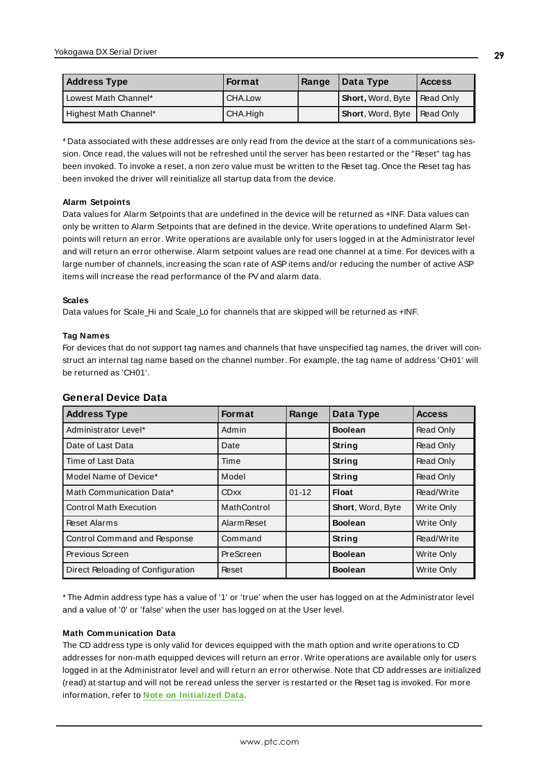| <b>Address Type</b>   | <b>Format</b> | Range | Data Type                          | <b>Access</b> |
|-----------------------|---------------|-------|------------------------------------|---------------|
| Lowest Math Channel*  | CHA.Low       |       | Short, Word, Byte   Read Only      |               |
| Highest Math Channel* | CHA.High      |       | <b>Short, Word, Byte Read Only</b> |               |

<span id="page-28-0"></span>\* Data associated with these addresses are only read from the device at the start of a communications session. Once read, the values will not be refreshed until the server has been restarted or the "Reset" tag has been invoked. To invoke a reset, a non zero value must be written to the Reset tag. Once the Reset tag has been invoked the driver will reinitialize all startup data from the device.

#### **Alarm Setpoints**

Data values for Alarm Setpoints that are undefined in the device will be returned as +INF. Data values can only be written to Alarm Setpoints that are defined in the device. Write operations to undefined Alarm Setpoints will return an error. Write operations are available only for users logged in at the Administrator level and will return an error otherwise. Alarm setpoint values are read one channel at a time. For devices with a large number of channels, increasing the scan rate of ASPitems and/or reducing the number of active ASP items will increase the read performance of the PVand alarm data.

#### **Scales**

Data values for Scale\_Hi and Scale\_Lo for channels that are skipped will be returned as +INF.

#### **Tag Names**

For devices that do not support tag names and channels that have unspecified tag names, the driver will construct an internal tag name based on the channel number. For example, the tag name of address 'CH01' will be returned as 'CH01'.

| <b>Address Type</b>               | <b>Format</b>      | Range     | Data Type         | <b>Access</b>     |
|-----------------------------------|--------------------|-----------|-------------------|-------------------|
| Administrator Level*              | Admin              |           | <b>Boolean</b>    | Read Only         |
| Date of Last Data                 | Date               |           | String            | Read Only         |
| Time of Last Data                 | Time               |           | String            | Read Only         |
| Model Name of Device*             | Model              |           | String            | Read Only         |
| Math Communication Data*          | <b>CDxx</b>        | $01 - 12$ | <b>Float</b>      | Read/Write        |
| <b>Control Math Execution</b>     | MathControl        |           | Short, Word, Byte | Write Only        |
| <b>Reset Alarms</b>               | <b>Alarm Reset</b> |           | <b>Boolean</b>    | <b>Write Only</b> |
| Control Command and Response      | Command            |           | String            | Read/Write        |
| Previous Screen                   | PreScreen          |           | <b>Boolean</b>    | <b>Write Only</b> |
| Direct Reloading of Configuration | Reset              |           | <b>Boolean</b>    | Write Only        |

#### **General Device Data**

\* The Admin address type has a value of '1' or 'true' when the user has logged on at the Administrator level and a value of '0' or 'false' when the user has logged on at the User level.

### **Math Communication Data**

The CD address type is only valid for devices equipped with the math option and write operations to CD addresses for non-math equipped devices will return an error. Write operations are available only for users logged in at the Administrator level and will return an error otherwise. Note that CD addresses are initialized (read) at startup and will not be reread unless the server is restarted or the Reset tag is invoked. For more information, refer to **Note on [Initialized](#page-28-0) Data**.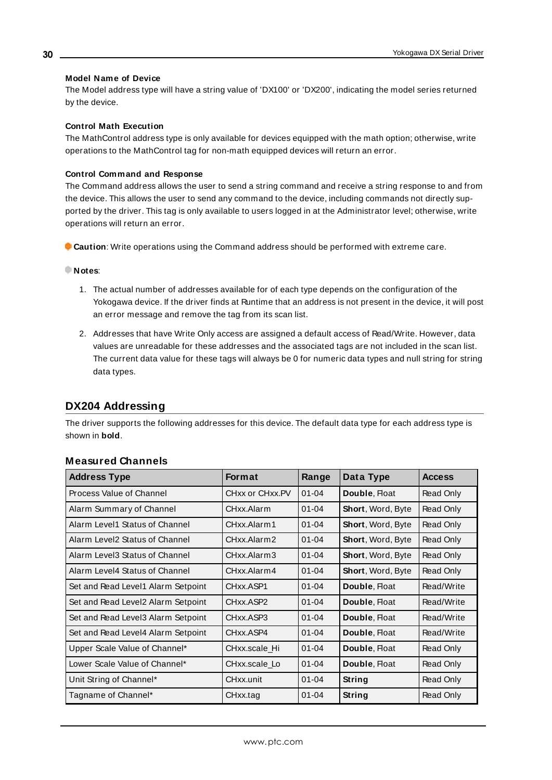#### **Model Name of Device**

The Model address type will have a string value of 'DX100' or 'DX200', indicating the model series returned by the device.

#### **Control Math Execution**

The MathControl address type is only available for devices equipped with the math option; otherwise, write operations to the MathControl tag for non-math equipped devices will return an error.

#### **Control Command and Response**

The Command address allows the user to send a string command and receive a string response to and from the device. This allows the user to send any command to the device, including commands not directly supported by the driver. This tag is only available to users logged in at the Administrator level; otherwise, write operations will return an error.

**Caution**: Write operations using the Command address should be performed with extreme care.

#### **Notes**:

- 1. The actual number of addresses available for of each type depends on the configuration of the Yokogawa device. If the driver finds at Runtime that an address is not present in the device, it will post an error message and remove the tag from its scan list.
- 2. Addresses that have Write Only access are assigned a default access of Read/Write. However, data values are unreadable for these addresses and the associated tags are not included in the scan list. The current data value for these tags will always be 0 for numeric data types and null string for string data types.

# <span id="page-29-0"></span>**DX204 Addressing**

The driver supports the following addresses for this device. The default data type for each address type is shown in **bold**.

| <b>Address Type</b>                | <b>Format</b>   | Range     | Data Type         | <b>Access</b> |
|------------------------------------|-----------------|-----------|-------------------|---------------|
| Process Value of Channel           | CHxx or CHxx.PV | $01 - 04$ | Double, Float     | Read Only     |
| Alarm Summary of Channel           | CHxx Alarm      | $01 - 04$ | Short, Word, Byte | Read Only     |
| Alarm Level1 Status of Channel     | CHxx Alarm 1    | $01 - 04$ | Short, Word, Byte | Read Only     |
| Alarm Level2 Status of Channel     | CHxx.Alarm2     | $01 - 04$ | Short, Word, Byte | Read Only     |
| Alarm Level3 Status of Channel     | CHxx.Alarm3     | $01 - 04$ | Short, Word, Byte | Read Only     |
| Alarm Level4 Status of Channel     | CHxx.Alarm4     | $01 - 04$ | Short, Word, Byte | Read Only     |
| Set and Read Level1 Alarm Setpoint | CHxx.ASP1       | $01 - 04$ | Double, Float     | Read/Write    |
| Set and Read Level2 Alarm Setpoint | CHxx.ASP2       | $01 - 04$ | Double, Float     | Read/Write    |
| Set and Read Level3 Alarm Setpoint | CHxx.ASP3       | $01 - 04$ | Double, Float     | Read/Write    |
| Set and Read Level4 Alarm Setpoint | CHxx.ASP4       | $01 - 04$ | Double, Float     | Read/Write    |
| Upper Scale Value of Channel*      | CHxx.scale Hi   | $01 - 04$ | Double, Float     | Read Only     |
| Lower Scale Value of Channel*      | CHxx.scale_Lo   | $01 - 04$ | Double, Float     | Read Only     |
| Unit String of Channel*            | CHxx.unit       | $01 - 04$ | String            | Read Only     |
| Tagname of Channel*                | CHxx.tag        | $01 - 04$ | String            | Read Only     |

#### **Measured Channels**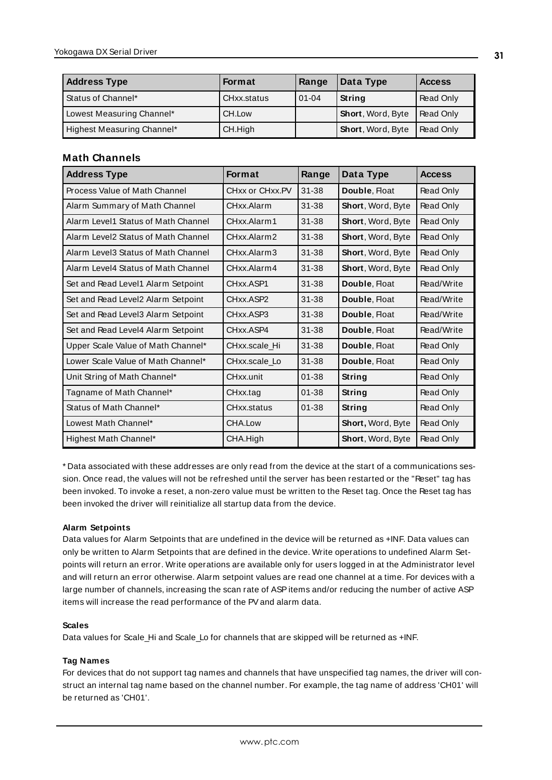| <b>Address Type</b>        | <b>Format</b> | Range     | Data Type                | <b>Access</b>    |
|----------------------------|---------------|-----------|--------------------------|------------------|
| Status of Channel*         | CHxx.status   | $01 - 04$ | String                   | Read Only        |
| Lowest Measuring Channel*  | CH.Low        |           | <b>Short, Word, Byte</b> | Read Only        |
| Highest Measuring Channel* | CH.High       |           | Short, Word, Byte        | <b>Read Only</b> |

### **Math Channels**

| <b>Address Type</b>                 | <b>Format</b>   | Range     | Data Type                | <b>Access</b> |
|-------------------------------------|-----------------|-----------|--------------------------|---------------|
| Process Value of Math Channel       | CHxx or CHxx.PV | $31 - 38$ | Double, Float            | Read Only     |
| Alarm Summary of Math Channel       | CHxx.Alarm      | $31 - 38$ | Short, Word, Byte        | Read Only     |
| Alarm Level1 Status of Math Channel | CHxx.Alarm1     | 31-38     | Short, Word, Byte        | Read Only     |
| Alarm Level2 Status of Math Channel | CHxx.Alarm2     | 31-38     | Short, Word, Byte        | Read Only     |
| Alarm Level3 Status of Math Channel | CHxx.Alarm3     | $31 - 38$ | Short, Word, Byte        | Read Only     |
| Alarm Level4 Status of Math Channel | CHxx.Alarm4     | 31-38     | Short, Word, Byte        | Read Only     |
| Set and Read Level1 Alarm Setpoint  | CHxx.ASP1       | $31 - 38$ | Double, Float            | Read/Write    |
| Set and Read Level2 Alarm Setpoint  | CHxx.ASP2       | $31 - 38$ | Double, Float            | Read/Write    |
| Set and Read Level3 Alarm Setpoint  | CHxx.ASP3       | $31 - 38$ | Double, Float            | Read/Write    |
| Set and Read Level4 Alarm Setpoint  | CHxx ASP4       | $31 - 38$ | Double, Float            | Read/Write    |
| Upper Scale Value of Math Channel*  | CHxx.scale Hi   | $31 - 38$ | Double, Float            | Read Only     |
| Lower Scale Value of Math Channel*  | CHxx.scale Lo   | 31-38     | Double, Float            | Read Only     |
| Unit String of Math Channel*        | CHxx.unit       | $01 - 38$ | String                   | Read Only     |
| Tagname of Math Channel*            | CHxx.tag        | $01 - 38$ | String                   | Read Only     |
| Status of Math Channel*             | CHxx.status     | $01 - 38$ | String                   | Read Only     |
| Lowest Math Channel*                | CHA.Low         |           | <b>Short, Word, Byte</b> | Read Only     |
| Highest Math Channel*               | CHA.High        |           | Short, Word, Byte        | Read Only     |

<span id="page-30-0"></span>\* Data associated with these addresses are only read from the device at the start of a communications session. Once read, the values will not be refreshed until the server has been restarted or the "Reset" tag has been invoked. To invoke a reset, a non-zero value must be written to the Reset tag. Once the Reset tag has been invoked the driver will reinitialize all startup data from the device.

### **Alarm Setpoints**

Data values for Alarm Setpoints that are undefined in the device will be returned as +INF. Data values can only be written to Alarm Setpoints that are defined in the device. Write operations to undefined Alarm Setpoints will return an error. Write operations are available only for users logged in at the Administrator level and will return an error otherwise. Alarm setpoint values are read one channel at a time. For devices with a large number of channels, increasing the scan rate of ASPitems and/or reducing the number of active ASP items will increase the read performance of the PVand alarm data.

#### **Scales**

Data values for Scale\_Hi and Scale\_Lo for channels that are skipped will be returned as +INF.

#### **Tag Names**

For devices that do not support tag names and channels that have unspecified tag names, the driver will construct an internal tag name based on the channel number. For example, the tag name of address 'CH01' will be returned as 'CH01'.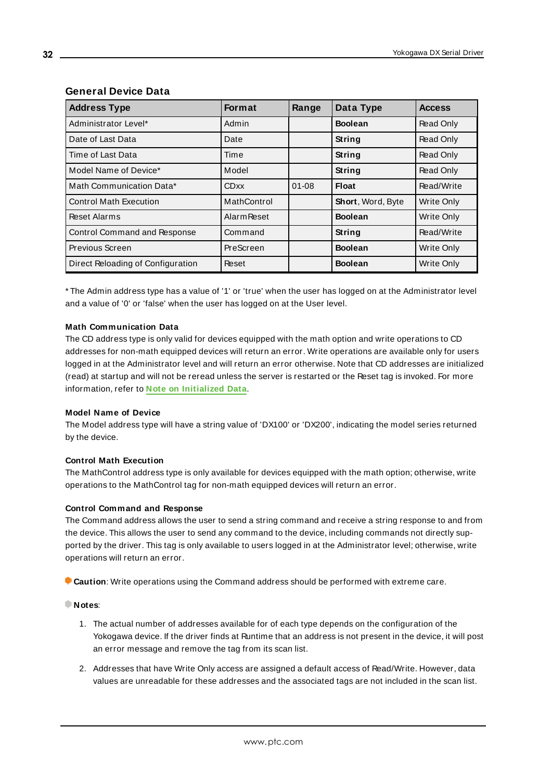| <b>Address Type</b>               | Format             | Range     | Data Type                | <b>Access</b>     |
|-----------------------------------|--------------------|-----------|--------------------------|-------------------|
| Administrator Level*              | Admin              |           | <b>Boolean</b>           | Read Only         |
| Date of Last Data                 | Date               |           | <b>String</b>            | Read Only         |
| Time of Last Data                 | Time               |           | <b>String</b>            | Read Only         |
| Model Name of Device*             | Model              |           | String                   | Read Only         |
| Math Communication Data*          | <b>CDxx</b>        | $01 - 08$ | <b>Float</b>             | Read/Write        |
| <b>Control Math Execution</b>     | MathControl        |           | <b>Short, Word, Byte</b> | Write Only        |
| <b>Reset Alarms</b>               | <b>Alarm Reset</b> |           | <b>Boolean</b>           | <b>Write Only</b> |
| Control Command and Response      | Command            |           | String                   | Read/Write        |
| Previous Screen                   | PreScreen          |           | <b>Boolean</b>           | Write Only        |
| Direct Reloading of Configuration | Reset              |           | <b>Boolean</b>           | Write Only        |

# **General Device Data**

\* The Admin address type has a value of '1' or 'true' when the user has logged on at the Administrator level and a value of '0' or 'false' when the user has logged on at the User level.

# **Math Communication Data**

The CD address type is only valid for devices equipped with the math option and write operations to CD addresses for non-math equipped devices will return an error. Write operations are available only for users logged in at the Administrator level and will return an error otherwise. Note that CD addresses are initialized (read) at startup and will not be reread unless the server is restarted or the Reset tag is invoked. For more information, refer to **Note on [Initialized](#page-30-0) Data**.

# **Model Name of Device**

The Model address type will have a string value of 'DX100' or 'DX200', indicating the model series returned by the device.

# **Control Math Execution**

The MathControl address type is only available for devices equipped with the math option; otherwise, write operations to the MathControl tag for non-math equipped devices will return an error.

# **Control Command and Response**

The Command address allows the user to send a string command and receive a string response to and from the device. This allows the user to send any command to the device, including commands not directly supported by the driver. This tag is only available to users logged in at the Administrator level; otherwise, write operations will return an error.

**Caution**: Write operations using the Command address should be performed with extreme care.

# **Notes**:

- 1. The actual number of addresses available for of each type depends on the configuration of the Yokogawa device. If the driver finds at Runtime that an address is not present in the device, it will post an error message and remove the tag from its scan list.
- 2. Addresses that have Write Only access are assigned a default access of Read/Write. However, data values are unreadable for these addresses and the associated tags are not included in the scan list.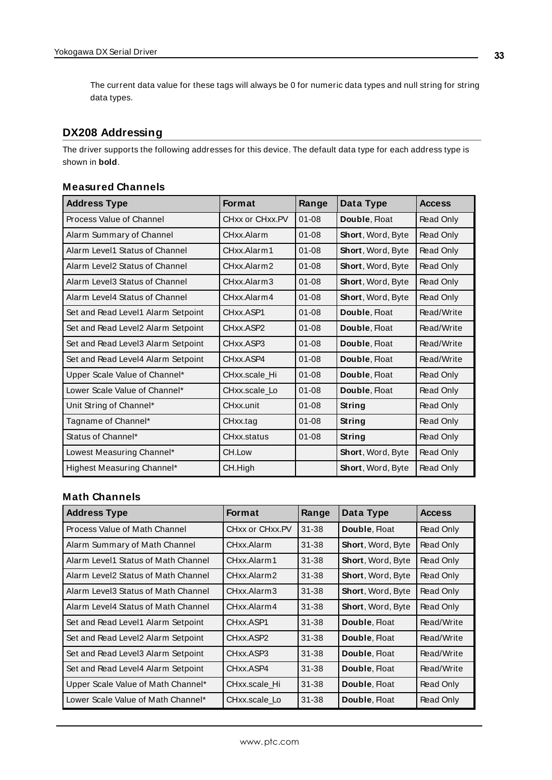The current data value for these tags will always be 0 for numeric data types and null string for string data types.

# <span id="page-32-0"></span>**DX208 Addressing**

The driver supports the following addresses for this device. The default data type for each address type is shown in **bold**.

### **Measured Channels**

| <b>Address Type</b>                | <b>Format</b>          | Range     | Data Type         | <b>Access</b> |
|------------------------------------|------------------------|-----------|-------------------|---------------|
| Process Value of Channel           | CHxx or CHxx.PV        | $01 - 08$ | Double, Float     | Read Only     |
| Alarm Summary of Channel           | CHxx Alarm             | $01 - 08$ | Short, Word, Byte | Read Only     |
| Alarm Level1 Status of Channel     | CHxx.Alarm1            | $01 - 08$ | Short, Word, Byte | Read Only     |
| Alarm Level2 Status of Channel     | CHxx.Alarm2            | $01 - 08$ | Short, Word, Byte | Read Only     |
| Alarm Level3 Status of Channel     | CHxx.Alarm3            | $01 - 08$ | Short, Word, Byte | Read Only     |
| Alarm Level4 Status of Channel     | CHxx Alarm4            | $01 - 08$ | Short, Word, Byte | Read Only     |
| Set and Read Level1 Alarm Setpoint | CHxx.ASP1              | $01 - 08$ | Double, Float     | Read/Write    |
| Set and Read Level2 Alarm Setpoint | CHxx.ASP2              | $01 - 08$ | Double, Float     | Read/Write    |
| Set and Read Level3 Alarm Setpoint | CH <sub>xx</sub> .ASP3 | $01 - 08$ | Double, Float     | Read/Write    |
| Set and Read Level4 Alarm Setpoint | CHxx.ASP4              | $01 - 08$ | Double, Float     | Read/Write    |
| Upper Scale Value of Channel*      | CHxx.scale Hi          | $01 - 08$ | Double, Float     | Read Only     |
| Lower Scale Value of Channel*      | CHxx.scale Lo          | $01 - 08$ | Double, Float     | Read Only     |
| Unit String of Channel*            | CHxx.unit              | $01 - 08$ | String            | Read Only     |
| Tagname of Channel*                | CHxx.tag               | $01 - 08$ | String            | Read Only     |
| Status of Channel*                 | CHxx.status            | $01 - 08$ | <b>String</b>     | Read Only     |
| Lowest Measuring Channel*          | CH.Low                 |           | Short, Word, Byte | Read Only     |
| Highest Measuring Channel*         | CH.High                |           | Short, Word, Byte | Read Only     |

### **Math Channels**

| <b>Address Type</b>                 | <b>Format</b>   | Range     | Data Type                | <b>Access</b> |
|-------------------------------------|-----------------|-----------|--------------------------|---------------|
| Process Value of Math Channel       | CHxx or CHxx.PV | $31 - 38$ | Double, Float            | Read Only     |
| Alarm Summary of Math Channel       | CHxx.Alarm      | $31 - 38$ | <b>Short, Word, Byte</b> | Read Only     |
| Alarm Level1 Status of Math Channel | CHxx.Alarm1     | $31 - 38$ | <b>Short, Word, Byte</b> | Read Only     |
| Alarm Level2 Status of Math Channel | CHxx.Alarm2     | $31 - 38$ | <b>Short, Word, Byte</b> | Read Only     |
| Alarm Level3 Status of Math Channel | CHxx.Alarm3     | $31 - 38$ | Short, Word, Byte        | Read Only     |
| Alarm Level4 Status of Math Channel | CHxx Alarm4     | $31 - 38$ | <b>Short, Word, Byte</b> | Read Only     |
| Set and Read Level1 Alarm Setpoint  | CHxx.ASP1       | $31 - 38$ | Double, Float            | Read/Write    |
| Set and Read Level2 Alarm Setpoint  | CHxx.ASP2       | $31 - 38$ | Double, Float            | Read/Write    |
| Set and Read Level3 Alarm Setpoint  | CHxx.ASP3       | $31 - 38$ | Double, Float            | Read/Write    |
| Set and Read Level4 Alarm Setpoint  | CHxx.ASP4       | $31 - 38$ | Double, Float            | Read/Write    |
| Upper Scale Value of Math Channel*  | CHxx.scale Hi   | $31 - 38$ | Double, Float            | Read Only     |
| Lower Scale Value of Math Channel*  | CHxx.scale Lo   | $31 - 38$ | Double, Float            | Read Only     |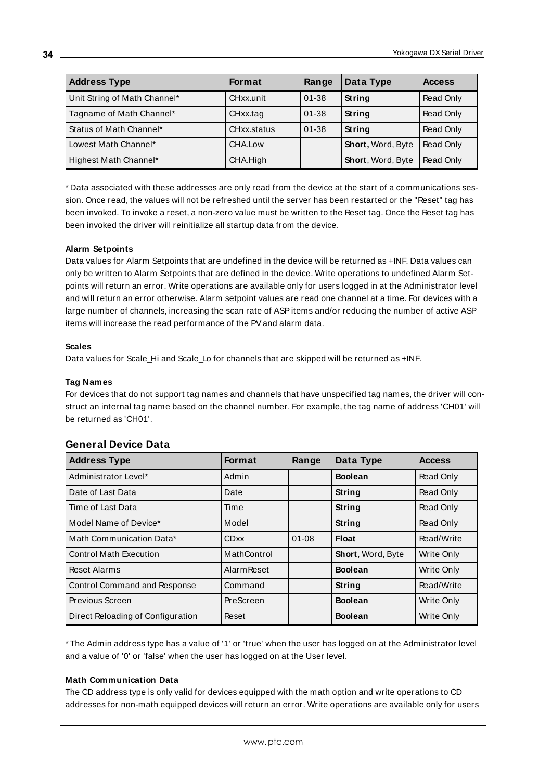| <b>Address Type</b>          | <b>Format</b> | Range     | Data Type         | <b>Access</b> |
|------------------------------|---------------|-----------|-------------------|---------------|
| Unit String of Math Channel* | CHxx.unit     | $01 - 38$ | String            | Read Only     |
| Tagname of Math Channel*     | CHxx.tag      | $01 - 38$ | String            | Read Only     |
| Status of Math Channel*      | CHxx.status   | $01 - 38$ | <b>String</b>     | Read Only     |
| Lowest Math Channel*         | CHA.Low       |           | Short, Word, Byte | Read Only     |
| Highest Math Channel*        | CHA.High      |           | Short, Word, Byte | Read Only     |

<span id="page-33-0"></span>\* Data associated with these addresses are only read from the device at the start of a communications session. Once read, the values will not be refreshed until the server has been restarted or the "Reset" tag has been invoked. To invoke a reset, a non-zero value must be written to the Reset tag. Once the Reset tag has been invoked the driver will reinitialize all startup data from the device.

#### **Alarm Setpoints**

Data values for Alarm Setpoints that are undefined in the device will be returned as +INF. Data values can only be written to Alarm Setpoints that are defined in the device. Write operations to undefined Alarm Setpoints will return an error. Write operations are available only for users logged in at the Administrator level and will return an error otherwise. Alarm setpoint values are read one channel at a time. For devices with a large number of channels, increasing the scan rate of ASPitems and/or reducing the number of active ASP items will increase the read performance of the PVand alarm data.

#### **Scales**

Data values for Scale\_Hi and Scale\_Lo for channels that are skipped will be returned as +INF.

#### **Tag Names**

For devices that do not support tag names and channels that have unspecified tag names, the driver will construct an internal tag name based on the channel number. For example, the tag name of address 'CH01' will be returned as 'CH01'.

| <b>Address Type</b>               | <b>Format</b>      | Range     | Data Type         | <b>Access</b>     |
|-----------------------------------|--------------------|-----------|-------------------|-------------------|
| Administrator Level*              | Admin              |           | <b>Boolean</b>    | Read Only         |
| Date of Last Data                 | Date               |           | String            | Read Only         |
| Time of Last Data                 | Time               |           | <b>String</b>     | Read Only         |
| Model Name of Device*             | Model              |           | <b>String</b>     | Read Only         |
| Math Communication Data*          | <b>CDxx</b>        | $01 - 08$ | <b>Float</b>      | Read/Write        |
| <b>Control Math Execution</b>     | MathControl        |           | Short, Word, Byte | Write Only        |
| <b>Reset Alarms</b>               | <b>Alarm Reset</b> |           | <b>Boolean</b>    | <b>Write Only</b> |
| Control Command and Response      | Command            |           | String            | Read/Write        |
| Previous Screen                   | PreScreen          |           | <b>Boolean</b>    | Write Only        |
| Direct Reloading of Configuration | Reset              |           | <b>Boolean</b>    | Write Only        |

#### **General Device Data**

\* The Admin address type has a value of '1' or 'true' when the user has logged on at the Administrator level and a value of '0' or 'false' when the user has logged on at the User level.

#### **Math Communication Data**

The CD address type is only valid for devices equipped with the math option and write operations to CD addresses for non-math equipped devices will return an error. Write operations are available only for users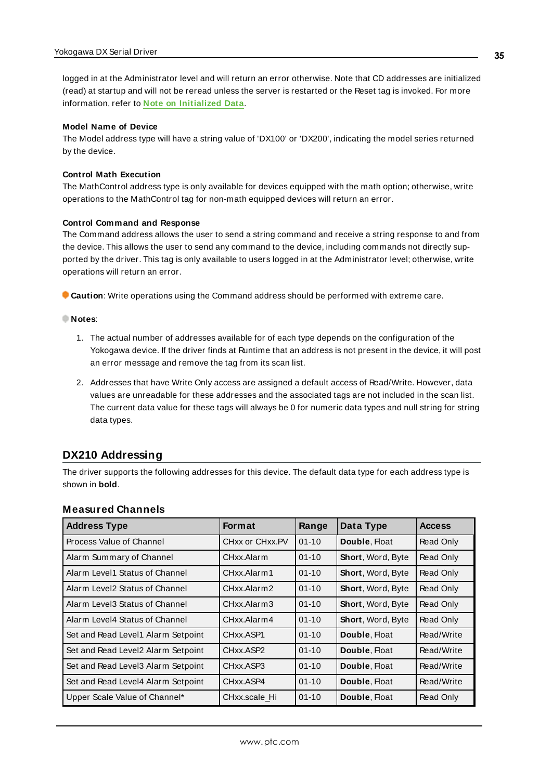logged in at the Administrator level and will return an error otherwise. Note that CD addresses are initialized (read) at startup and will not be reread unless the server is restarted or the Reset tag is invoked. For more information, refer to **Note on [Initialized](#page-33-0) Data**.

#### **Model Name of Device**

The Model address type will have a string value of 'DX100' or 'DX200', indicating the model series returned by the device.

#### **Control Math Execution**

The MathControl address type is only available for devices equipped with the math option; otherwise, write operations to the MathControl tag for non-math equipped devices will return an error.

#### **Control Command and Response**

The Command address allows the user to send a string command and receive a string response to and from the device. This allows the user to send any command to the device, including commands not directly supported by the driver. This tag is only available to users logged in at the Administrator level; otherwise, write operations will return an error.

**Caution**: Write operations using the Command address should be performed with extreme care.

#### **Notes**:

- 1. The actual number of addresses available for of each type depends on the configuration of the Yokogawa device. If the driver finds at Runtime that an address is not present in the device, it will post an error message and remove the tag from its scan list.
- 2. Addresses that have Write Only access are assigned a default access of Read/Write. However, data values are unreadable for these addresses and the associated tags are not included in the scan list. The current data value for these tags will always be 0 for numeric data types and null string for string data types.

# <span id="page-34-0"></span>**DX210 Addressing**

The driver supports the following addresses for this device. The default data type for each address type is shown in **bold**.

| <b>Address Type</b>                 | <b>Format</b>                      | Range     | Data Type                | <b>Access</b> |
|-------------------------------------|------------------------------------|-----------|--------------------------|---------------|
| Process Value of Channel            | CHxx or CHxx.PV                    | $01 - 10$ | Double, Float            | Read Only     |
| Alarm Summary of Channel            | CHxx.Alarm                         | $01 - 10$ | Short, Word, Byte        | Read Only     |
| Alarm Level1 Status of Channel      | CHxx.Alarm1                        | $01 - 10$ | <b>Short, Word, Byte</b> | Read Only     |
| Alarm Level2 Status of Channel      | CHxx.Alarm2                        | $01 - 10$ | <b>Short, Word, Byte</b> | Read Only     |
| Alarm Level3 Status of Channel      | CHxx.Alarm3                        | $01 - 10$ | Short, Word, Byte        | Read Only     |
| Alarm Level4 Status of Channel      | CHxx.Alarm4                        | $01 - 10$ | <b>Short, Word, Byte</b> | Read Only     |
| Set and Read Level1 Alarm Setpoint  | CHxx.ASP1                          | $01 - 10$ | Double, Float            | Read/Write    |
| Set and Read Level2 Alarm Setpoint  | CH <sub>xx</sub> .ASP <sub>2</sub> | $01 - 10$ | Double, Float            | Read/Write    |
| Set and Read Level 3 Alarm Setpoint | CHxx.ASP3                          | $01 - 10$ | Double, Float            | Read/Write    |
| Set and Read Level4 Alarm Setpoint  | CHxx.ASP4                          | $01 - 10$ | Double, Float            | Read/Write    |
| Upper Scale Value of Channel*       | CHxx.scale Hi                      | $01 - 10$ | Double, Float            | Read Only     |

#### **Measured Channels**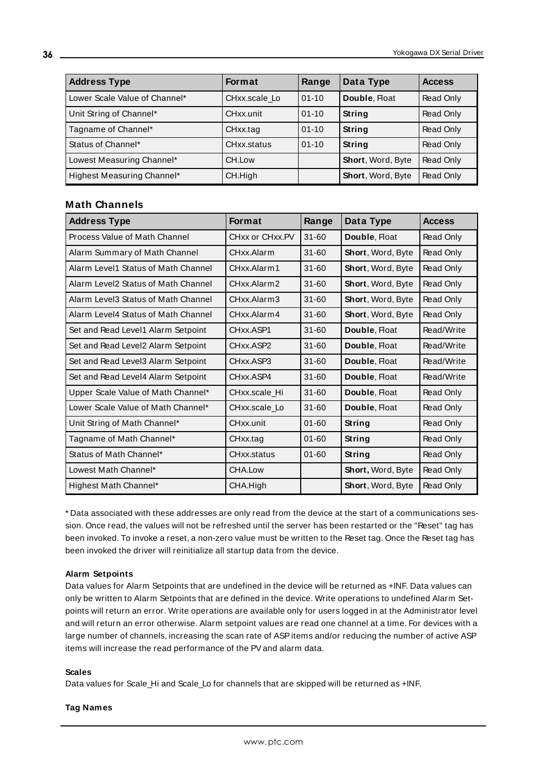| <b>Address Type</b>           | <b>Format</b> | Range     | Data Type         | <b>Access</b> |
|-------------------------------|---------------|-----------|-------------------|---------------|
| Lower Scale Value of Channel* | CHxx.scale Lo | $01 - 10$ | Double, Float     | Read Only     |
| Unit String of Channel*       | CHxx.unit     | $01 - 10$ | <b>String</b>     | Read Only     |
| Tagname of Channel*           | CHxx.tag      | $01 - 10$ | String            | Read Only     |
| Status of Channel*            | CHxx.status   | $01 - 10$ | String            | Read Only     |
| Lowest Measuring Channel*     | CH.Low        |           | Short, Word, Byte | Read Only     |
| Highest Measuring Channel*    | CH.High       |           | Short, Word, Byte | Read Only     |

#### **Math Channels**

| <b>Address Type</b>                 | Format          | Range     | Data Type                | <b>Access</b> |
|-------------------------------------|-----------------|-----------|--------------------------|---------------|
| Process Value of Math Channel       | CHxx or CHxx.PV | $31 - 60$ | Double, Float            | Read Only     |
| Alarm Summary of Math Channel       | CHxx.Alarm      | $31 - 60$ | <b>Short, Word, Byte</b> | Read Only     |
| Alarm Level1 Status of Math Channel | CHxx.Alarm1     | 31-60     | Short, Word, Byte        | Read Only     |
| Alarm Level2 Status of Math Channel | CHxx.Alarm2     | 31-60     | Short, Word, Byte        | Read Only     |
| Alarm Level3 Status of Math Channel | CHxx.Alarm3     | $31 - 60$ | Short, Word, Byte        | Read Only     |
| Alarm Level4 Status of Math Channel | CHxx.Alarm4     | $31 - 60$ | Short, Word, Byte        | Read Only     |
| Set and Read Level1 Alarm Setpoint  | CHxx.ASP1       | $31 - 60$ | Double, Float            | Read/Write    |
| Set and Read Level2 Alarm Setpoint  | CHxx.ASP2       | $31 - 60$ | Double, Float            | Read/Write    |
| Set and Read Level3 Alarm Setpoint  | CHxx.ASP3       | $31 - 60$ | Double, Float            | Read/Write    |
| Set and Read Level4 Alarm Setpoint  | CHxx.ASP4       | $31 - 60$ | Double, Float            | Read/Write    |
| Upper Scale Value of Math Channel*  | CHxx.scale Hi   | $31 - 60$ | Double, Float            | Read Only     |
| Lower Scale Value of Math Channel*  | CHxx.scale_Lo   | $31 - 60$ | Double, Float            | Read Only     |
| Unit String of Math Channel*        | CHxx.unit       | $01 - 60$ | String                   | Read Only     |
| Tagname of Math Channel*            | CHxx.tag        | $01 - 60$ | String                   | Read Only     |
| Status of Math Channel*             | CHxx.status     | $01 - 60$ | <b>String</b>            | Read Only     |
| Lowest Math Channel*                | CHA.Low         |           | Short, Word, Byte        | Read Only     |
| Highest Math Channel*               | CHA.High        |           | Short, Word, Byte        | Read Only     |

<span id="page-35-0"></span>\* Data associated with these addresses are only read from the device at the start of a communications session. Once read, the values will not be refreshed until the server has been restarted or the "Reset" tag has been invoked. To invoke a reset, a non-zero value must be written to the Reset tag. Once the Reset tag has been invoked the driver will reinitialize all startup data from the device.

#### **Alarm Setpoints**

Data values for Alarm Setpoints that are undefined in the device will be returned as +INF. Data values can only be written to Alarm Setpoints that are defined in the device. Write operations to undefined Alarm Setpoints will return an error. Write operations are available only for users logged in at the Administrator level and will return an error otherwise. Alarm setpoint values are read one channel at a time. For devices with a large number of channels, increasing the scan rate of ASP items and/or reducing the number of active ASP items will increase the read performance of the PVand alarm data.

#### **Scales**

Data values for Scale\_Hi and Scale\_Lo for channels that are skipped will be returned as +INF.

#### **Tag Names**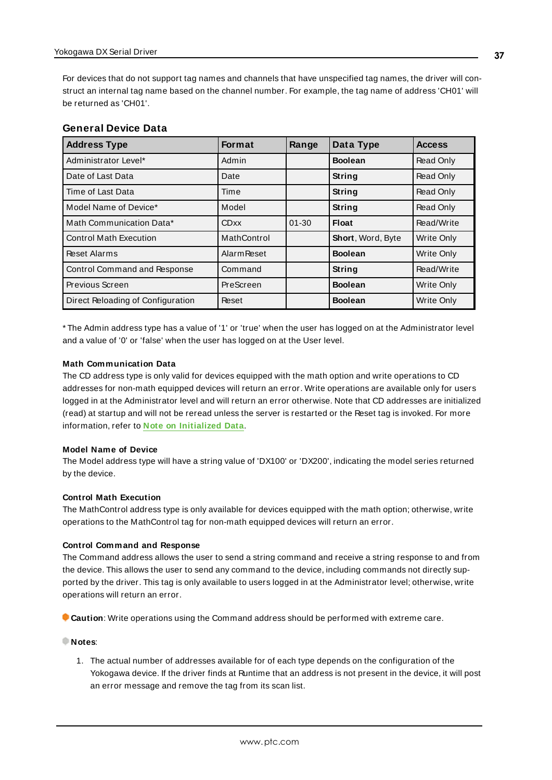For devices that do not support tag names and channels that have unspecified tag names, the driver will construct an internal tag name based on the channel number. For example, the tag name of address 'CH01' will be returned as 'CH01'.

| <b>General Device Data</b> |  |  |
|----------------------------|--|--|
|----------------------------|--|--|

| <b>Address Type</b>               | Format             | Range     | Data Type         | <b>Access</b>    |
|-----------------------------------|--------------------|-----------|-------------------|------------------|
| Administrator Level*              | Admin              |           | <b>Boolean</b>    | Read Only        |
| Date of Last Data                 | Date               |           | String            | Read Only        |
| Time of Last Data                 | Time               |           | <b>String</b>     | <b>Read Only</b> |
| Model Name of Device*             | Model              |           | <b>String</b>     | <b>Read Only</b> |
| Math Communication Data*          | <b>CDxx</b>        | $01 - 30$ | <b>Float</b>      | Read/Write       |
| <b>Control Math Execution</b>     | MathControl        |           | Short, Word, Byte | Write Only       |
| <b>Reset Alarms</b>               | <b>Alarm Reset</b> |           | <b>Boolean</b>    | Write Only       |
| Control Command and Response      | Command            |           | <b>String</b>     | Read/Write       |
| Previous Screen                   | PreScreen          |           | <b>Boolean</b>    | Write Only       |
| Direct Reloading of Configuration | Reset              |           | <b>Boolean</b>    | Write Only       |

\* The Admin address type has a value of '1' or 'true' when the user has logged on at the Administrator level and a value of '0' or 'false' when the user has logged on at the User level.

#### **Math Communication Data**

The CD address type is only valid for devices equipped with the math option and write operations to CD addresses for non-math equipped devices will return an error. Write operations are available only for users logged in at the Administrator level and will return an error otherwise. Note that CD addresses are initialized (read) at startup and will not be reread unless the server is restarted or the Reset tag is invoked. For more information, refer to **Note on [Initialized](#page-35-0) Data**.

#### **Model Name of Device**

The Model address type will have a string value of 'DX100' or 'DX200', indicating the model series returned by the device.

#### **Control Math Execution**

The MathControl address type is only available for devices equipped with the math option; otherwise, write operations to the MathControl tag for non-math equipped devices will return an error.

#### **Control Command and Response**

The Command address allows the user to send a string command and receive a string response to and from the device. This allows the user to send any command to the device, including commands not directly supported by the driver. This tag is only available to users logged in at the Administrator level; otherwise, write operations will return an error.

**Caution**: Write operations using the Command address should be performed with extreme care.

#### **Notes**:

1. The actual number of addresses available for of each type depends on the configuration of the Yokogawa device. If the driver finds at Runtime that an address is not present in the device, it will post an error message and remove the tag from its scan list.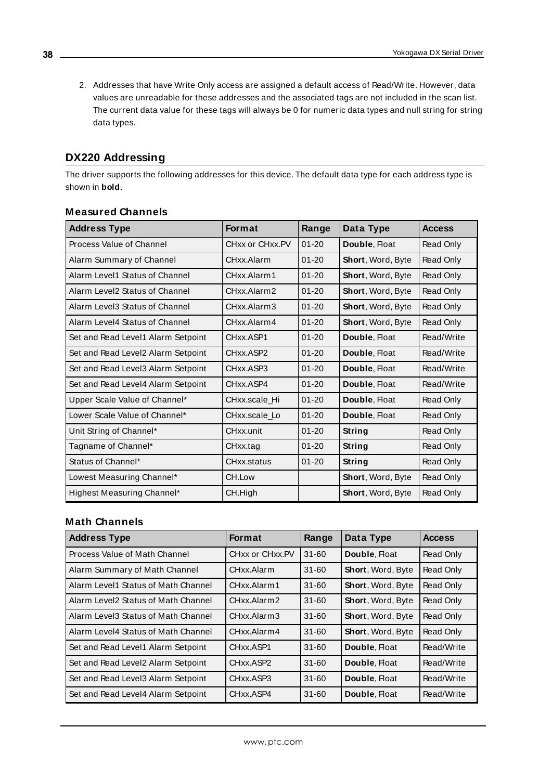2. Addresses that have Write Only access are assigned a default access of Read/Write. However, data values are unreadable for these addresses and the associated tags are not included in the scan list. The current data value for these tags will always be 0 for numeric data types and null string for string data types.

# <span id="page-37-0"></span>**DX220 Addressing**

The driver supports the following addresses for this device. The default data type for each address type is shown in **bold**.

| <b>Address Type</b>                | <b>Format</b>   | Range     | Data Type                | <b>Access</b> |
|------------------------------------|-----------------|-----------|--------------------------|---------------|
| Process Value of Channel           | CHxx or CHxx.PV | $01 - 20$ | Double, Float            | Read Only     |
| Alarm Summary of Channel           | CHxx Alarm      | $01 - 20$ | Short, Word, Byte        | Read Only     |
| Alarm Level1 Status of Channel     | CHxx.Alarm1     | $01 - 20$ | Short, Word, Byte        | Read Only     |
| Alarm Level2 Status of Channel     | CHxx.Alarm2     | $01 - 20$ | Short, Word, Byte        | Read Only     |
| Alarm Level3 Status of Channel     | CHxx.Alarm3     | $01 - 20$ | <b>Short, Word, Byte</b> | Read Only     |
| Alarm Level4 Status of Channel     | CHxx.Alarm4     | $01 - 20$ | Short, Word, Byte        | Read Only     |
| Set and Read Level1 Alarm Setpoint | CHxx.ASP1       | $01 - 20$ | Double, Float            | Read/Write    |
| Set and Read Level2 Alarm Setpoint | CHxx.ASP2       | $01 - 20$ | Double, Float            | Read/Write    |
| Set and Read Level3 Alarm Setpoint | CHxx.ASP3       | $01 - 20$ | Double, Float            | Read/Write    |
| Set and Read Level4 Alarm Setpoint | CHxx.ASP4       | $01 - 20$ | Double, Float            | Read/Write    |
| Upper Scale Value of Channel*      | CHxx.scale Hi   | $01 - 20$ | Double, Float            | Read Only     |
| Lower Scale Value of Channel*      | CHxx.scale Lo   | $01 - 20$ | Double, Float            | Read Only     |
| Unit String of Channel*            | CHxx.unit       | $01 - 20$ | String                   | Read Only     |
| Tagname of Channel*                | CHxx.tag        | $01 - 20$ | String                   | Read Only     |
| Status of Channel*                 | CHxx.status     | $01 - 20$ | <b>String</b>            | Read Only     |
| Lowest Measuring Channel*          | CH.Low          |           | Short, Word, Byte        | Read Only     |
| Highest Measuring Channel*         | CH.High         |           | Short, Word, Byte        | Read Only     |

### **Measured Channels**

# **Math Channels**

| <b>Address Type</b>                 | <b>Format</b>   | Range     | Data Type                | <b>Access</b> |
|-------------------------------------|-----------------|-----------|--------------------------|---------------|
| Process Value of Math Channel       | CHxx or CHxx.PV | $31 - 60$ | Double, Float            | Read Only     |
| Alarm Summary of Math Channel       | CHxx Alarm      | $31 - 60$ | Short, Word, Byte        | Read Only     |
| Alarm Level1 Status of Math Channel | CHxx.Alarm1     | $31 - 60$ | Short, Word, Byte        | Read Only     |
| Alarm Level2 Status of Math Channel | CHxx Alarm2     | $31 - 60$ | <b>Short, Word, Byte</b> | Read Only     |
| Alarm Level3 Status of Math Channel | CHxx Alarm3     | $31 - 60$ | Short, Word, Byte        | Read Only     |
| Alarm Level4 Status of Math Channel | CHxx.Alarm4     | $31 - 60$ | <b>Short, Word, Byte</b> | Read Only     |
| Set and Read Level1 Alarm Setpoint  | CHxx.ASP1       | $31 - 60$ | Double, Float            | Read/Write    |
| Set and Read Level2 Alarm Setpoint  | CHxx ASP2       | $31 - 60$ | Double, Float            | Read/Write    |
| Set and Read Level3 Alarm Setpoint  | CHxx.ASP3       | $31 - 60$ | Double, Float            | Read/Write    |
| Set and Read Level4 Alarm Setpoint  | CHxx.ASP4       | $31 - 60$ | Double, Float            | Read/Write    |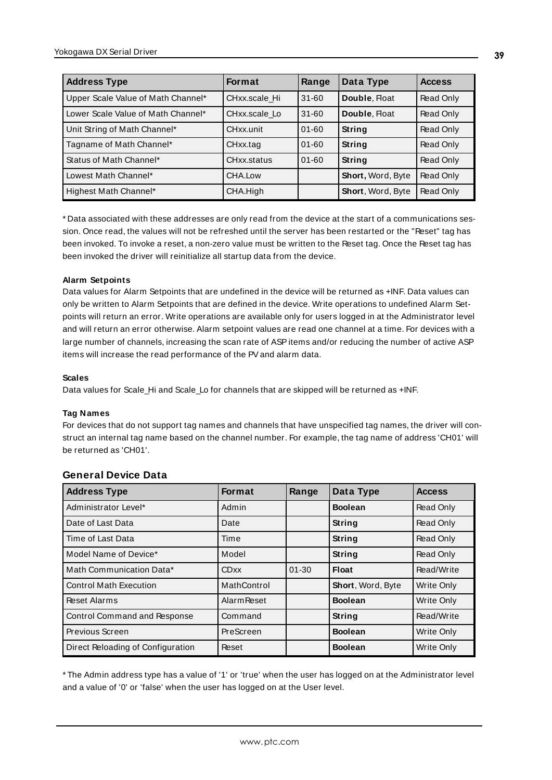| <b>Address Type</b>                | <b>Format</b> | Range     | Data Type                | <b>Access</b> |
|------------------------------------|---------------|-----------|--------------------------|---------------|
| Upper Scale Value of Math Channel* | CHxx.scale Hi | $31 - 60$ | Double, Float            | Read Only     |
| Lower Scale Value of Math Channel* | CHxx.scale Lo | $31 - 60$ | Double, Float            | Read Only     |
| Unit String of Math Channel*       | CHxx.unit     | $01 - 60$ | <b>String</b>            | Read Only     |
| Tagname of Math Channel*           | CHxx.tag      | $01 - 60$ | String                   | Read Only     |
| Status of Math Channel*            | CHxx.status   | $01 - 60$ | String                   | Read Only     |
| Lowest Math Channel*               | CHA.Low       |           | Short, Word, Byte        | Read Only     |
| Highest Math Channel*              | CHA.High      |           | <b>Short, Word, Byte</b> | Read Only     |

<span id="page-38-0"></span>\* Data associated with these addresses are only read from the device at the start of a communications session. Once read, the values will not be refreshed until the server has been restarted or the "Reset" tag has been invoked. To invoke a reset, a non-zero value must be written to the Reset tag. Once the Reset tag has been invoked the driver will reinitialize all startup data from the device.

#### **Alarm Setpoints**

Data values for Alarm Setpoints that are undefined in the device will be returned as +INF. Data values can only be written to Alarm Setpoints that are defined in the device. Write operations to undefined Alarm Setpoints will return an error. Write operations are available only for users logged in at the Administrator level and will return an error otherwise. Alarm setpoint values are read one channel at a time. For devices with a large number of channels, increasing the scan rate of ASPitems and/or reducing the number of active ASP items will increase the read performance of the PVand alarm data.

#### **Scales**

Data values for Scale\_Hi and Scale\_Lo for channels that are skipped will be returned as +INF.

#### **Tag Names**

For devices that do not support tag names and channels that have unspecified tag names, the driver will construct an internal tag name based on the channel number. For example, the tag name of address 'CH01' will be returned as 'CH01'.

| <b>Address Type</b>                 | <b>Format</b>      | Range     | Data Type         | <b>Access</b> |
|-------------------------------------|--------------------|-----------|-------------------|---------------|
| Administrator Level*                | Admin              |           | <b>Boolean</b>    | Read Only     |
| Date of Last Data                   | Date               |           | <b>String</b>     | Read Only     |
| Time of Last Data                   | Time               |           | String            | Read Only     |
| Model Name of Device*               | Model              |           | String            | Read Only     |
| Math Communication Data*            | <b>CDxx</b>        | $01 - 30$ | Float             | Read/Write    |
| <b>Control Math Execution</b>       | MathControl        |           | Short, Word, Byte | Write Only    |
| Reset Alarms                        | <b>Alarm Reset</b> |           | <b>Boolean</b>    | Write Only    |
| <b>Control Command and Response</b> | Command            |           | <b>String</b>     | Read/Write    |
| Previous Screen                     | PreScreen          |           | <b>Boolean</b>    | Write Only    |
| Direct Reloading of Configuration   | Reset              |           | <b>Boolean</b>    | Write Only    |

### **General Device Data**

\* The Admin address type has a value of '1' or 'true' when the user has logged on at the Administrator level and a value of '0' or 'false' when the user has logged on at the User level.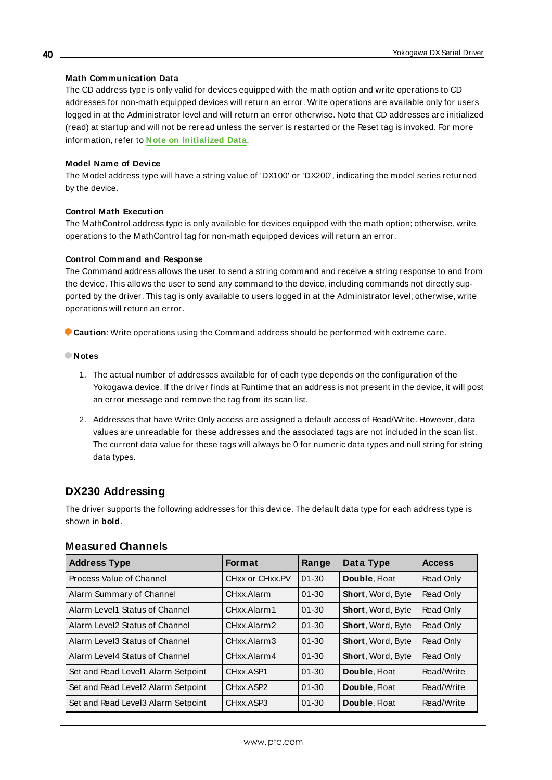#### **Math Communication Data**

The CD address type is only valid for devices equipped with the math option and write operations to CD addresses for non-math equipped devices will return an error. Write operations are available only for users logged in at the Administrator level and will return an error otherwise. Note that CD addresses are initialized (read) at startup and will not be reread unless the server is restarted or the Reset tag is invoked. For more information, refer to **Note on [Initialized](#page-38-0) Data**.

#### **Model Name of Device**

The Model address type will have a string value of 'DX100' or 'DX200', indicating the model series returned by the device.

#### **Control Math Execution**

The MathControl address type is only available for devices equipped with the math option; otherwise, write operations to the MathControl tag for non-math equipped devices will return an error.

#### **Control Command and Response**

The Command address allows the user to send a string command and receive a string response to and from the device. This allows the user to send any command to the device, including commands not directly supported by the driver. This tag is only available to users logged in at the Administrator level; otherwise, write operations will return an error.

**Caution**: Write operations using the Command address should be performed with extreme care.

- **Notes**
	- 1. The actual number of addresses available for of each type depends on the configuration of the Yokogawa device. If the driver finds at Runtime that an address is not present in the device, it will post an error message and remove the tag from its scan list.
	- 2. Addresses that have Write Only access are assigned a default access of Read/Write. However, data values are unreadable for these addresses and the associated tags are not included in the scan list. The current data value for these tags will always be 0 for numeric data types and null string for string data types.

# <span id="page-39-0"></span>**DX230 Addressing**

The driver supports the following addresses for this device. The default data type for each address type is shown in **bold**.

| <b>Address Type</b>                | <b>Format</b>                     | Range     | Data Type                | <b>Access</b> |
|------------------------------------|-----------------------------------|-----------|--------------------------|---------------|
| Process Value of Channel           | CHxx or CHxx.PV                   | $01 - 30$ | Double, Float            | Read Only     |
| Alarm Summary of Channel           | CHxx Alarm                        | $01 - 30$ | Short, Word, Byte        | Read Only     |
| Alarm Level1 Status of Channel     | CHxx Alarm1                       | $01 - 30$ | Short, Word, Byte        | Read Only     |
| Alarm Level2 Status of Channel     | CHxx Alarm2                       | $01 - 30$ | <b>Short, Word, Byte</b> | Read Only     |
| Alarm Level3 Status of Channel     | CHxx.Alarm3                       | $01 - 30$ | Short, Word, Byte        | Read Only     |
| Alarm Level4 Status of Channel     | CHxx Alarm4                       | $01 - 30$ | Short, Word, Byte        | Read Only     |
| Set and Read Level1 Alarm Setpoint | CHxx ASP1                         | $01 - 30$ | Double, Float            | Read/Write    |
| Set and Read Level2 Alarm Setpoint | CH <sub>xx</sub> ASP <sub>2</sub> | $01 - 30$ | Double, Float            | Read/Write    |
| Set and Read Level3 Alarm Setpoint | CH <sub>xx</sub> .ASP3            | $01 - 30$ | Double, Float            | Read/Write    |

### **Measured Channels**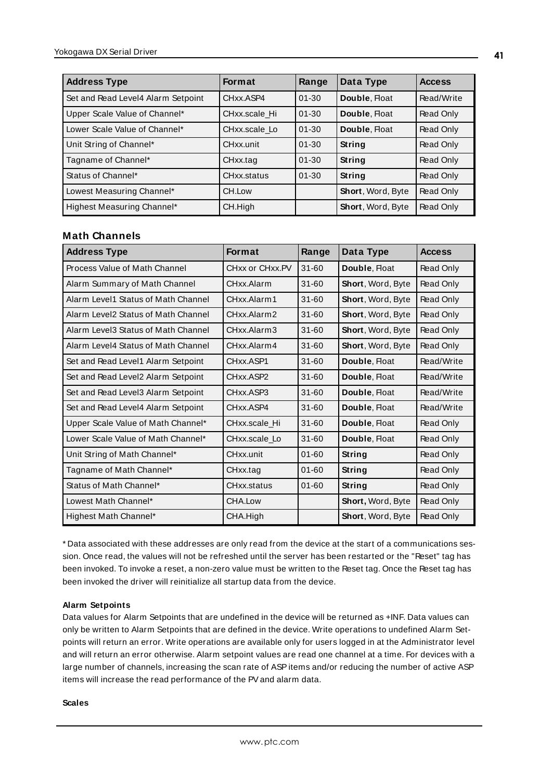| <b>Address Type</b>                | <b>Format</b> | Range     | Data Type                | <b>Access</b> |
|------------------------------------|---------------|-----------|--------------------------|---------------|
| Set and Read Level4 Alarm Setpoint | CHxx.ASP4     | $01 - 30$ | Double, Float            | Read/Write    |
| Upper Scale Value of Channel*      | CHxx.scale Hi | $01 - 30$ | Double, Float            | Read Only     |
| Lower Scale Value of Channel*      | CHxx.scale Lo | $01 - 30$ | Double, Float            | Read Only     |
| Unit String of Channel*            | CHxx.unit     | $01 - 30$ | String                   | Read Only     |
| Tagname of Channel*                | CHxx.tag      | $01 - 30$ | String                   | Read Only     |
| Status of Channel*                 | CHxx.status   | $01 - 30$ | String                   | Read Only     |
| Lowest Measuring Channel*          | CH.Low        |           | Short, Word, Byte        | Read Only     |
| Highest Measuring Channel*         | CH.High       |           | <b>Short, Word, Byte</b> | Read Only     |

### **Math Channels**

| <b>Address Type</b>                 | <b>Format</b>   | Range     | Data Type                | <b>Access</b> |
|-------------------------------------|-----------------|-----------|--------------------------|---------------|
| Process Value of Math Channel       | CHxx or CHxx.PV | $31 - 60$ | Double, Float            | Read Only     |
| Alarm Summary of Math Channel       | CHxx.Alarm      | $31 - 60$ | Short, Word, Byte        | Read Only     |
| Alarm Level1 Status of Math Channel | CHxx.Alarm1     | $31 - 60$ | Short, Word, Byte        | Read Only     |
| Alarm Level2 Status of Math Channel | CHxx.Alarm2     | $31 - 60$ | Short, Word, Byte        | Read Only     |
| Alarm Level3 Status of Math Channel | CHxx.Alarm3     | 31-60     | <b>Short, Word, Byte</b> | Read Only     |
| Alarm Level4 Status of Math Channel | CHxx.Alarm4     | $31 - 60$ | Short, Word, Byte        | Read Only     |
| Set and Read Level1 Alarm Setpoint  | CHxx.ASP1       | 31-60     | Double, Float            | Read/Write    |
| Set and Read Level2 Alarm Setpoint  | CHxx.ASP2       | $31 - 60$ | Double, Float            | Read/Write    |
| Set and Read Level3 Alarm Setpoint  | CHxx.ASP3       | $31 - 60$ | Double, Float            | Read/Write    |
| Set and Read Level4 Alarm Setpoint  | CHxx.ASP4       | $31 - 60$ | Double, Float            | Read/Write    |
| Upper Scale Value of Math Channel*  | CHxx.scale Hi   | $31 - 60$ | Double, Float            | Read Only     |
| Lower Scale Value of Math Channel*  | CHxx.scale Lo   | $31 - 60$ | Double, Float            | Read Only     |
| Unit String of Math Channel*        | CHxx.unit       | $01 - 60$ | String                   | Read Only     |
| Tagname of Math Channel*            | CHxx.tag        | $01 - 60$ | <b>String</b>            | Read Only     |
| Status of Math Channel*             | CHxx.status     | $01 - 60$ | <b>String</b>            | Read Only     |
| Lowest Math Channel*                | CHA.Low         |           | Short, Word, Byte        | Read Only     |
| Highest Math Channel*               | CHA.High        |           | Short, Word, Byte        | Read Only     |

<span id="page-40-0"></span>\* Data associated with these addresses are only read from the device at the start of a communications session. Once read, the values will not be refreshed until the server has been restarted or the "Reset" tag has been invoked. To invoke a reset, a non-zero value must be written to the Reset tag. Once the Reset tag has been invoked the driver will reinitialize all startup data from the device.

#### **Alarm Setpoints**

Data values for Alarm Setpoints that are undefined in the device will be returned as +INF. Data values can only be written to Alarm Setpoints that are defined in the device. Write operations to undefined Alarm Setpoints will return an error. Write operations are available only for users logged in at the Administrator level and will return an error otherwise. Alarm setpoint values are read one channel at a time. For devices with a large number of channels, increasing the scan rate of ASPitems and/or reducing the number of active ASP items will increase the read performance of the PVand alarm data.

#### **Scales**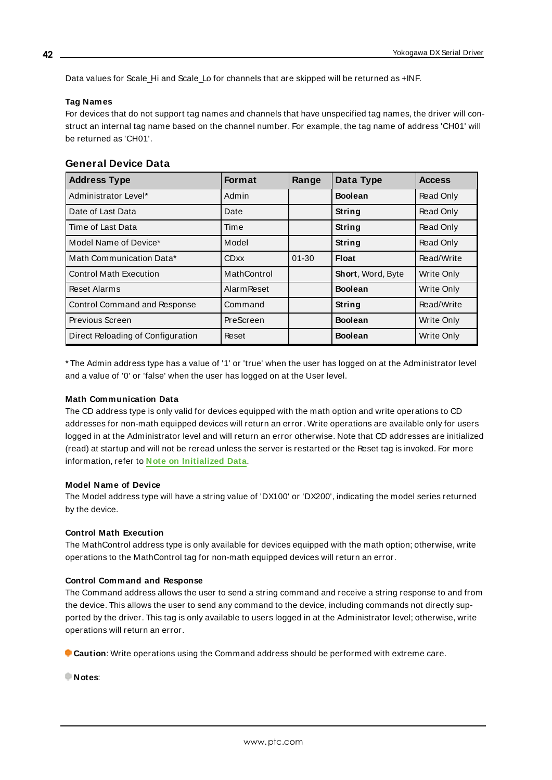Data values for Scale Hi and Scale Lo for channels that are skipped will be returned as +INF.

#### **Tag Names**

For devices that do not support tag names and channels that have unspecified tag names, the driver will construct an internal tag name based on the channel number. For example, the tag name of address 'CH01' will be returned as 'CH01'.

| <b>General Device Data</b> |  |  |
|----------------------------|--|--|
|----------------------------|--|--|

| <b>Address Type</b>               | <b>Format</b>      | Range     | Data Type         | <b>Access</b> |
|-----------------------------------|--------------------|-----------|-------------------|---------------|
| Administrator Level*              | Admin              |           | <b>Boolean</b>    | Read Only     |
| Date of Last Data                 | Date               |           | <b>String</b>     | Read Only     |
| Time of Last Data                 | Time               |           | String            | Read Only     |
| Model Name of Device*             | Model              |           | String            | Read Only     |
| Math Communication Data*          | <b>CDxx</b>        | $01 - 30$ | <b>Float</b>      | Read/Write    |
| <b>Control Math Execution</b>     | MathControl        |           | Short, Word, Byte | Write Only    |
| <b>Reset Alarms</b>               | <b>Alarm Reset</b> |           | <b>Boolean</b>    | Write Only    |
| Control Command and Response      | Command            |           | <b>String</b>     | Read/Write    |
| Previous Screen                   | PreScreen          |           | <b>Boolean</b>    | Write Only    |
| Direct Reloading of Configuration | Reset              |           | <b>Boolean</b>    | Write Only    |

\* The Admin address type has a value of '1' or 'true' when the user has logged on at the Administrator level and a value of '0' or 'false' when the user has logged on at the User level.

#### **Math Communication Data**

The CD address type is only valid for devices equipped with the math option and write operations to CD addresses for non-math equipped devices will return an error. Write operations are available only for users logged in at the Administrator level and will return an error otherwise. Note that CD addresses are initialized (read) at startup and will not be reread unless the server is restarted or the Reset tag is invoked. For more information, refer to **Note on [Initialized](#page-40-0) Data**.

#### **Model Name of Device**

The Model address type will have a string value of 'DX100' or 'DX200', indicating the model series returned by the device.

#### **Control Math Execution**

The MathControl address type is only available for devices equipped with the math option; otherwise, write operations to the MathControl tag for non-math equipped devices will return an error.

#### **Control Command and Response**

The Command address allows the user to send a string command and receive a string response to and from the device. This allows the user to send any command to the device, including commands not directly supported by the driver. This tag is only available to users logged in at the Administrator level; otherwise, write operations will return an error.

**Caution**: Write operations using the Command address should be performed with extreme care.

**Notes**:

**42**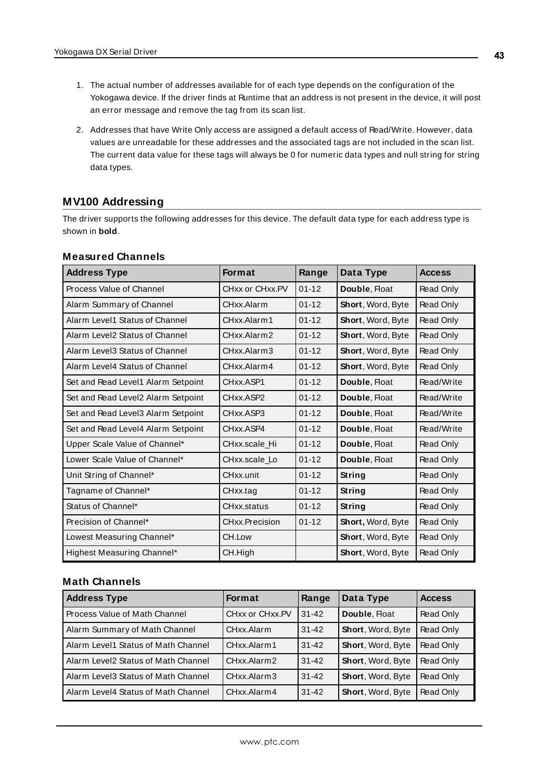- 1. The actual number of addresses available for of each type depends on the configuration of the Yokogawa device. If the driver finds at Runtime that an address is not present in the device, it will post an error message and remove the tag from its scan list.
- 2. Addresses that have Write Only access are assigned a default access of Read/Write. However, data values are unreadable for these addresses and the associated tags are not included in the scan list. The current data value for these tags will always be 0 for numeric data types and null string for string data types.

# <span id="page-42-0"></span>**MV100 Addressing**

The driver supports the following addresses for this device. The default data type for each address type is shown in **bold**.

| <b>Address Type</b>                | <b>Format</b>                      | Range     | Data Type                | <b>Access</b> |
|------------------------------------|------------------------------------|-----------|--------------------------|---------------|
| Process Value of Channel           | CHxx or CHxx.PV                    | $01 - 12$ | Double, Float            | Read Only     |
| Alarm Summary of Channel           | CHxx.Alarm                         | $01 - 12$ | <b>Short, Word, Byte</b> | Read Only     |
| Alarm Level1 Status of Channel     | CHxx.Alarm1                        | $01 - 12$ | <b>Short, Word, Byte</b> | Read Only     |
| Alarm Level2 Status of Channel     | CHxx.Alarm2                        | $01 - 12$ | <b>Short, Word, Byte</b> | Read Only     |
| Alarm Level3 Status of Channel     | CHxx.Alarm3                        | $01 - 12$ | Short, Word, Byte        | Read Only     |
| Alarm Level4 Status of Channel     | CHxx.Alarm4                        | $01 - 12$ | <b>Short, Word, Byte</b> | Read Only     |
| Set and Read Level1 Alarm Setpoint | CHxx.ASP1                          | $01 - 12$ | Double, Float            | Read/Write    |
| Set and Read Level2 Alarm Setpoint | CH <sub>xx</sub> .ASP <sub>2</sub> | $01 - 12$ | Double, Float            | Read/Write    |
| Set and Read Level3 Alarm Setpoint | CH <sub>xx</sub> .ASP3             | $01 - 12$ | Double, Float            | Read/Write    |
| Set and Read Level4 Alarm Setpoint | CH <sub>xx</sub> .ASP4             | $01 - 12$ | Double, Float            | Read/Write    |
| Upper Scale Value of Channel*      | CHxx.scale Hi                      | $01 - 12$ | Double, Float            | Read Only     |
| Lower Scale Value of Channel*      | CHxx.scale Lo                      | $01 - 12$ | Double, Float            | Read Only     |
| Unit String of Channel*            | CHxx.unit                          | $01 - 12$ | String                   | Read Only     |
| Tagname of Channel*                | CHxx.tag                           | $01 - 12$ | String                   | Read Only     |
| Status of Channel*                 | CHxx.status                        | $01 - 12$ | <b>String</b>            | Read Only     |
| Precision of Channel*              | CHxx.Precision                     | $01 - 12$ | Short, Word, Byte        | Read Only     |
| Lowest Measuring Channel*          | CH.Low                             |           | Short, Word, Byte        | Read Only     |
| Highest Measuring Channel*         | CH.High                            |           | <b>Short, Word, Byte</b> | Read Only     |

# **Measured Channels**

# **Math Channels**

| <b>Address Type</b>                   | <b>Format</b>   | Range     | Data Type                | <b>Access</b> |
|---------------------------------------|-----------------|-----------|--------------------------|---------------|
| Process Value of Math Channel         | CHxx or CHxx.PV | $31 - 42$ | Double, Float            | Read Only     |
| Alarm Summary of Math Channel         | CHxx Alarm      | $31 - 42$ | Short, Word, Byte        | Read Only     |
| l Alarm Level1 Status of Math Channel | CHxx.Alarm1     | $31 - 42$ | Short, Word, Byte        | Read Only     |
| l Alarm Level2 Status of Math Channel | CHxx.Alarm2     | $31 - 42$ | Short, Word, Byte        | Read Only     |
| l Alarm Level3 Status of Math Channel | CHxx.Alarm3     | $31 - 42$ | Short, Word, Byte        | Read Only     |
| l Alarm Level4 Status of Math Channel | CHxx.Alarm4     | $31 - 42$ | <b>Short, Word, Byte</b> | Read Only     |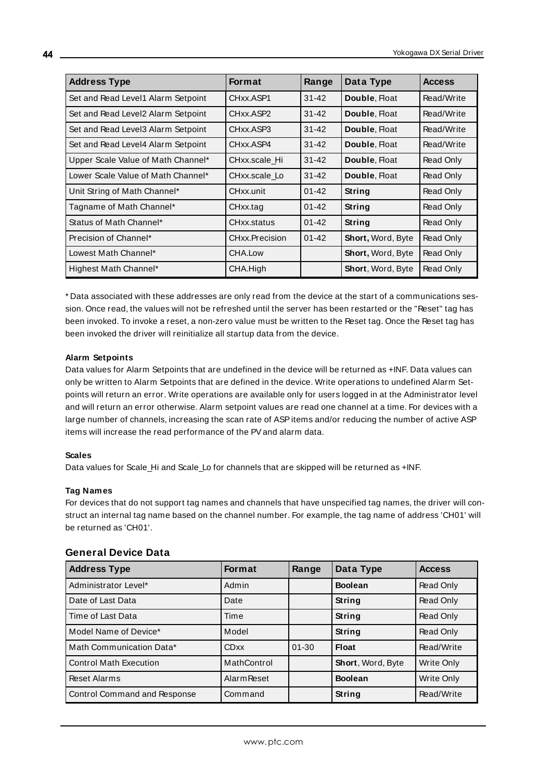| <b>Address Type</b>                 | <b>Format</b>  | Range     | Data Type                | <b>Access</b> |
|-------------------------------------|----------------|-----------|--------------------------|---------------|
| Set and Read Level1 Alarm Setpoint  | CHxx ASP1      | $31 - 42$ | Double, Float            | Read/Write    |
| Set and Read Level2 Alarm Setpoint  | CHxx.ASP2      | $31 - 42$ | Double, Float            | Read/Write    |
| Set and Read Level 3 Alarm Setpoint | CHxx.ASP3      | $31 - 42$ | Double, Float            | Read/Write    |
| Set and Read Level4 Alarm Setpoint  | CHxx.ASP4      | $31 - 42$ | Double, Float            | Read/Write    |
| Upper Scale Value of Math Channel*  | CHxx.scale Hi  | $31 - 42$ | Double, Float            | Read Only     |
| Lower Scale Value of Math Channel*  | CHxx.scale Lo  | $31 - 42$ | Double, Float            | Read Only     |
| Unit String of Math Channel*        | CHxx.unit      | $01 - 42$ | String                   | Read Only     |
| Tagname of Math Channel*            | CHxx.tag       | $01 - 42$ | String                   | Read Only     |
| Status of Math Channel*             | CHxx.status    | $01 - 42$ | String                   | Read Only     |
| Precision of Channel*               | CHxx.Precision | $01 - 42$ | Short, Word, Byte        | Read Only     |
| Lowest Math Channel*                | CHA.Low        |           | Short, Word, Byte        | Read Only     |
| Highest Math Channel*               | CHA.High       |           | <b>Short, Word, Byte</b> | Read Only     |

<span id="page-43-0"></span>\* Data associated with these addresses are only read from the device at the start of a communications session. Once read, the values will not be refreshed until the server has been restarted or the "Reset" tag has been invoked. To invoke a reset, a non-zero value must be written to the Reset tag. Once the Reset tag has been invoked the driver will reinitialize all startup data from the device.

#### **Alarm Setpoints**

Data values for Alarm Setpoints that are undefined in the device will be returned as +INF. Data values can only be written to Alarm Setpoints that are defined in the device. Write operations to undefined Alarm Setpoints will return an error. Write operations are available only for users logged in at the Administrator level and will return an error otherwise. Alarm setpoint values are read one channel at a time. For devices with a large number of channels, increasing the scan rate of ASPitems and/or reducing the number of active ASP items will increase the read performance of the PVand alarm data.

#### **Scales**

Data values for Scale\_Hi and Scale\_Lo for channels that are skipped will be returned as +INF.

#### **Tag Names**

For devices that do not support tag names and channels that have unspecified tag names, the driver will construct an internal tag name based on the channel number. For example, the tag name of address 'CH01' will be returned as 'CH01'.

| <b>Address Type</b>           | <b>Format</b>      | Range     | Data Type                | <b>Access</b> |
|-------------------------------|--------------------|-----------|--------------------------|---------------|
| Administrator Level*          | Admin              |           | <b>Boolean</b>           | Read Only     |
| Date of Last Data             | Date               |           | String                   | Read Only     |
| Time of Last Data             | Time               |           | String                   | Read Only     |
| Model Name of Device*         | Model              |           | String                   | Read Only     |
| Math Communication Data*      | <b>CDxx</b>        | $01 - 30$ | Float                    | Read/Write    |
| <b>Control Math Execution</b> | MathControl        |           | <b>Short, Word, Byte</b> | Write Only    |
| <b>Reset Alarms</b>           | <b>Alarm Reset</b> |           | <b>Boolean</b>           | Write Only    |
| Control Command and Response  | Command            |           | String                   | Read/Write    |

### **General Device Data**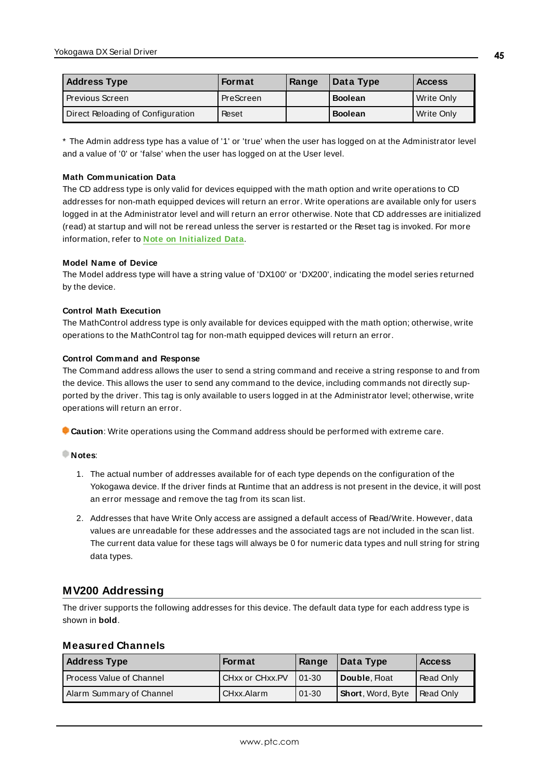| <b>Address Type</b>               | Format    | Range | Data Type      | <b>Access</b> |
|-----------------------------------|-----------|-------|----------------|---------------|
| l Previous Screen                 | PreScreen |       | <b>Boolean</b> | Write Only    |
| Direct Reloading of Configuration | Reset     |       | <b>Boolean</b> | Write Only    |

\* The Admin address type has a value of '1' or 'true' when the user has logged on at the Administrator level and a value of '0' or 'false' when the user has logged on at the User level.

#### **Math Communication Data**

The CD address type is only valid for devices equipped with the math option and write operations to CD addresses for non-math equipped devices will return an error. Write operations are available only for users logged in at the Administrator level and will return an error otherwise. Note that CD addresses are initialized (read) at startup and will not be reread unless the server is restarted or the Reset tag is invoked. For more information, refer to **Note on [Initialized](#page-43-0) Data**.

#### **Model Name of Device**

The Model address type will have a string value of 'DX100' or 'DX200', indicating the model series returned by the device.

#### **Control Math Execution**

The MathControl address type is only available for devices equipped with the math option; otherwise, write operations to the MathControl tag for non-math equipped devices will return an error.

#### **Control Command and Response**

The Command address allows the user to send a string command and receive a string response to and from the device. This allows the user to send any command to the device, including commands not directly supported by the driver. This tag is only available to users logged in at the Administrator level; otherwise, write operations will return an error.

**Caution**: Write operations using the Command address should be performed with extreme care.

#### **Notes**:

- 1. The actual number of addresses available for of each type depends on the configuration of the Yokogawa device. If the driver finds at Runtime that an address is not present in the device, it will post an error message and remove the tag from its scan list.
- 2. Addresses that have Write Only access are assigned a default access of Read/Write. However, data values are unreadable for these addresses and the associated tags are not included in the scan list. The current data value for these tags will always be 0 for numeric data types and null string for string data types.

# <span id="page-44-0"></span>**MV200 Addressing**

The driver supports the following addresses for this device. The default data type for each address type is shown in **bold**.

# **Measured Channels**

| <b>Address Type</b>      | <b>Format</b>          | Range     | Data Type         | <b>Access</b> |
|--------------------------|------------------------|-----------|-------------------|---------------|
| Process Value of Channel | <b>CHxx or CHxx.PV</b> | 01-30     | Double, Float     | Read Only     |
| Alarm Summary of Channel | CHxx.Alarm             | $01 - 30$ | Short, Word, Byte | Read Only     |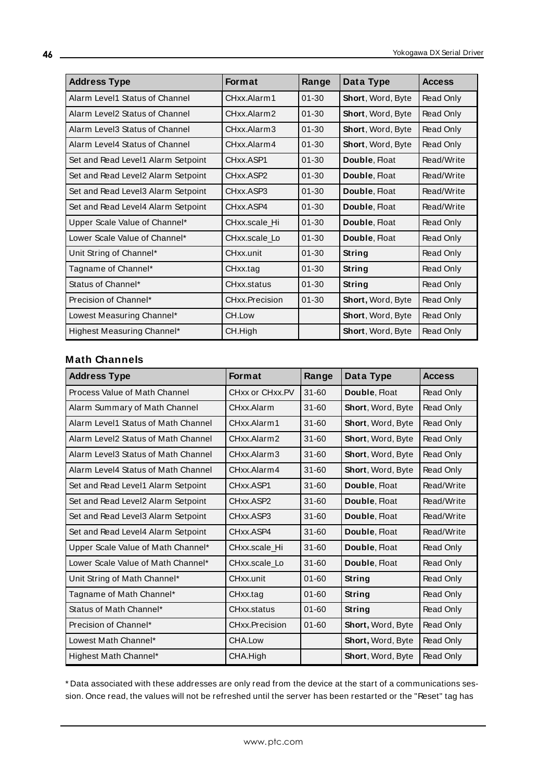| <b>Address Type</b>                | <b>Format</b>  | Range     | Data Type         | <b>Access</b>    |
|------------------------------------|----------------|-----------|-------------------|------------------|
| Alarm Level1 Status of Channel     | CHxx Alarm1    | $01 - 30$ | Short, Word, Byte | Read Only        |
| Alarm Level2 Status of Channel     | CHxx.Alarm2    | $01 - 30$ | Short, Word, Byte | Read Only        |
| Alarm Level3 Status of Channel     | CHxx.Alarm3    | $01 - 30$ | Short, Word, Byte | Read Only        |
| Alarm Level4 Status of Channel     | CHxx.Alarm4    | $01 - 30$ | Short, Word, Byte | Read Only        |
| Set and Read Level1 Alarm Setpoint | CHxx.ASP1      | $01 - 30$ | Double, Float     | Read/Write       |
| Set and Read Level2 Alarm Setpoint | CHxx.ASP2      | $01 - 30$ | Double, Float     | Read/Write       |
| Set and Read Level3 Alarm Setpoint | CHxx.ASP3      | $01 - 30$ | Double, Float     | Read/Write       |
| Set and Read Level4 Alarm Setpoint | CHxx.ASP4      | $01 - 30$ | Double, Float     | Read/Write       |
| Upper Scale Value of Channel*      | CHxx.scale Hi  | $01 - 30$ | Double, Float     | Read Only        |
| Lower Scale Value of Channel*      | CHxx.scale Lo  | $01 - 30$ | Double, Float     | <b>Read Only</b> |
| Unit String of Channel*            | CHxx.unit      | $01 - 30$ | String            | Read Only        |
| Tagname of Channel*                | CHxx.tag       | $01 - 30$ | String            | Read Only        |
| Status of Channel*                 | CHxx.status    | $01 - 30$ | String            | Read Only        |
| Precision of Channel*              | CHxx.Precision | $01 - 30$ | Short, Word, Byte | Read Only        |
| Lowest Measuring Channel*          | CH.Low         |           | Short, Word, Byte | Read Only        |
| Highest Measuring Channel*         | CH.High        |           | Short, Word, Byte | Read Only        |

### **Math Channels**

| <b>Address Type</b>                 | <b>Format</b>   | Range     | Data Type                | <b>Access</b> |
|-------------------------------------|-----------------|-----------|--------------------------|---------------|
| Process Value of Math Channel       | CHxx or CHxx.PV | $31 - 60$ | Double, Float            | Read Only     |
| Alarm Summary of Math Channel       | CHxx.Alarm      | $31 - 60$ | Short, Word, Byte        | Read Only     |
| Alarm Level1 Status of Math Channel | CHxx.Alarm1     | $31 - 60$ | Short, Word, Byte        | Read Only     |
| Alarm Level2 Status of Math Channel | CHxx.Alarm2     | $31 - 60$ | <b>Short, Word, Byte</b> | Read Only     |
| Alarm Level3 Status of Math Channel | CHxx.Alarm3     | $31 - 60$ | <b>Short, Word, Byte</b> | Read Only     |
| Alarm Level4 Status of Math Channel | CHxx.Alarm4     | $31 - 60$ | <b>Short, Word, Byte</b> | Read Only     |
| Set and Read Level1 Alarm Setpoint  | CHxx.ASP1       | $31 - 60$ | Double, Float            | Read/Write    |
| Set and Read Level2 Alarm Setpoint  | CHxx.ASP2       | $31 - 60$ | Double, Float            | Read/Write    |
| Set and Read Level3 Alarm Setpoint  | CHxx.ASP3       | $31 - 60$ | Double, Float            | Read/Write    |
| Set and Read Level4 Alarm Setpoint  | CHxx ASP4       | $31 - 60$ | Double, Float            | Read/Write    |
| Upper Scale Value of Math Channel*  | CHxx.scale_Hi   | $31 - 60$ | Double, Float            | Read Only     |
| Lower Scale Value of Math Channel*  | CHxx.scale Lo   | $31 - 60$ | Double, Float            | Read Only     |
| Unit String of Math Channel*        | CHxx.unit       | $01 - 60$ | String                   | Read Only     |
| Tagname of Math Channel*            | CHxx.tag        | $01 - 60$ | String                   | Read Only     |
| Status of Math Channel*             | CHxx.status     | $01 - 60$ | String                   | Read Only     |
| Precision of Channel*               | CHxx.Precision  | $01 - 60$ | <b>Short, Word, Byte</b> | Read Only     |
| Lowest Math Channel*                | CHA.Low         |           | Short, Word, Byte        | Read Only     |
| Highest Math Channel*               | CHA.High        |           | <b>Short, Word, Byte</b> | Read Only     |

<span id="page-45-0"></span>\* Data associated with these addresses are only read from the device at the start of a communications session. Once read, the values will not be refreshed until the server has been restarted or the "Reset" tag has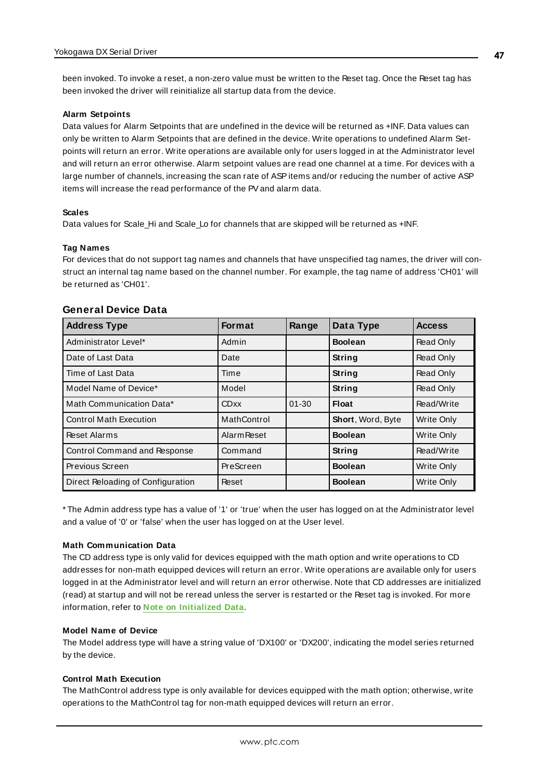been invoked. To invoke a reset, a non-zero value must be written to the Reset tag. Once the Reset tag has been invoked the driver will reinitialize all startup data from the device.

#### **Alarm Setpoints**

Data values for Alarm Setpoints that are undefined in the device will be returned as +INF. Data values can only be written to Alarm Setpoints that are defined in the device. Write operations to undefined Alarm Setpoints will return an error. Write operations are available only for users logged in at the Administrator level and will return an error otherwise. Alarm setpoint values are read one channel at a time. For devices with a large number of channels, increasing the scan rate of ASP items and/or reducing the number of active ASP items will increase the read performance of the PVand alarm data.

#### **Scales**

Data values for Scale\_Hi and Scale\_Lo for channels that are skipped will be returned as +INF.

#### **Tag Names**

For devices that do not support tag names and channels that have unspecified tag names, the driver will construct an internal tag name based on the channel number. For example, the tag name of address 'CH01' will be returned as 'CH01'.

| <b>Address Type</b>               | <b>Format</b>      | Range     | Data Type         | <b>Access</b>     |
|-----------------------------------|--------------------|-----------|-------------------|-------------------|
| Administrator Level*              | Admin              |           | <b>Boolean</b>    | Read Only         |
| Date of Last Data                 | Date               |           | <b>String</b>     | Read Only         |
| Time of Last Data                 | Time               |           | <b>String</b>     | Read Only         |
| Model Name of Device*             | Model              |           | <b>String</b>     | <b>Read Only</b>  |
| Math Communication Data*          | <b>CDxx</b>        | $01 - 30$ | Float             | Read/Write        |
| <b>Control Math Execution</b>     | MathControl        |           | Short, Word, Byte | Write Only        |
| Reset Alarms                      | <b>Alarm Reset</b> |           | <b>Boolean</b>    | <b>Write Only</b> |
| Control Command and Response      | Command            |           | <b>String</b>     | Read/Write        |
| Previous Screen                   | PreScreen          |           | <b>Boolean</b>    | <b>Write Only</b> |
| Direct Reloading of Configuration | Reset              |           | <b>Boolean</b>    | Write Only        |

#### **General Device Data**

\* The Admin address type has a value of '1' or 'true' when the user has logged on at the Administrator level and a value of '0' or 'false' when the user has logged on at the User level.

### **Math Communication Data**

The CD address type is only valid for devices equipped with the math option and write operations to CD addresses for non-math equipped devices will return an error. Write operations are available only for users logged in at the Administrator level and will return an error otherwise. Note that CD addresses are initialized (read) at startup and will not be reread unless the server is restarted or the Reset tag is invoked. For more information, refer to **Note on [Initialized](#page-45-0) Data**.

#### **Model Name of Device**

The Model address type will have a string value of 'DX100' or 'DX200', indicating the model series returned by the device.

#### **Control Math Execution**

The MathControl address type is only available for devices equipped with the math option; otherwise, write operations to the MathControl tag for non-math equipped devices will return an error.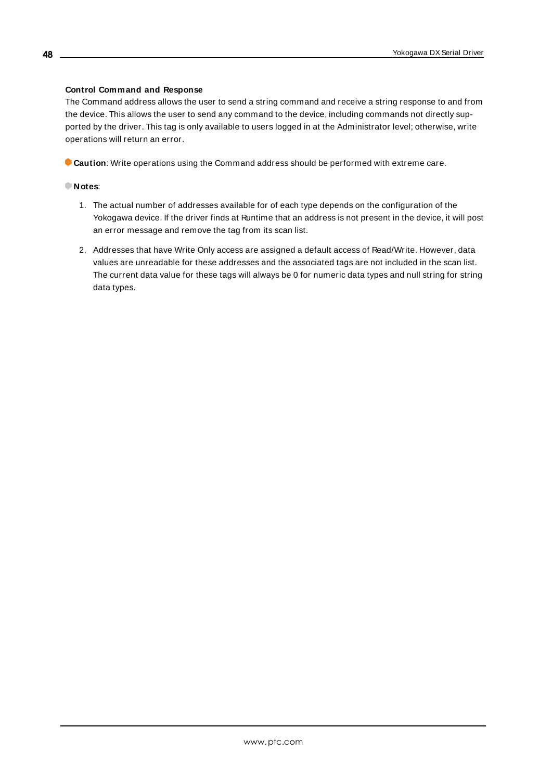#### **Control Command and Response**

The Command address allows the user to send a string command and receive a string response to and from the device. This allows the user to send any command to the device, including commands not directly supported by the driver. This tag is only available to users logged in at the Administrator level; otherwise, write operations will return an error.

**Caution**: Write operations using the Command address should be performed with extreme care.

#### **Notes**:

- 1. The actual number of addresses available for of each type depends on the configuration of the Yokogawa device. If the driver finds at Runtime that an address is not present in the device, it will post an error message and remove the tag from its scan list.
- 2. Addresses that have Write Only access are assigned a default access of Read/Write. However, data values are unreadable for these addresses and the associated tags are not included in the scan list. The current data value for these tags will always be 0 for numeric data types and null string for string data types.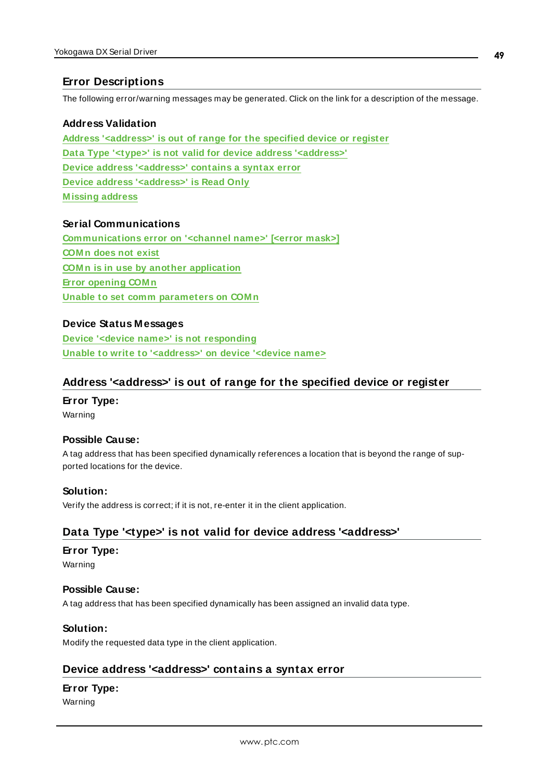# <span id="page-48-0"></span>**Error Descriptions**

The following error/warning messages may be generated. Click on the link for a description of the message.

### **Address Validation**

**Address ['<address>'](#page-48-1) is out of range for the specified device or register Data Type '<type>' is not valid for device address ['<address>'](#page-48-2) Device address ['<address>'](#page-48-3) contains a syntax error Device address ['<address>'](#page-49-0) is Read Only [M issing](#page-49-1) address**

### **Serial Communications**

**[Communications](#page-49-2) error on '<channel name>' [<error mask>] [COM n](#page-50-0) does not exist COM n is in use by another [application](#page-50-1) Error [opening](#page-50-2) COM n Unable to set comm [parameters](#page-50-3) on COM n**

### **Device Status Messages**

**Device '<device name>' is not [responding](#page-51-0) Unable to write to ['<address>'](#page-51-1) on device '<device name>**

### <span id="page-48-1"></span>**Address '<address>' is out of range for the specified device or register**

### **Error Type:**

Warning

### **Possible Cause:**

A tag address that has been specified dynamically references a location that is beyond the range of supported locations for the device.

### **Solution:**

<span id="page-48-2"></span>Verify the address is correct; if it is not, re-enter it in the client application.

# **Data Type '<type>' is not valid for device address '<address>'**

# **Error Type:**

Warning

# **Possible Cause:**

A tag address that has been specified dynamically has been assigned an invalid data type.

# **Solution:**

<span id="page-48-3"></span>Modify the requested data type in the client application.

# **Device address '<address>' contains a syntax error**

# **Error Type:**

Warning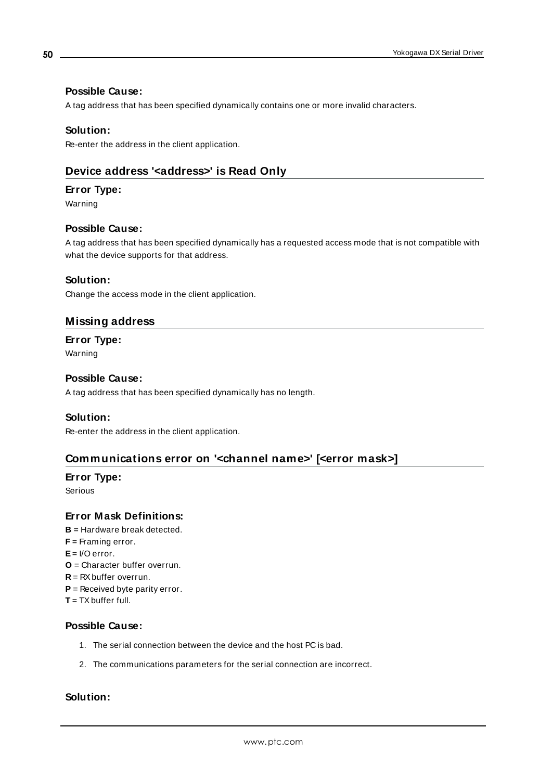# **Possible Cause:**

A tag address that has been specified dynamically contains one or more invalid characters.

### **Solution:**

<span id="page-49-0"></span>Re-enter the address in the client application.

# **Device address '<address>' is Read Only**

### **Error Type:**

Warning

### **Possible Cause:**

A tag address that has been specified dynamically has a requested access mode that is not compatible with what the device supports for that address.

### **Solution:**

<span id="page-49-1"></span>Change the access mode in the client application.

# **Missing address**

# **Error Type:**

Warning

### **Possible Cause:**

A tag address that has been specified dynamically has no length.

### **Solution:**

<span id="page-49-2"></span>Re-enter the address in the client application.

# **Communications error on '<channel name>' [<error mask>]**

# **Error Type:**

Serious

# **Error Mask Definitions:**

- **B** = Hardware break detected.
- **F** = Framing error.
- **E**= I/O error.
- **O** = Character buffer overrun.
- **R** = RXbuffer overrun.
- **P** = Received byte parity error.
- **T** = TXbuffer full.

### **Possible Cause:**

- 1. The serial connection between the device and the host PC is bad.
- 2. The communications parameters for the serial connection are incorrect.

### **Solution:**

**50**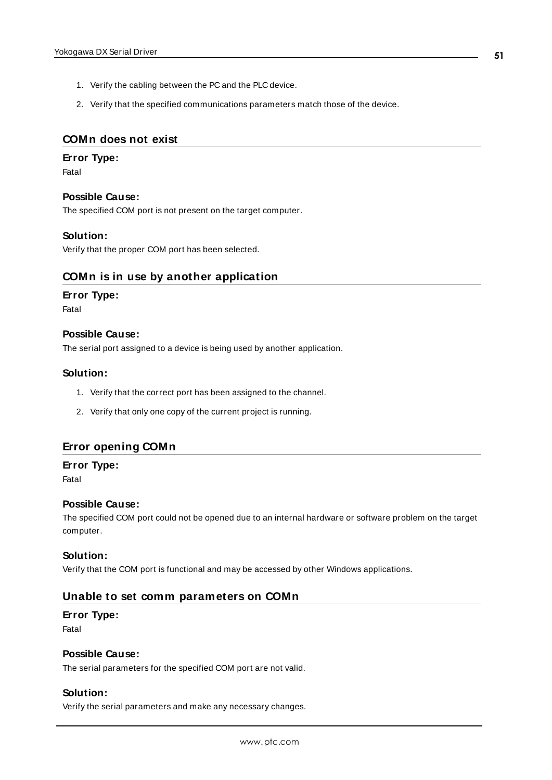- 1. Verify the cabling between the PC and the PLC device.
- 2. Verify that the specified communications parameters match those of the device.

# <span id="page-50-0"></span>**COMn does not exist**

#### **Error Type:**

Fatal

#### **Possible Cause:**

The specified COM port is not present on the target computer.

#### **Solution:**

<span id="page-50-1"></span>Verify that the proper COM port has been selected.

### **COMn is in use by another application**

#### **Error Type:**

Fatal

#### **Possible Cause:**

The serial port assigned to a device is being used by another application.

### **Solution:**

- 1. Verify that the correct port has been assigned to the channel.
- 2. Verify that only one copy of the current project is running.

# <span id="page-50-2"></span>**Error opening COMn**

#### **Error Type:**

Fatal

#### **Possible Cause:**

The specified COM port could not be opened due to an internal hardware or software problem on the target computer.

#### **Solution:**

<span id="page-50-3"></span>Verify that the COM port is functional and may be accessed by other Windows applications.

# **Unable to set comm parameters on COMn**

### **Error Type:**

Fatal

# **Possible Cause:**

The serial parameters for the specified COM port are not valid.

# **Solution:**

Verify the serial parameters and make any necessary changes.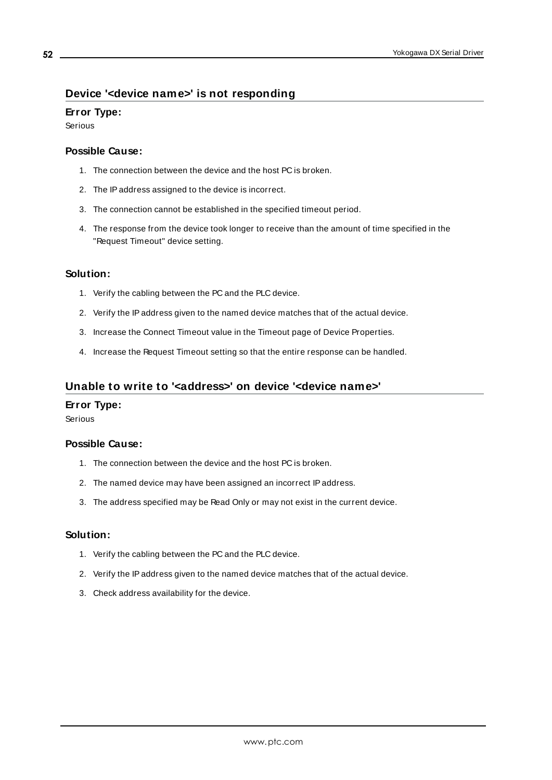# <span id="page-51-0"></span>**Device '<device name>' is not responding**

### **Error Type:**

Serious

#### **Possible Cause:**

- 1. The connection between the device and the host PC is broken.
- 2. The IPaddress assigned to the device is incorrect.
- 3. The connection cannot be established in the specified timeout period.
- 4. The response from the device took longer to receive than the amount of time specified in the "Request Timeout" device setting.

### **Solution:**

- 1. Verify the cabling between the PC and the PLC device.
- 2. Verify the IPaddress given to the named device matches that of the actual device.
- 3. Increase the Connect Timeout value in the Timeout page of Device Properties.
- 4. Increase the Request Timeout setting so that the entire response can be handled.

# <span id="page-51-1"></span>**Unable to write to '<address>' on device '<device name>'**

### **Error Type:**

Serious

### **Possible Cause:**

- 1. The connection between the device and the host PC is broken.
- 2. The named device may have been assigned an incorrect IPaddress.
- 3. The address specified may be Read Only or may not exist in the current device.

# **Solution:**

- 1. Verify the cabling between the PC and the PLC device.
- 2. Verify the IPaddress given to the named device matches that of the actual device.
- 3. Check address availability for the device.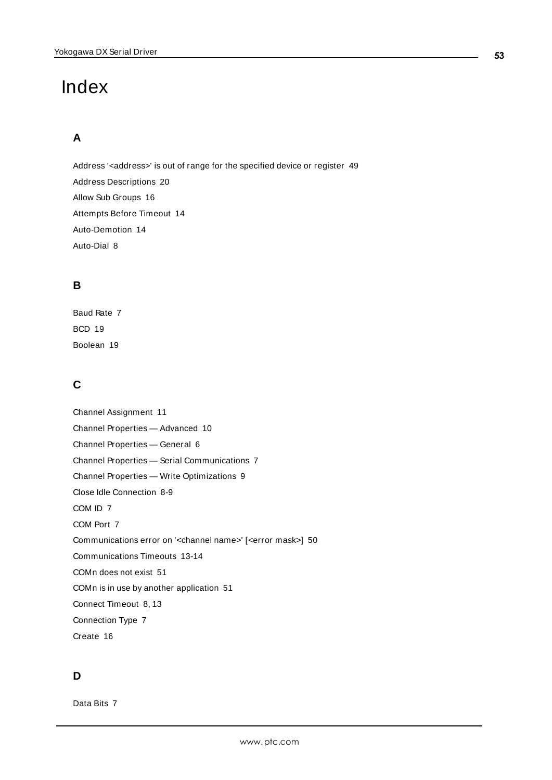# <span id="page-52-0"></span>Index

# **A**

Address '<address>' is out of range for the specified device or register [49](#page-48-1) Address Descriptions [20](#page-19-0) Allow Sub Groups [16](#page-15-0) Attempts Before Timeout [14](#page-13-1) Auto-Demotion [14](#page-13-0) Auto-Dial [8](#page-7-2)

# **B**

Baud Rate [7](#page-6-4) BCD [19](#page-18-0) Boolean [19](#page-18-1)

# **C**

Channel Assignment [11](#page-10-2) Channel Properties — Advanced [10](#page-9-0) Channel Properties — General [6](#page-5-0) Channel Properties — Serial Communications [7](#page-6-1) Channel Properties — Write Optimizations [9](#page-8-2) Close Idle Connection [8-9](#page-7-3) COM ID [7](#page-6-5) COM Port [7](#page-6-6) Communications error on '<channel name>' [<error mask>] [50](#page-49-2) Communications Timeouts [13-14](#page-12-1) COMn does not exist [51](#page-50-0) COMn is in use by another application [51](#page-50-1) Connect Timeout [8,](#page-7-4) [13](#page-12-2) Connection Type [7](#page-6-2) Create [16](#page-15-1)

# **D**

Data Bits [7](#page-6-7)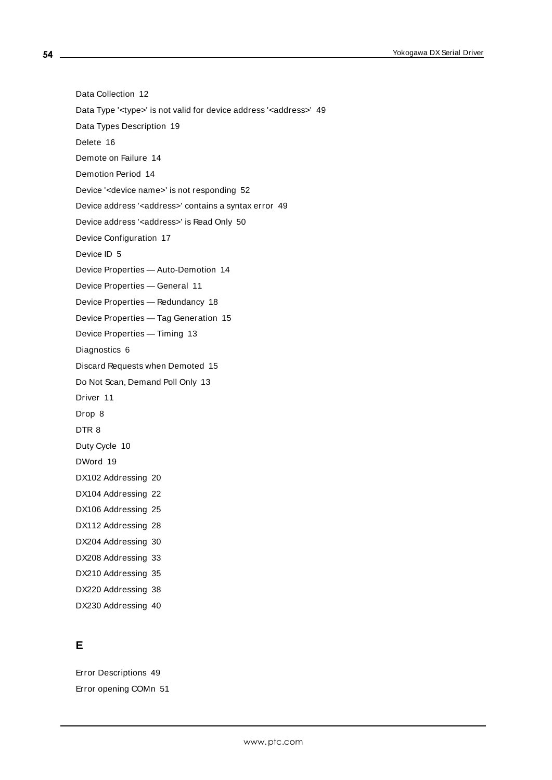Data Collection [12](#page-11-2)

Data Type '<type>' is not valid for device address '<address>' [49](#page-48-2)

Data Types Description [19](#page-18-0)

Delete [16](#page-15-2)

Demote on Failure [14](#page-13-2)

Demotion Period [14](#page-13-3)

Device '<device name>' is not responding [52](#page-51-0)

Device address '< address>' contains a syntax error [49](#page-48-3)

Device address '<address>' is Read Only [50](#page-49-0)

Device Configuration [17](#page-16-0)

Device ID [5](#page-4-1)

Device Properties — Auto-Demotion [14](#page-13-0)

Device Properties — General [11](#page-10-0)

Device Properties — Redundancy [18](#page-17-0)

Device Properties — Tag Generation [15](#page-14-0)

Device Properties — Timing [13](#page-12-0)

Diagnostics [6](#page-5-1)

Discard Requests when Demoted [15](#page-14-1)

Do Not Scan, Demand Poll Only [13](#page-12-3)

Driver [11](#page-10-3)

Drop [8](#page-7-5)

DTR [8](#page-7-6)

Duty Cycle [10](#page-9-1)

DWord [19](#page-18-0)

DX102 Addressing [20](#page-19-1)

DX104 Addressing [22](#page-21-0)

DX106 Addressing [25](#page-24-0)

DX112 Addressing [28](#page-27-0)

DX204 Addressing [30](#page-29-0)

DX208 Addressing [33](#page-32-0)

DX210 Addressing [35](#page-34-0) DX220 Addressing [38](#page-37-0)

DX230 Addressing [40](#page-39-0)

# **E**

Error Descriptions [49](#page-48-0) Error opening COMn [51](#page-50-2)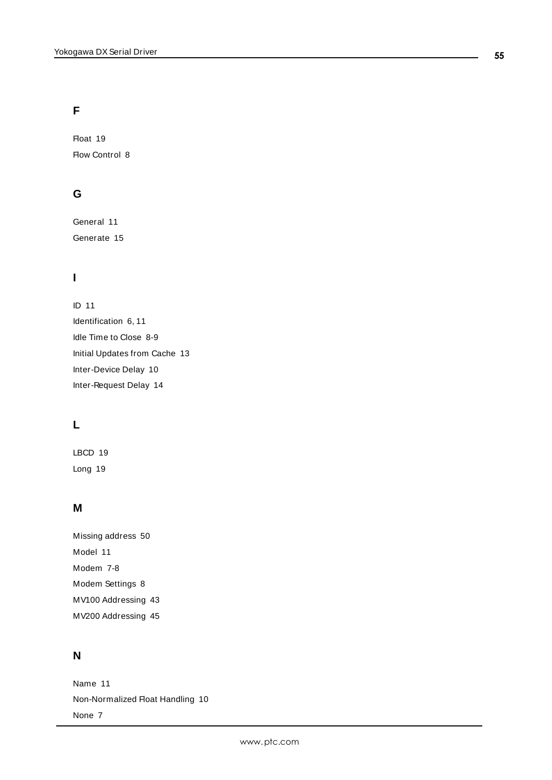# **F**

Float [19](#page-18-2) Flow Control [8](#page-7-7)

# **G**

General [11](#page-10-0) Generate [15](#page-14-2)

# **I**

ID [11](#page-10-4) Identification [6](#page-5-2), [11](#page-10-5) Idle Time to Close [8-9](#page-7-8) Initial Updates from Cache [13](#page-12-4) Inter-Device Delay [10](#page-9-2) Inter-Request Delay [14](#page-13-4)

# **L**

LBCD [19](#page-18-0) Long [19](#page-18-0)

# **M**

Missing address [50](#page-49-1) Model [11](#page-10-6) Modem [7-8](#page-6-8) Modem Settings [8](#page-7-1) MV100 Addressing [43](#page-42-0) MV200 Addressing [45](#page-44-0)

# **N**

Name [11](#page-10-7) Non-Normalized Float Handling [10](#page-9-3) None [7](#page-6-9)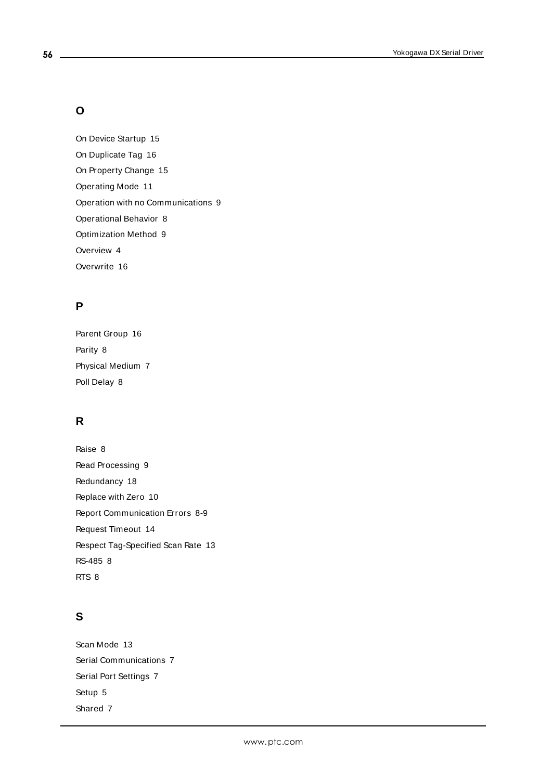# **O**

On Device Startup [15](#page-14-3) On Duplicate Tag [16](#page-15-3) On Property Change [15](#page-14-4) Operating Mode [11](#page-10-1) Operation with no Communications [9](#page-8-1) Operational Behavior [8](#page-7-0) Optimization Method [9](#page-8-3) Overview [4](#page-3-1) Overwrite [16](#page-15-4)

# **P**

Parent Group [16](#page-15-5) Parity [8](#page-7-9) Physical Medium [7](#page-6-10) Poll Delay [8](#page-7-10)

# **R**

Raise [8](#page-7-11) Read Processing [9](#page-8-4) Redundancy [18](#page-17-0) Replace with Zero [10](#page-9-4) Report Communication Errors [8-9](#page-7-12) Request Timeout [14](#page-13-5) Respect Tag-Specified Scan Rate [13](#page-12-5) RS-485 [8](#page-7-13) RTS [8](#page-7-14)

# **S**

Scan Mode [13](#page-12-6) Serial Communications [7](#page-6-1) Serial Port Settings [7](#page-6-3) Setup [5](#page-4-0) Shared [7](#page-6-11)